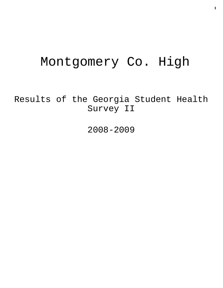# Montgomery Co. High

Results of the Georgia Student Health Survey II

2008-2009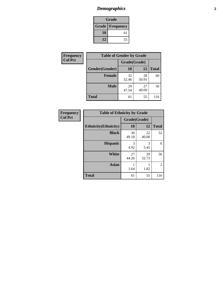# *Demographics* **2**

| Grade                    |    |  |  |
|--------------------------|----|--|--|
| <b>Grade   Frequency</b> |    |  |  |
| 10                       | 61 |  |  |
| 12<br>55                 |    |  |  |

| <b>Frequency</b> | <b>Table of Gender by Grade</b> |              |             |              |  |
|------------------|---------------------------------|--------------|-------------|--------------|--|
| <b>Col Pct</b>   |                                 | Grade(Grade) |             |              |  |
|                  | Gender(Gender)                  | 10           | 12          | <b>Total</b> |  |
|                  | <b>Female</b>                   | 32<br>52.46  | 28<br>50.91 | 60           |  |
|                  | <b>Male</b>                     | 29<br>47.54  | 27<br>49.09 | 56           |  |
|                  | <b>Total</b>                    | 61           | 55          | 116          |  |

| <b>Frequency</b> |
|------------------|
| <b>Col Pct</b>   |

| <b>Table of Ethnicity by Grade</b> |              |             |              |  |  |  |
|------------------------------------|--------------|-------------|--------------|--|--|--|
|                                    | Grade(Grade) |             |              |  |  |  |
| <b>Ethnicity</b> (Ethnicity)       | 10           | 12          | <b>Total</b> |  |  |  |
| <b>Black</b>                       | 30<br>49.18  | 22<br>40.00 | 52           |  |  |  |
| <b>Hispanic</b>                    | 3<br>4.92    | 3<br>5.45   | 6            |  |  |  |
| <b>White</b>                       | 27<br>44.26  | 29<br>52.73 | 56           |  |  |  |
| Asian                              | 1.64         | 1.82        | 2            |  |  |  |
| <b>Total</b>                       | 61           | 55          | 116          |  |  |  |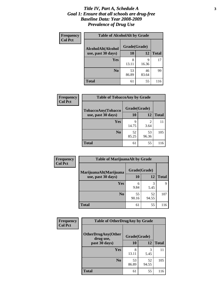#### *Title IV, Part A, Schedule A* **3** *Goal 1: Ensure that all schools are drug-free Baseline Data: Year 2008-2009 Prevalence of Drug Use*

| <b>Frequency</b><br><b>Col Pct</b> | <b>Table of AlcoholAlt by Grade</b> |              |             |              |  |  |
|------------------------------------|-------------------------------------|--------------|-------------|--------------|--|--|
|                                    | AlcoholAlt(Alcohol                  | Grade(Grade) |             |              |  |  |
|                                    | use, past 30 days)                  | 10           | 12          | <b>Total</b> |  |  |
|                                    | <b>Yes</b>                          | 8<br>13.11   | 9<br>16.36  | 17           |  |  |
|                                    | N <sub>0</sub>                      | 53<br>86.89  | 46<br>83.64 | 99           |  |  |
|                                    | <b>Total</b>                        | 61           | 55          | 116          |  |  |

| Frequency      | <b>Table of TobaccoAny by Grade</b> |              |             |              |  |
|----------------|-------------------------------------|--------------|-------------|--------------|--|
| <b>Col Pct</b> | <b>TobaccoAny(Tobacco</b>           | Grade(Grade) |             |              |  |
|                | use, past 30 days)                  | 10           | 12          | <b>Total</b> |  |
|                | Yes                                 | q<br>14.75   | 2<br>3.64   | 11           |  |
|                | N <sub>0</sub>                      | 52<br>85.25  | 53<br>96.36 | 105          |  |
|                | <b>Total</b>                        | 61           | 55          | 116          |  |

| Frequency<br><b>Col Pct</b> | <b>Table of MarijuanaAlt by Grade</b> |              |             |              |  |
|-----------------------------|---------------------------------------|--------------|-------------|--------------|--|
|                             | MarijuanaAlt(Marijuana                | Grade(Grade) |             |              |  |
|                             | use, past 30 days)                    | 10           | 12          | <b>Total</b> |  |
|                             | Yes                                   | 6<br>9.84    | 3<br>5.45   | Q            |  |
|                             | N <sub>0</sub>                        | 55<br>90.16  | 52<br>94.55 | 107          |  |
|                             | <b>Total</b>                          | 61           | 55          | 116          |  |

| <b>Frequency</b> | <b>Table of OtherDrugAny by Grade</b>  |              |             |              |  |
|------------------|----------------------------------------|--------------|-------------|--------------|--|
| <b>Col Pct</b>   | <b>OtherDrugAny(Other</b><br>drug use, | Grade(Grade) |             |              |  |
|                  | past 30 days)                          | 10           | 12          | <b>Total</b> |  |
|                  | Yes                                    | 8<br>13.11   | 3<br>5.45   | 11           |  |
|                  | N <sub>0</sub>                         | 53<br>86.89  | 52<br>94.55 | 105          |  |
|                  | <b>Total</b>                           | 61           | 55          | 116          |  |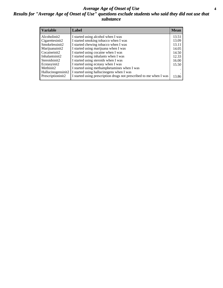#### *Average Age of Onset of Use* **4** *Results for "Average Age of Onset of Use" questions exclude students who said they did not use that substance*

| <b>Variable</b>       | Label                                                              | <b>Mean</b> |
|-----------------------|--------------------------------------------------------------------|-------------|
| Alcoholinit2          | I started using alcohol when I was                                 | 13.51       |
| Cigarettesinit2       | I started smoking tobacco when I was                               | 13.09       |
| Smokelessinit2        | I started chewing tobacco when I was                               | 13.11       |
| Marijuanainit2        | I started using marijuana when I was                               | 14.05       |
| Cocaineinit2          | I started using cocaine when I was                                 | 14.50       |
| Inhalantsinit2        | I started using inhalants when I was                               | 12.33       |
| Steroidsinit2         | I started using steroids when I was                                | 16.00       |
| Ecstasyinit2          | I started using ecstasy when I was                                 | 15.50       |
| Methinit <sub>2</sub> | I started using methamphetamines when I was                        |             |
| Hallucinogensinit2    | I started using hallucinogens when I was                           |             |
| Prescriptioninit2     | I started using prescription drugs not prescribed to me when I was | 13.86       |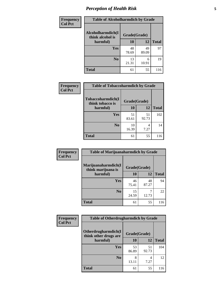# *Perception of Health Risk* **5**

| Frequency      | <b>Table of Alcoholharmdich by Grade</b> |              |             |              |  |
|----------------|------------------------------------------|--------------|-------------|--------------|--|
| <b>Col Pct</b> | Alcoholharmdich(I<br>think alcohol is    | Grade(Grade) |             |              |  |
|                | harmful)                                 | 10           | 12          | <b>Total</b> |  |
|                | Yes                                      | 48<br>78.69  | 49<br>89.09 | 97           |  |
|                | N <sub>0</sub>                           | 13<br>21.31  | 6<br>10.91  | 19           |  |
|                | <b>Total</b>                             | 61           | 55          | 116          |  |

| <b>Table of Tobaccoharmdich by Grade</b> |              |             |              |  |
|------------------------------------------|--------------|-------------|--------------|--|
|                                          |              |             |              |  |
| Tobaccoharmdich(I<br>think tobacco is    | Grade(Grade) |             |              |  |
| harmful)                                 | 10           | 12          | <b>Total</b> |  |
| Yes                                      | 51<br>83.61  | 51<br>92.73 | 102          |  |
| N <sub>0</sub>                           | 10<br>16.39  | 4<br>7.27   | 14           |  |
| <b>Total</b>                             | 61           | 55          | 116          |  |
|                                          |              |             |              |  |

| <b>Frequency</b> | <b>Table of Marijuanaharmdich by Grade</b> |              |             |              |  |
|------------------|--------------------------------------------|--------------|-------------|--------------|--|
| <b>Col Pct</b>   | Marijuanaharmdich(I<br>think marijuana is  | Grade(Grade) |             |              |  |
|                  | harmful)                                   | 10           | 12          | <b>Total</b> |  |
|                  | Yes                                        | 46<br>75.41  | 48<br>87.27 | 94           |  |
|                  | N <sub>0</sub>                             | 15<br>24.59  | 7<br>12.73  | 22           |  |
|                  | <b>Total</b>                               | 61           | 55          | 116          |  |

| Frequency<br><b>Col Pct</b> | <b>Table of Otherdrugharmdich by Grade</b>   |              |             |              |  |  |
|-----------------------------|----------------------------------------------|--------------|-------------|--------------|--|--|
|                             | Otherdrugharmdich(I<br>think other drugs are | Grade(Grade) |             |              |  |  |
|                             | harmful)                                     | 10           | 12          | <b>Total</b> |  |  |
|                             | <b>Yes</b>                                   | 53<br>86.89  | 51<br>92.73 | 104          |  |  |
|                             | N <sub>0</sub>                               | 8<br>13.11   | 4<br>7.27   | 12           |  |  |
|                             | <b>Total</b>                                 | 61           | 55          | 116          |  |  |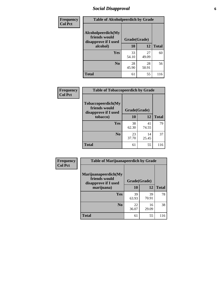# *Social Disapproval* **6**

| <b>Frequency</b> | <b>Table of Alcoholpeerdich by Grade</b>                    |              |             |              |  |
|------------------|-------------------------------------------------------------|--------------|-------------|--------------|--|
| <b>Col Pct</b>   | Alcoholpeerdich(My<br>friends would<br>disapprove if I used | Grade(Grade) |             |              |  |
|                  | alcohol)                                                    | 10           | 12          | <b>Total</b> |  |
|                  | <b>Yes</b>                                                  | 33<br>54.10  | 27<br>49.09 | 60           |  |
|                  | N <sub>0</sub>                                              | 28<br>45.90  | 28<br>50.91 | 56           |  |
|                  | <b>Total</b>                                                | 61           | 55          | 116          |  |

| <b>Frequency</b> |
|------------------|
| <b>Col Pct</b>   |

| <b>Table of Tobaccopeerdich by Grade</b>                    |              |             |              |  |  |
|-------------------------------------------------------------|--------------|-------------|--------------|--|--|
| Tobaccopeerdich(My<br>friends would<br>disapprove if I used | Grade(Grade) |             |              |  |  |
| tobacco)                                                    | 10           | 12          | <b>Total</b> |  |  |
| Yes                                                         | 38<br>62.30  | 41<br>74.55 | 79           |  |  |
| N <sub>0</sub>                                              | 23<br>37.70  | 14<br>25.45 | 37           |  |  |
| <b>Total</b>                                                | 61           | 55          | 116          |  |  |

| <b>Frequency</b> | <b>Table of Marijuanapeerdich by Grade</b>                    |              |             |              |  |
|------------------|---------------------------------------------------------------|--------------|-------------|--------------|--|
| <b>Col Pct</b>   | Marijuanapeerdich(My<br>friends would<br>disapprove if I used | Grade(Grade) |             |              |  |
|                  | marijuana)                                                    | 10           | 12          | <b>Total</b> |  |
|                  | <b>Yes</b>                                                    | 39<br>63.93  | 39<br>70.91 | 78           |  |
|                  | N <sub>0</sub>                                                | 22<br>36.07  | 16<br>29.09 | 38           |  |
|                  | <b>Total</b>                                                  | 61           | 55          | 116          |  |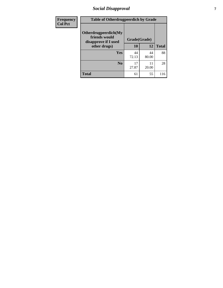# *Social Disapproval* **7**

| Frequency      | <b>Table of Otherdrugpeerdich by Grade</b>                    |             |              |              |  |  |
|----------------|---------------------------------------------------------------|-------------|--------------|--------------|--|--|
| <b>Col Pct</b> | Otherdrugpeerdich(My<br>friends would<br>disapprove if I used |             | Grade(Grade) |              |  |  |
|                | other drugs)                                                  | 10          | 12           | <b>Total</b> |  |  |
|                | Yes                                                           | 44<br>72.13 | 44<br>80.00  | 88           |  |  |
|                | N <sub>0</sub>                                                | 17<br>27.87 | 11<br>20.00  | 28           |  |  |
|                | <b>Total</b>                                                  | 61          | 55           | 116          |  |  |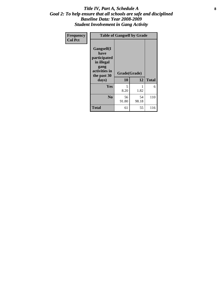#### Title IV, Part A, Schedule A **8** *Goal 2: To help ensure that all schools are safe and disciplined Baseline Data: Year 2008-2009 Student Involvement in Gang Activity*

| Frequency      | <b>Table of Gangself by Grade</b>                                                                 |                    |             |              |
|----------------|---------------------------------------------------------------------------------------------------|--------------------|-------------|--------------|
| <b>Col Pct</b> | Gangself(I<br>have<br>participated<br>in illegal<br>gang<br>activities in<br>the past 30<br>days) | Grade(Grade)<br>10 | 12          | <b>Total</b> |
|                | Yes                                                                                               | 5<br>8.20          | 1<br>1.82   | 6            |
|                | N <sub>0</sub>                                                                                    | 56<br>91.80        | 54<br>98.18 | 110          |
|                | <b>Total</b>                                                                                      | 61                 | 55          | 116          |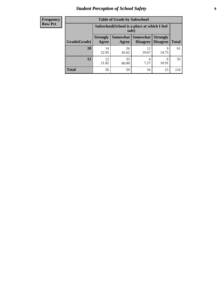# *Student Perception of School Safety* **9**

| <b>Frequency</b><br>Row Pct |
|-----------------------------|
|                             |

| <b>Table of Grade by Safeschool</b> |                                                                                                                                      |             |             |            |     |  |
|-------------------------------------|--------------------------------------------------------------------------------------------------------------------------------------|-------------|-------------|------------|-----|--|
|                                     | Safeschool (School is a place at which I feel<br>safe)                                                                               |             |             |            |     |  |
| Grade(Grade)                        | Somewhat  <br><b>Somewhat</b><br><b>Strongly</b><br><b>Strongly</b><br><b>Disagree</b><br>Agree<br>Disagree<br><b>Total</b><br>Agree |             |             |            |     |  |
| <b>10</b>                           | 14<br>22.95                                                                                                                          | 26<br>42.62 | 12<br>19.67 | 9<br>14.75 | 61  |  |
| 12                                  | 12.<br>21.82                                                                                                                         | 33<br>60.00 | 4<br>7.27   | 6<br>10.91 | 55  |  |
| <b>Total</b>                        | 26                                                                                                                                   | 59          | 16          | 15         | 116 |  |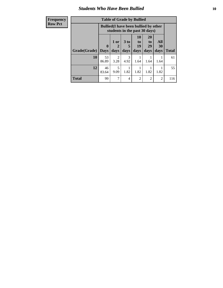#### *Students Who Have Been Bullied* **10**

| <b>Frequency</b> | <b>Table of Grade by Bullied</b> |              |                        |                       |                                 |                                                                               |                |              |
|------------------|----------------------------------|--------------|------------------------|-----------------------|---------------------------------|-------------------------------------------------------------------------------|----------------|--------------|
| <b>Row Pct</b>   |                                  |              |                        |                       |                                 | <b>Bullied</b> (I have been bullied by other<br>students in the past 30 days) |                |              |
|                  |                                  | $\mathbf{0}$ | 1 or<br>2              | 3 <sub>to</sub><br>5  | <b>10</b><br>$\mathbf{t}$<br>19 | <b>20</b><br>to<br>29                                                         | All<br>30      |              |
|                  | Grade(Grade)                     | <b>Days</b>  | days                   | days                  | days                            | days                                                                          | days           | <b>Total</b> |
|                  | 10                               | 53<br>86.89  | $\mathfrak{D}$<br>3.28 | $\mathcal{F}$<br>4.92 | 1.64                            | 1.64                                                                          | 1.64           | 61           |
|                  | 12                               | 46<br>83.64  | 5<br>9.09              | 1.82                  | 1.82                            | 1.82                                                                          | 1.82           | 55           |
|                  | <b>Total</b>                     | 99           | 7                      | 4                     | $\overline{2}$                  | 2                                                                             | $\overline{2}$ | 116          |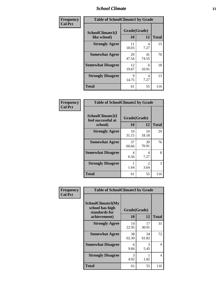#### *School Climate* **11**

| Frequency      | <b>Table of SchoolClimate1 by Grade</b> |                    |             |              |  |  |
|----------------|-----------------------------------------|--------------------|-------------|--------------|--|--|
| <b>Col Pct</b> | SchoolClimate1(I<br>like school)        | Grade(Grade)<br>10 | 12          | <b>Total</b> |  |  |
|                | <b>Strongly Agree</b>                   | 11<br>18.03        | 4<br>7.27   | 15           |  |  |
|                | <b>Somewhat Agree</b>                   | 29<br>47.54        | 41<br>74.55 | 70           |  |  |
|                | <b>Somewhat Disagree</b>                | 12<br>19.67        | 6<br>10.91  | 18           |  |  |
|                | <b>Strongly Disagree</b>                | 9<br>14.75         | 4<br>7.27   | 13           |  |  |
|                | <b>Total</b>                            | 61                 | 55          | 116          |  |  |

| Frequency |  |
|-----------|--|
| Col Pct   |  |

| <b>Table of SchoolClimate2 by Grade</b>           |                    |                        |              |  |
|---------------------------------------------------|--------------------|------------------------|--------------|--|
| SchoolClimate2(I<br>feel successful at<br>school) | Grade(Grade)<br>10 | 12                     | <b>Total</b> |  |
| <b>Strongly Agree</b>                             | 19<br>31.15        | 10<br>18.18            | 29           |  |
| <b>Somewhat Agree</b>                             | 37<br>60.66        | 39<br>70.91            | 76           |  |
| <b>Somewhat Disagree</b>                          | 4<br>6.56          | 4<br>7.27              | 8            |  |
| <b>Strongly Disagree</b>                          | 1.64               | $\mathfrak{D}$<br>3.64 | 3            |  |
| <b>Total</b>                                      | 61                 | 55                     | 116          |  |

| Frequency      | <b>Table of SchoolClimate3 by Grade</b>                      |              |             |              |  |
|----------------|--------------------------------------------------------------|--------------|-------------|--------------|--|
| <b>Col Pct</b> | <b>SchoolClimate3(My</b><br>school has high<br>standards for | Grade(Grade) |             |              |  |
|                | achievement)                                                 | <b>10</b>    | 12          | <b>Total</b> |  |
|                | <b>Strongly Agree</b>                                        | 14<br>22.95  | 17<br>30.91 | 31           |  |
|                | <b>Somewhat Agree</b>                                        | 38<br>62.30  | 34<br>61.82 | 72           |  |
|                | <b>Somewhat Disagree</b>                                     | 6<br>9.84    | 3<br>5.45   | 9            |  |
|                | <b>Strongly Disagree</b>                                     | 3<br>4.92    | 1.82        | 4            |  |
|                | Total                                                        | 61           | 55          | 116          |  |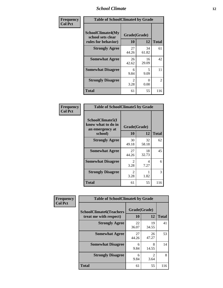#### *School Climate* **12**

| Frequency      | <b>Table of SchoolClimate4 by Grade</b>                       |                        |                           |              |
|----------------|---------------------------------------------------------------|------------------------|---------------------------|--------------|
| <b>Col Pct</b> | SchoolClimate4(My<br>school sets clear<br>rules for behavior) | Grade(Grade)<br>10     | 12                        | <b>Total</b> |
|                | <b>Strongly Agree</b>                                         | 27<br>44.26            | 34<br>61.82               | 61           |
|                | <b>Somewhat Agree</b>                                         | 26<br>42.62            | 16<br>29.09               | 42           |
|                | <b>Somewhat Disagree</b>                                      | 6<br>9.84              | 5<br>9.09                 | 11           |
|                | <b>Strongly Disagree</b>                                      | $\mathfrak{D}$<br>3.28 | $\mathbf{\Omega}$<br>0.00 | 2            |
|                | <b>Total</b>                                                  | 61                     | 55                        | 116          |

| <b>Table of SchoolClimate5 by Grade</b>                              |                        |             |              |  |
|----------------------------------------------------------------------|------------------------|-------------|--------------|--|
| SchoolClimate5(I<br>know what to do in<br>an emergency at<br>school) | Grade(Grade)<br>10     | 12          | <b>Total</b> |  |
|                                                                      |                        |             |              |  |
| <b>Strongly Agree</b>                                                | 30<br>49.18            | 32<br>58.18 | 62           |  |
| <b>Somewhat Agree</b>                                                | 27<br>44.26            | 18<br>32.73 | 45           |  |
| <b>Somewhat Disagree</b>                                             | $\mathfrak{D}$<br>3.28 | 4<br>7.27   | 6            |  |
| <b>Strongly Disagree</b>                                             | 2<br>3.28              | 1.82        | 3            |  |
| <b>Total</b>                                                         | 61                     | 55          | 116          |  |

| Frequency      | <b>Table of SchoolClimate6 by Grade</b>                  |                    |                        |              |
|----------------|----------------------------------------------------------|--------------------|------------------------|--------------|
| <b>Col Pct</b> | <b>SchoolClimate6(Teachers</b><br>treat me with respect) | Grade(Grade)<br>10 | 12                     | <b>Total</b> |
|                | <b>Strongly Agree</b>                                    | 22<br>36.07        | 19<br>34.55            | 41           |
|                | <b>Somewhat Agree</b>                                    | 27<br>44.26        | 26<br>47.27            | 53           |
|                | <b>Somewhat Disagree</b>                                 | 6<br>9.84          | 8<br>14.55             | 14           |
|                | <b>Strongly Disagree</b>                                 | 6<br>9.84          | $\mathfrak{D}$<br>3.64 | 8            |
|                | <b>Total</b>                                             | 61                 | 55                     | 116          |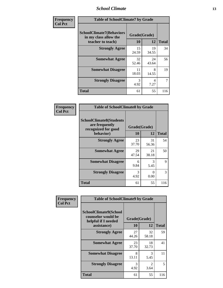#### *School Climate* **13**

| Frequency      |                                                                               | <b>Table of SchoolClimate7 by Grade</b> |             |              |  |
|----------------|-------------------------------------------------------------------------------|-----------------------------------------|-------------|--------------|--|
| <b>Col Pct</b> | <b>SchoolClimate7(Behaviors</b><br>in my class allow the<br>teacher to teach) | Grade(Grade)<br><b>10</b>               | 12          | <b>Total</b> |  |
|                | <b>Strongly Agree</b>                                                         | 15<br>24.59                             | 19<br>34.55 | 34           |  |
|                | <b>Somewhat Agree</b>                                                         | 32<br>52.46                             | 24<br>43.64 | 56           |  |
|                | <b>Somewhat Disagree</b>                                                      | 11<br>18.03                             | 8<br>14.55  | 19           |  |
|                | <b>Strongly Disagree</b>                                                      | 3<br>4.92                               | 4<br>7.27   | 7            |  |
|                | <b>Total</b>                                                                  | 61                                      | 55          | 116          |  |

| Frequency      | <b>Table of SchoolClimate8 by Grade</b>                                              |                    |             |              |
|----------------|--------------------------------------------------------------------------------------|--------------------|-------------|--------------|
| <b>Col Pct</b> | <b>SchoolClimate8(Students</b><br>are frequently<br>recognized for good<br>behavior) | Grade(Grade)<br>10 | 12          | <b>Total</b> |
|                | <b>Strongly Agree</b>                                                                | 23<br>37.70        | 31<br>56.36 | 54           |
|                | <b>Somewhat Agree</b>                                                                | 29<br>47.54        | 21<br>38.18 | 50           |
|                | <b>Somewhat Disagree</b>                                                             | 6<br>9.84          | 3<br>5.45   | 9            |
|                | <b>Strongly Disagree</b>                                                             | 3<br>4.92          | 0<br>0.00   | 3            |
|                | <b>Total</b>                                                                         | 61                 | 55          | 116          |

| Frequency      | <b>Table of SchoolClimate9 by Grade</b>                                           |                    |                        |              |
|----------------|-----------------------------------------------------------------------------------|--------------------|------------------------|--------------|
| <b>Col Pct</b> | SchoolClimate9(School<br>counselor would be<br>helpful if I needed<br>assistance) | Grade(Grade)<br>10 | 12                     | <b>Total</b> |
|                | <b>Strongly Agree</b>                                                             | 27<br>44.26        | 32<br>58.18            | 59           |
|                | <b>Somewhat Agree</b>                                                             | 23<br>37.70        | 18<br>32.73            | 41           |
|                | <b>Somewhat Disagree</b>                                                          | 8<br>13.11         | 3<br>5.45              | 11           |
|                | <b>Strongly Disagree</b>                                                          | 3<br>4.92          | $\mathfrak{D}$<br>3.64 | 5            |
|                | Total                                                                             | 61                 | 55                     | 116          |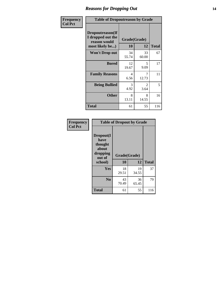#### *Reasons for Dropping Out* **14**

| Frequency      | <b>Table of Dropoutreason by Grade</b>                                   |                    |             |              |
|----------------|--------------------------------------------------------------------------|--------------------|-------------|--------------|
| <b>Col Pct</b> | Dropoutreason(If<br>I dropped out the<br>reason would<br>most likely be) | Grade(Grade)<br>10 | 12          | <b>Total</b> |
|                | <b>Won't Drop out</b>                                                    | 34<br>55.74        | 33<br>60.00 | 67           |
|                | <b>Bored</b>                                                             | 12<br>19.67        | 5<br>9.09   | 17           |
|                | <b>Family Reasons</b>                                                    | 4<br>6.56          | 7<br>12.73  | 11           |
|                | <b>Being Bullied</b>                                                     | 3<br>4.92          | 2<br>3.64   | 5            |
|                | <b>Other</b>                                                             | 8<br>13.11         | 8<br>14.55  | 16           |
|                | <b>Total</b>                                                             | 61                 | 55          | 116          |

| Frequency<br><b>Col Pct</b> | <b>Table of Dropout by Grade</b>                            |              |             |              |  |
|-----------------------------|-------------------------------------------------------------|--------------|-------------|--------------|--|
|                             | Dropout(I<br>have<br>thought<br>about<br>dropping<br>out of | Grade(Grade) |             |              |  |
|                             | school)                                                     | 10           | 12          | <b>Total</b> |  |
|                             | Yes                                                         | 18<br>29.51  | 19<br>34.55 | 37           |  |
|                             | N <sub>0</sub>                                              | 43<br>70.49  | 36<br>65.45 | 79           |  |
|                             |                                                             |              |             |              |  |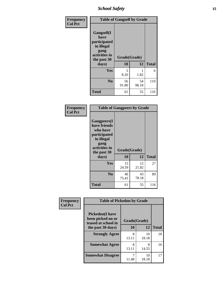*School Safety* **15**

| Frequency      | <b>Table of Gangself by Grade</b>                                                                 |                    |             |              |
|----------------|---------------------------------------------------------------------------------------------------|--------------------|-------------|--------------|
| <b>Col Pct</b> | Gangself(I<br>have<br>participated<br>in illegal<br>gang<br>activities in<br>the past 30<br>days) | Grade(Grade)<br>10 | 12          | <b>Total</b> |
|                | Yes                                                                                               | 5<br>8.20          | 1<br>1.82   | 6            |
|                | N <sub>0</sub>                                                                                    | 56<br>91.80        | 54<br>98.18 | 110          |
|                | <b>Total</b>                                                                                      | 61                 | 55          | 116          |

| Frequency<br><b>Col Pct</b> | <b>Table of Gangpeers by Grade</b>                                                                                             |                    |             |              |  |
|-----------------------------|--------------------------------------------------------------------------------------------------------------------------------|--------------------|-------------|--------------|--|
|                             | <b>Gangpeers</b> (I<br>have friends<br>who have<br>participated<br>in illegal<br>gang<br>activities in<br>the past 30<br>days) | Grade(Grade)<br>10 | 12          | <b>Total</b> |  |
|                             | <b>Yes</b>                                                                                                                     | 15<br>24.59        | 12<br>21.82 | 27           |  |
|                             | N <sub>0</sub>                                                                                                                 | 46<br>75.41        | 43<br>78.18 | 89           |  |
|                             | <b>Total</b>                                                                                                                   | 61                 | 55          | 116          |  |

| Frequency      | <b>Table of Pickedon by Grade</b>                                  |              |             |              |
|----------------|--------------------------------------------------------------------|--------------|-------------|--------------|
| <b>Col Pct</b> | <b>Pickedon(I have</b><br>been picked on or<br>teased at school in | Grade(Grade) |             |              |
|                | the past 30 days)                                                  | 10           | 12          | <b>Total</b> |
|                | <b>Strongly Agree</b>                                              | 8<br>13.11   | 10<br>18.18 | 18           |
|                | <b>Somewhat Agree</b>                                              | 8<br>13.11   | 8<br>14.55  | 16           |
|                | <b>Somewhat Disagree</b>                                           | 11.48        | 10<br>18.18 | 17           |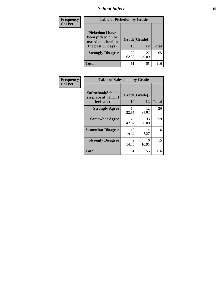*School Safety* **16**

| <b>Frequency</b> | <b>Table of Pickedon by Grade</b>                                                        |                    |             |              |  |  |  |  |
|------------------|------------------------------------------------------------------------------------------|--------------------|-------------|--------------|--|--|--|--|
| <b>Col Pct</b>   | <b>Pickedon</b> (I have<br>been picked on or<br>teased at school in<br>the past 30 days) | Grade(Grade)<br>10 | 12          | <b>Total</b> |  |  |  |  |
|                  | <b>Strongly Disagree</b>                                                                 | 38<br>62.30        | 27<br>49.09 | 65           |  |  |  |  |
|                  | Total                                                                                    | 61                 | 55          | 116          |  |  |  |  |

| Frequency      | <b>Table of Safeschool by Grade</b>                      |                    |             |              |  |  |  |  |  |
|----------------|----------------------------------------------------------|--------------------|-------------|--------------|--|--|--|--|--|
| <b>Col Pct</b> | Safeschool(School<br>is a place at which I<br>feel safe) | Grade(Grade)<br>10 | 12          | <b>Total</b> |  |  |  |  |  |
|                | <b>Strongly Agree</b>                                    | 14<br>22.95        | 12<br>21.82 | 26           |  |  |  |  |  |
|                | <b>Somewhat Agree</b>                                    | 26<br>42.62        | 33<br>60.00 | 59           |  |  |  |  |  |
|                | <b>Somewhat Disagree</b>                                 | 12<br>19.67        | 4<br>7.27   | 16           |  |  |  |  |  |
|                | <b>Strongly Disagree</b>                                 | 9<br>14.75         | 6<br>10.91  | 15           |  |  |  |  |  |
|                | <b>Total</b>                                             | 61                 | 55          | 116          |  |  |  |  |  |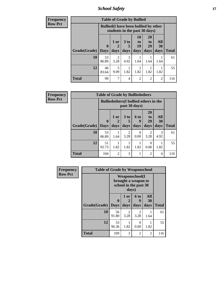*School Safety* **17**

| <b>Frequency</b> | <b>Table of Grade by Bullied</b> |             |                                                                               |                      |                |                       |                  |              |  |
|------------------|----------------------------------|-------------|-------------------------------------------------------------------------------|----------------------|----------------|-----------------------|------------------|--------------|--|
| <b>Row Pct</b>   |                                  |             | <b>Bullied</b> (I have been bullied by other<br>students in the past 30 days) |                      |                |                       |                  |              |  |
|                  |                                  | $\mathbf 0$ | 1 or                                                                          | 3 <sub>to</sub><br>5 | 10<br>to<br>19 | <b>20</b><br>to<br>29 | All<br><b>30</b> |              |  |
|                  | Grade(Grade)   Days              |             | days                                                                          | days                 | days           | days                  | days             | <b>Total</b> |  |
|                  | 10                               | 53<br>86.89 | $\overline{2}$<br>3.28                                                        | 3<br>4.92            | 1.64           | 1.64                  | 1.64             | 61           |  |
|                  | 12                               | 46<br>83.64 | 5<br>9.09                                                                     | 1.82                 | 1.82           | 1.82                  | 1.82             | 55           |  |
|                  | <b>Total</b>                     | 99          | 7                                                                             | 4                    | $\overline{2}$ | $\overline{2}$        | $\overline{2}$   | 116          |  |

| Frequency      |                                                                | <b>Table of Grade by Bulliedothers</b> |                |                        |                          |                               |                   |              |
|----------------|----------------------------------------------------------------|----------------------------------------|----------------|------------------------|--------------------------|-------------------------------|-------------------|--------------|
| <b>Row Pct</b> | <b>Bulliedothers</b> (I bullied others in the<br>past 30 days) |                                        |                |                        |                          |                               |                   |              |
|                | Grade(Grade)                                                   | $\mathbf 0$<br>Days                    | 1 or<br>days   | 3 to<br>days           | <b>6 to</b><br>9<br>days | <b>20</b><br>to<br>29<br>days | All<br>30<br>days | <b>Total</b> |
|                | 10                                                             | 53<br>86.89                            | 1.64           | $\overline{2}$<br>3.28 | 0<br>0.00                | 2<br>3.28                     | 3<br>4.92         | 61           |
|                | 12                                                             | 51<br>92.73                            | 1.82           | 1.82                   | 1.82                     | 0<br>0.00                     | 1.82              | 55           |
|                | <b>Total</b>                                                   | 104                                    | $\overline{2}$ | 3                      |                          | 2                             | 4                 | 116          |

| Frequency      | <b>Table of Grade by Weaponschool</b> |             |                                                                                 |                  |           |              |  |  |
|----------------|---------------------------------------|-------------|---------------------------------------------------------------------------------|------------------|-----------|--------------|--|--|
| <b>Row Pct</b> |                                       |             | <b>Weaponschool</b> (I<br>brought a weapon to<br>school in the past 30<br>days) |                  |           |              |  |  |
|                |                                       | $\bf{0}$    | 1 or<br>2                                                                       | 6 to<br>9        | All<br>30 |              |  |  |
|                | <b>Grade</b> (Grade)   Days           |             | days                                                                            | days             | days      | <b>Total</b> |  |  |
|                | 10                                    | 56<br>91.80 | 2<br>3.28                                                                       | 2<br>3.28        | 1.64      | 61           |  |  |
|                | 12                                    | 53<br>96.36 | 1.82                                                                            | $\Omega$<br>0.00 | 1.82      | 55           |  |  |
|                | <b>Total</b>                          | 109         | 3                                                                               | 2                | 2         | 116          |  |  |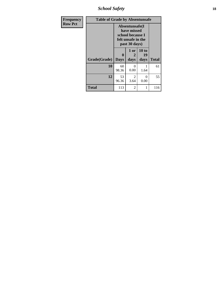*School Safety* **18**

| <b>Frequency</b> | <b>Table of Grade by Absentunsafe</b> |                  |                                                                                           |                     |              |
|------------------|---------------------------------------|------------------|-------------------------------------------------------------------------------------------|---------------------|--------------|
| <b>Row Pct</b>   |                                       |                  | Absentunsafe(I)<br>have missed<br>school because I<br>felt unsafe in the<br>past 30 days) |                     |              |
|                  | Grade(Grade)                          | 0<br><b>Days</b> | 1 or<br>2<br>days                                                                         | 10 to<br>19<br>days | <b>Total</b> |
|                  | 10                                    | 60<br>98.36      | 0<br>0.00                                                                                 | 1<br>1.64           | 61           |
|                  | 12                                    | 53<br>96.36      | 2<br>3.64                                                                                 | 0<br>0.00           | 55           |
|                  | <b>Total</b>                          | 113              | 2                                                                                         | 1                   | 116          |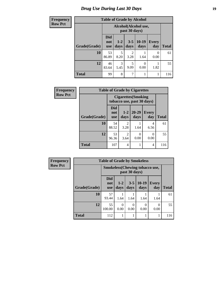#### *Drug Use During Last 30 Days* **19**

#### **Frequency Row Pct**

| cy | <b>Table of Grade by Alcohol</b> |                                 |               |                 |                      |                     |              |  |  |
|----|----------------------------------|---------------------------------|---------------|-----------------|----------------------|---------------------|--------------|--|--|
|    |                                  |                                 |               | past 30 days)   | Alcohol(Alcohol use, |                     |              |  |  |
|    | Grade(Grade)                     | <b>Did</b><br>not<br><b>use</b> | $1-2$<br>days | $3 - 5$<br>days | $10-19$<br>days      | <b>Every</b><br>day | <b>Total</b> |  |  |
|    | 10                               | 53<br>86.89                     | 5<br>8.20     | 2<br>3.28       | 1.64                 | 0.00                | 61           |  |  |
|    | 12                               | 46                              | 3             | 5               |                      |                     | 55           |  |  |

3 5.45

**Total**  $\begin{array}{|c|c|c|c|c|c|} \hline \end{array}$  99 8 7 1 1 1 116

5 9.09

0 0.00

1 1.82

83.64

| Frequency      | <b>Table of Grade by Cigarettes</b> |                                 |                                                          |                   |                     |              |  |  |
|----------------|-------------------------------------|---------------------------------|----------------------------------------------------------|-------------------|---------------------|--------------|--|--|
| <b>Row Pct</b> |                                     |                                 | <b>Cigarettes</b> (Smoking<br>tobacco use, past 30 days) |                   |                     |              |  |  |
|                | Grade(Grade)                        | <b>Did</b><br>not<br><b>use</b> | $1-2$<br>days                                            | $20 - 29$<br>days | <b>Every</b><br>day | <b>Total</b> |  |  |
|                | 10                                  | 54<br>88.52                     | $\mathfrak{D}$<br>3.28                                   | 1.64              | 4<br>6.56           | 61           |  |  |
|                | 12                                  | 53<br>96.36                     | $\mathfrak{D}$<br>3.64                                   | 0<br>0.00         | 0<br>0.00           | 55           |  |  |
|                | <b>Total</b>                        | 107                             | 4                                                        |                   | $\overline{4}$      | 116          |  |  |

| Frequency      | <b>Table of Grade by Smokeless</b> |                                        |                  |                  |                 |                     |              |
|----------------|------------------------------------|----------------------------------------|------------------|------------------|-----------------|---------------------|--------------|
| <b>Row Pct</b> |                                    | <b>Smokeless</b> (Chewing tobacco use, |                  |                  |                 |                     |              |
|                | Grade(Grade)                       | <b>Did</b><br>not<br><b>use</b>        | $1 - 2$<br>days  | $3 - 5$<br>days  | $10-19$<br>days | <b>Every</b><br>day | <b>Total</b> |
|                | 10                                 | 57<br>93.44                            | 1.64             | 1.64             | 1.64            | 1.64                | 61           |
|                | 12                                 | 55<br>100.00                           | $\theta$<br>0.00 | $\theta$<br>0.00 | 0.00            | 0.00                | 55           |
|                | <b>Total</b>                       | 112                                    |                  | 1                |                 |                     | 116          |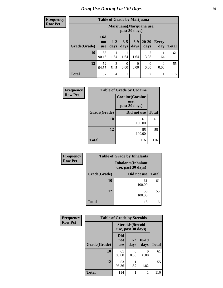**Frequency Row Pct**

| <b>Table of Grade by Marijuana</b> |                                 |                                            |                 |                 |                        |                     |              |
|------------------------------------|---------------------------------|--------------------------------------------|-----------------|-----------------|------------------------|---------------------|--------------|
|                                    |                                 | Marijuana (Marijuana use,<br>past 30 days) |                 |                 |                        |                     |              |
| Grade(Grade)                       | <b>Did</b><br>not<br><b>use</b> | $1-2$<br>days                              | $3 - 5$<br>days | $6 - 9$<br>days | $20 - 29$<br>days      | <b>Every</b><br>day | <b>Total</b> |
| 10                                 | 55<br>90.16                     | 1.64                                       | 1.64            | 1.64            | $\mathfrak{D}$<br>3.28 | 1.64                | 61           |
| 12                                 | 52<br>94.55                     | 3<br>5.45                                  | 0<br>0.00       | 0<br>0.00       | 0<br>0.00              | 0<br>0.00           | 55           |
| <b>Total</b>                       | 107                             | 4                                          |                 |                 | $\overline{2}$         |                     | 116          |

| Frequency      | <b>Table of Grade by Cocaine</b> |                                                  |              |
|----------------|----------------------------------|--------------------------------------------------|--------------|
| <b>Row Pct</b> |                                  | <b>Cocaine</b> (Cocaine<br>use,<br>past 30 days) |              |
|                | Grade(Grade)                     | Did not use                                      | <b>Total</b> |
|                | 10                               | 61<br>100.00                                     | 61           |
|                | 12                               | 55<br>100.00                                     | 55           |
|                | <b>Total</b>                     | 116                                              | 116          |

| Frequency      | <b>Table of Grade by Inhalants</b> |                                                  |              |  |
|----------------|------------------------------------|--------------------------------------------------|--------------|--|
| <b>Row Pct</b> |                                    | <b>Inhalants</b> (Inhalant<br>use, past 30 days) |              |  |
|                | Grade(Grade)                       | Did not use                                      | <b>Total</b> |  |
|                | 10                                 | 61<br>100.00                                     | 61           |  |
|                | 12                                 | 55<br>100.00                                     | 55           |  |
|                | <b>Total</b>                       | 116                                              | 116          |  |

| Frequency      | <b>Table of Grade by Steroids</b> |                          |                                                |                 |              |
|----------------|-----------------------------------|--------------------------|------------------------------------------------|-----------------|--------------|
| <b>Row Pct</b> |                                   |                          | <b>Steroids</b> (Steroid<br>use, past 30 days) |                 |              |
|                | Grade(Grade)                      | Did<br>not<br><b>use</b> | $1 - 2$<br>days                                | $10-19$<br>days | <b>Total</b> |
|                | 10                                | 61<br>100.00             | 0.00                                           | 0.00            | 61           |
|                | 12                                | 53<br>96.36              | 1.82                                           | 1.82            | 55           |
|                | <b>Total</b>                      | 114                      | 1                                              |                 | 116          |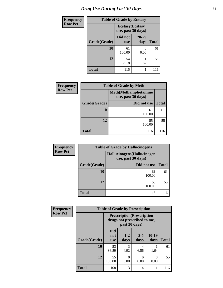# *Drug Use During Last 30 Days* **21**

| <b>Frequency</b> |              | <b>Table of Grade by Ecstasy</b> |                                               |              |  |
|------------------|--------------|----------------------------------|-----------------------------------------------|--------------|--|
| <b>Row Pct</b>   |              |                                  | <b>Ecstasy</b> (Ecstasy<br>use, past 30 days) |              |  |
|                  | Grade(Grade) | Did not<br><b>use</b>            | $20 - 29$<br>days                             | <b>Total</b> |  |
|                  | 10           | 61<br>100.00                     | $\Omega$<br>0.00                              | 61           |  |
|                  | 12           | 54<br>98.18                      | 1.82                                          | 55           |  |
|                  | <b>Total</b> | 115                              |                                               | 116          |  |

| <b>Frequency</b> | <b>Table of Grade by Meth</b> |                                                    |              |  |
|------------------|-------------------------------|----------------------------------------------------|--------------|--|
| <b>Row Pct</b>   |                               | <b>Meth</b> (Methamphetamine<br>use, past 30 days) |              |  |
|                  | Grade(Grade)                  | Did not use                                        | <b>Total</b> |  |
|                  | 10                            | 61<br>100.00                                       | 61           |  |
|                  | 12                            | 55<br>100.00                                       | 55           |  |
|                  | <b>Total</b>                  | 116                                                | 116          |  |

| <b>Frequency</b> |              | <b>Table of Grade by Hallucinogens</b>            |              |  |  |
|------------------|--------------|---------------------------------------------------|--------------|--|--|
| <b>Row Pct</b>   |              | Hallucinogens (Hallucinogen<br>use, past 30 days) |              |  |  |
|                  | Grade(Grade) | Did not use                                       | <b>Total</b> |  |  |
|                  | 10           | 61<br>100.00                                      | 61           |  |  |
|                  | 12           | 55<br>100.00                                      | 55           |  |  |
|                  | <b>Total</b> | 116                                               | 116          |  |  |

| Frequency      | <b>Table of Grade by Prescription</b> |                                                                                   |               |                 |                 |              |
|----------------|---------------------------------------|-----------------------------------------------------------------------------------|---------------|-----------------|-----------------|--------------|
| <b>Row Pct</b> |                                       | <b>Prescription</b> (Prescription<br>drugs not prescribed to me,<br>past 30 days) |               |                 |                 |              |
|                | Grade(Grade)                          | <b>Did</b><br>not<br><b>use</b>                                                   | $1-2$<br>days | $3 - 5$<br>days | $10-19$<br>days | <b>Total</b> |
|                | 10                                    | 53<br>86.89                                                                       | 3<br>4.92     | 4<br>6.56       | 1.64            | 61           |
|                | 12                                    | 55<br>100.00                                                                      | 0<br>0.00     | 0.00            | 0<br>0.00       | 55           |
|                | <b>Total</b>                          | 108                                                                               | 3             | 4               |                 | 116          |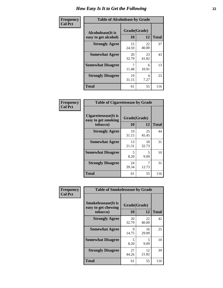| Frequency      | <b>Table of Alcoholease by Grade</b>              |                    |             |              |  |
|----------------|---------------------------------------------------|--------------------|-------------|--------------|--|
| <b>Col Pct</b> | <b>Alcoholease</b> (It is<br>easy to get alcohol) | Grade(Grade)<br>10 | 12          | <b>Total</b> |  |
|                | <b>Strongly Agree</b>                             | 15<br>24.59        | 22<br>40.00 | 37           |  |
|                | <b>Somewhat Agree</b>                             | 20<br>32.79        | 23<br>41.82 | 43           |  |
|                | <b>Somewhat Disagree</b>                          | 7<br>11.48         | 6<br>10.91  | 13           |  |
|                | <b>Strongly Disagree</b>                          | 19<br>31.15        | 4<br>7.27   | 23           |  |
|                | <b>Total</b>                                      | 61                 | 55          | 116          |  |

| Frequency      | <b>Table of Cigarettesease by Grade</b>                  |                           |             |              |  |
|----------------|----------------------------------------------------------|---------------------------|-------------|--------------|--|
| <b>Col Pct</b> | Cigarettesease (It is<br>easy to get smoking<br>tobacco) | Grade(Grade)<br><b>10</b> | 12          | <b>Total</b> |  |
|                | <b>Strongly Agree</b>                                    | 19<br>31.15               | 25<br>45.45 | 44           |  |
|                | <b>Somewhat Agree</b>                                    | 13<br>21.31               | 18<br>32.73 | 31           |  |
|                | <b>Somewhat Disagree</b>                                 | 5<br>8.20                 | 5<br>9.09   | 10           |  |
|                | <b>Strongly Disagree</b>                                 | 24<br>39.34               | 12.73       | 31           |  |
|                | Total                                                    | 61                        | 55          | 116          |  |

| Frequency      | <b>Table of Smokelessease by Grade</b>             |              |             |              |  |
|----------------|----------------------------------------------------|--------------|-------------|--------------|--|
| <b>Col Pct</b> | <b>Smokelessease</b> (It is<br>easy to get chewing | Grade(Grade) |             |              |  |
|                | tobacco)                                           | 10           | 12          | <b>Total</b> |  |
|                | <b>Strongly Agree</b>                              | 20<br>32.79  | 22<br>40.00 | 42           |  |
|                | <b>Somewhat Agree</b>                              | 9<br>14.75   | 16<br>29.09 | 25           |  |
|                | <b>Somewhat Disagree</b>                           | 5<br>8.20    | 5<br>9.09   | 10           |  |
|                | <b>Strongly Disagree</b>                           | 27<br>44.26  | 12<br>21.82 | 39           |  |
|                | <b>Total</b>                                       | 61           | 55          | 116          |  |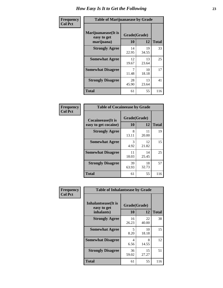| Frequency      | <b>Table of Marijuanaease by Grade</b>            |                           |             |              |
|----------------|---------------------------------------------------|---------------------------|-------------|--------------|
| <b>Col Pct</b> | Marijuanaease (It is<br>easy to get<br>marijuana) | Grade(Grade)<br><b>10</b> | 12          | <b>Total</b> |
|                | <b>Strongly Agree</b>                             | 14<br>22.95               | 19<br>34.55 | 33           |
|                | <b>Somewhat Agree</b>                             | 12<br>19.67               | 13<br>23.64 | 25           |
|                | <b>Somewhat Disagree</b>                          | 7<br>11.48                | 10<br>18.18 | 17           |
|                | <b>Strongly Disagree</b>                          | 28<br>45.90               | 13<br>23.64 | 41           |
|                | <b>Total</b>                                      | 61                        | 55          | 116          |

| <b>Table of Cocaineease by Grade</b>              |                    |              |     |  |  |
|---------------------------------------------------|--------------------|--------------|-----|--|--|
| <b>Cocaineease</b> (It is<br>easy to get cocaine) | Grade(Grade)<br>10 | <b>Total</b> |     |  |  |
|                                                   |                    | 12           |     |  |  |
| <b>Strongly Agree</b>                             | 8<br>13.11         | 11<br>20.00  | 19  |  |  |
| <b>Somewhat Agree</b>                             | 3<br>4.92          | 12<br>21.82  | 15  |  |  |
| <b>Somewhat Disagree</b>                          | 11<br>18.03        | 14<br>25.45  | 25  |  |  |
| <b>Strongly Disagree</b>                          | 39<br>63.93        | 18<br>32.73  | 57  |  |  |
| <b>Total</b>                                      | 61                 | 55           | 116 |  |  |

| Frequency      | <b>Table of Inhalantsease by Grade</b>                   |                    |             |              |
|----------------|----------------------------------------------------------|--------------------|-------------|--------------|
| <b>Col Pct</b> | <b>Inhalantsease</b> (It is<br>easy to get<br>inhalants) | Grade(Grade)<br>10 | 12          | <b>Total</b> |
|                | <b>Strongly Agree</b>                                    | 16<br>26.23        | 22<br>40.00 | 38           |
|                | <b>Somewhat Agree</b>                                    | 5<br>8.20          | 10<br>18.18 | 15           |
|                | <b>Somewhat Disagree</b>                                 | 4<br>6.56          | 8<br>14.55  | 12           |
|                | <b>Strongly Disagree</b>                                 | 36<br>59.02        | 15<br>27.27 | 51           |
|                | <b>Total</b>                                             | 61                 | 55          | 116          |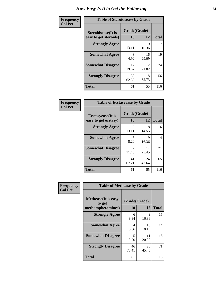| Frequency      | <b>Table of Steroidsease by Grade</b>               |                    |             |              |  |  |  |  |
|----------------|-----------------------------------------------------|--------------------|-------------|--------------|--|--|--|--|
| <b>Col Pct</b> | <b>Steroidsease</b> (It is<br>easy to get steroids) | Grade(Grade)<br>10 | 12          | <b>Total</b> |  |  |  |  |
|                | <b>Strongly Agree</b>                               | 8<br>13.11         | 9<br>16.36  | 17           |  |  |  |  |
|                | <b>Somewhat Agree</b>                               | 3<br>4.92          | 16<br>29.09 | 19           |  |  |  |  |
|                | <b>Somewhat Disagree</b>                            | 12<br>19.67        | 12<br>21.82 | 24           |  |  |  |  |
|                | <b>Strongly Disagree</b>                            | 38<br>62.30        | 18<br>32.73 | 56           |  |  |  |  |
|                | <b>Total</b>                                        | 61                 | 55          | 116          |  |  |  |  |

| Frequency      | <b>Table of Ecstasyease by Grade</b>              |                    |             |              |  |  |  |  |  |
|----------------|---------------------------------------------------|--------------------|-------------|--------------|--|--|--|--|--|
| <b>Col Pct</b> | <b>Ecstasyease</b> (It is<br>easy to get ecstasy) | Grade(Grade)<br>10 | 12          | <b>Total</b> |  |  |  |  |  |
|                | <b>Strongly Agree</b>                             | 8<br>13.11         | 8<br>14.55  | 16           |  |  |  |  |  |
|                | <b>Somewhat Agree</b>                             | 5<br>8.20          | 9<br>16.36  | 14           |  |  |  |  |  |
|                | <b>Somewhat Disagree</b>                          | 7<br>11.48         | 14<br>25.45 | 21           |  |  |  |  |  |
|                | <b>Strongly Disagree</b>                          | 41<br>67.21        | 24<br>43.64 | 65           |  |  |  |  |  |
|                | <b>Total</b>                                      | 61                 | 55          | 116          |  |  |  |  |  |

| Frequency      | <b>Table of Methease by Grade</b>                          |                    |             |              |
|----------------|------------------------------------------------------------|--------------------|-------------|--------------|
| <b>Col Pct</b> | <b>Methease</b> (It is easy<br>to get<br>methamphetamines) | Grade(Grade)<br>10 | 12          | <b>Total</b> |
|                | <b>Strongly Agree</b>                                      | 6<br>9.84          | 9<br>16.36  | 15           |
|                | <b>Somewhat Agree</b>                                      | 4<br>6.56          | 10<br>18.18 | 14           |
|                | <b>Somewhat Disagree</b>                                   | 5<br>8.20          | 11<br>20.00 | 16           |
|                | <b>Strongly Disagree</b>                                   | 46<br>75.41        | 25<br>45.45 | 71           |
|                | <b>Total</b>                                               | 61                 | 55          | 116          |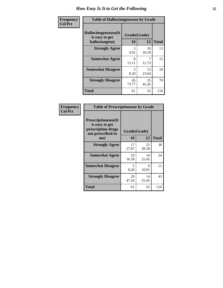| <b>Frequency</b> | <b>Table of Hallucinogensease by Grade</b>               |                    |             |              |  |  |  |  |
|------------------|----------------------------------------------------------|--------------------|-------------|--------------|--|--|--|--|
| <b>Col Pct</b>   | Hallucinogensease(It<br>is easy to get<br>hallucinogens) | Grade(Grade)<br>10 | 12          | <b>Total</b> |  |  |  |  |
|                  | <b>Strongly Agree</b>                                    | 3<br>4.92          | 10<br>18.18 | 13           |  |  |  |  |
|                  | <b>Somewhat Agree</b>                                    | 8<br>13.11         | 7<br>12.73  | 15           |  |  |  |  |
|                  | <b>Somewhat Disagree</b>                                 | 5<br>8.20          | 13<br>23.64 | 18           |  |  |  |  |
|                  | <b>Strongly Disagree</b>                                 | 45<br>73.77        | 25<br>45.45 | 70           |  |  |  |  |
|                  | <b>Total</b>                                             | 61                 | 55          | 116          |  |  |  |  |

| Frequency<br>  Col Pct |
|------------------------|

| <b>Table of Prescriptionease by Grade</b>                                                |              |             |              |  |  |  |  |
|------------------------------------------------------------------------------------------|--------------|-------------|--------------|--|--|--|--|
| <b>Prescriptionease</b> (It<br>is easy to get<br>prescription drugs<br>not prescribed to | Grade(Grade) |             |              |  |  |  |  |
| me)                                                                                      | 10           | 12          | <b>Total</b> |  |  |  |  |
| <b>Strongly Agree</b>                                                                    | 17<br>27.87  | 21<br>38.18 | 38           |  |  |  |  |
| <b>Somewhat Agree</b>                                                                    | 10<br>16.39  | 14<br>25.45 | 24           |  |  |  |  |
| <b>Somewhat Disagree</b>                                                                 | 5<br>8.20    | 6<br>10.91  | 11           |  |  |  |  |
| <b>Strongly Disagree</b>                                                                 | 29<br>47.54  | 14<br>25.45 | 43           |  |  |  |  |
| Total                                                                                    | 61           | 55          | 116          |  |  |  |  |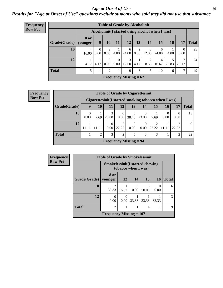#### *Age at Onset of Use* **26** *Results for "Age at Onset of Use" questions exclude students who said they did not use that substance*

| Frequency      | <b>Table of Grade by Alcoholinit</b> |                        |                  |                  |                      |                                                  |           |            |            |           |                  |              |
|----------------|--------------------------------------|------------------------|------------------|------------------|----------------------|--------------------------------------------------|-----------|------------|------------|-----------|------------------|--------------|
| <b>Row Pct</b> |                                      |                        |                  |                  |                      | Alcoholinit (I started using alcohol when I was) |           |            |            |           |                  |              |
|                | Grade(Grade)                         | <b>8 or</b><br>younger | 9                | 10               | 11                   | 12                                               | 13        | 14         | 15         | <b>16</b> | 17               | <b>Total</b> |
|                | 10                                   | 4<br>16.00             | $\Omega$<br>0.00 | 2<br>8.00        | 4.00                 | 6<br>24.00                                       | 2<br>8.00 | 3<br>12.00 | 6<br>24.00 | 4.00      | $\theta$<br>0.00 | 25           |
|                | 12                                   | 4.17                   | 4.17             | $\theta$<br>0.00 | $\Omega$<br>$0.00\,$ | 3<br>12.50                                       | 4.17      | 2<br>8.33  | 4<br>16.67 | 20.83     | 7<br>29.17       | 24           |
|                | <b>Total</b>                         | 5                      | T                | 2                | 1                    | 9                                                | 3         | 5          | 10         | 6         | $\overline{7}$   | 49           |
|                |                                      |                        |                  |                  |                      | Frequency Missing $= 67$                         |           |            |            |           |                  |              |

| <b>Frequency</b> |              | <b>Table of Grade by Cigarettesinit</b> |                |       |                          |                  |                                                       |                   |       |                |              |
|------------------|--------------|-----------------------------------------|----------------|-------|--------------------------|------------------|-------------------------------------------------------|-------------------|-------|----------------|--------------|
| <b>Row Pct</b>   |              |                                         |                |       |                          |                  | Cigarettesinit (I started smoking tobacco when I was) |                   |       |                |              |
|                  | Grade(Grade) | 9                                       | 10             | 11    | 12                       | 13               | 14                                                    | 15                | 16    | 17             | <b>Total</b> |
|                  | 10           | 0.00                                    | 7.69           | 23.08 | 0<br>0.00                | 38.46            | 3<br>23.08                                            | 7.69              | 0.00  | 0<br>0.00      | 13           |
|                  | 12           | 11.11                                   | 11.11          | 0.00  | 2<br>22.22               | $\Omega$<br>0.00 | $\theta$<br>0.00                                      | $\gamma$<br>22.22 | 11.11 | ↑<br>22.22     | 9            |
|                  | <b>Total</b> |                                         | $\overline{2}$ | 3     | $\overline{2}$           | 5                | 3                                                     | 3                 |       | $\overline{2}$ | 22           |
|                  |              |                                         |                |       | Frequency Missing $= 94$ |                  |                                                       |                   |       |                |              |

| Frequency      |              |                                        | <b>Table of Grade by Smokelessinit</b> |                     |            |           |              |  |  |  |
|----------------|--------------|----------------------------------------|----------------------------------------|---------------------|------------|-----------|--------------|--|--|--|
| <b>Row Pct</b> |              | <b>Smokelessinit(I started chewing</b> |                                        | tobacco when I was) |            |           |              |  |  |  |
|                | Grade(Grade) | 8 or<br>vounger                        | <b>12</b>                              | 14                  | 15         | <b>16</b> | <b>Total</b> |  |  |  |
|                | 10           | $\mathfrak{D}$<br>33.33                | 16.67                                  | 0<br>0.00           | 3<br>50.00 | 0.00      | 6            |  |  |  |
|                | 12           | $\Omega$<br>0.00                       | 0.00                                   | 33.33               | 33.33      | 33.33     | 3            |  |  |  |
|                | <b>Total</b> | $\overline{2}$                         |                                        |                     | 4          |           | $\mathbf Q$  |  |  |  |
|                |              | Frequency Missing $= 107$              |                                        |                     |            |           |              |  |  |  |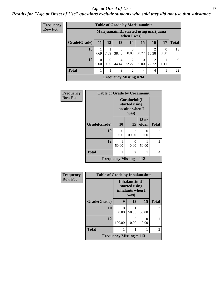#### *Age at Onset of Use* **27**

### *Results for "Age at Onset of Use" questions exclude students who said they did not use that substance*

| Frequency      |              | <b>Table of Grade by Marijuanainit</b> |                  |            |                                                         |                  |                         |                       |              |
|----------------|--------------|----------------------------------------|------------------|------------|---------------------------------------------------------|------------------|-------------------------|-----------------------|--------------|
| <b>Row Pct</b> |              |                                        |                  |            | Marijuanainit (I started using marijuana<br>when I was) |                  |                         |                       |              |
|                | Grade(Grade) | 11                                     | 12               | 13         | 14                                                      | 15               | 16                      | 17                    | <b>Total</b> |
|                | 10           | 7.69                                   | 7.69             | 5<br>38.46 | $\Omega$<br>0.00                                        | 4<br>30.77       | $\mathfrak{D}$<br>15.38 | $\mathcal{L}$<br>0.00 | 13           |
|                | 12           | 0.00                                   | $\Omega$<br>0.00 | 4<br>44.44 | $\mathfrak{D}$<br>22.22                                 | $\Omega$<br>0.00 | 22.22                   | 11.11                 | 9            |
|                | <b>Total</b> |                                        |                  | 9          | 2                                                       | 4                | 4                       |                       | 22           |
|                |              |                                        |                  |            | <b>Frequency Missing = 94</b>                           |                  |                         |                       |              |

| Frequency      | <b>Table of Grade by Cocaineinit</b> |           |                                                          |                       |                |  |  |  |
|----------------|--------------------------------------|-----------|----------------------------------------------------------|-----------------------|----------------|--|--|--|
| <b>Row Pct</b> |                                      |           | Cocaineinit(I<br>started using<br>cocaine when I<br>was) |                       |                |  |  |  |
|                | Grade(Grade)                         | 10        | 15                                                       | <b>18 or</b><br>older | <b>Total</b>   |  |  |  |
|                | 10                                   | 0<br>0.00 | 2<br>100.00                                              | 0<br>0.00             | $\mathfrak{D}$ |  |  |  |
|                | 12                                   | 50.00     | 0<br>0.00                                                | 50.00                 | 2              |  |  |  |
|                | <b>Total</b>                         |           | 2                                                        | 1                     | 4              |  |  |  |
|                |                                      |           | <b>Frequency Missing = 112</b>                           |                       |                |  |  |  |

| <b>Frequency</b> | <b>Table of Grade by Inhalantsinit</b> |                                |                                                              |           |                |  |  |  |
|------------------|----------------------------------------|--------------------------------|--------------------------------------------------------------|-----------|----------------|--|--|--|
| <b>Row Pct</b>   |                                        |                                | Inhalantsinit(I<br>started using<br>inhalants when I<br>was) |           |                |  |  |  |
|                  | Grade(Grade)                           | 9                              | 13                                                           | 15        | <b>Total</b>   |  |  |  |
|                  | 10                                     | 0<br>0.00                      | 50.00                                                        | 50.00     | $\overline{2}$ |  |  |  |
|                  | 12                                     | 100.00                         | 0<br>0.00                                                    | 0<br>0.00 |                |  |  |  |
|                  | <b>Total</b>                           |                                |                                                              |           | 3              |  |  |  |
|                  |                                        | <b>Frequency Missing = 113</b> |                                                              |           |                |  |  |  |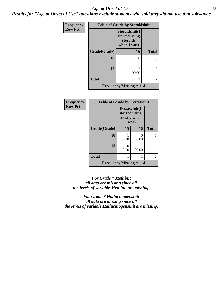#### *Age at Onset of Use* **28**

*Results for "Age at Onset of Use" questions exclude students who said they did not use that substance*

| Frequency      | <b>Table of Grade by Steroidsinit</b> |                                                            |                |  |
|----------------|---------------------------------------|------------------------------------------------------------|----------------|--|
| <b>Row Pct</b> |                                       | Steroidsinit(I<br>started using<br>steroids<br>when I was) |                |  |
|                | Grade(Grade)                          | 16                                                         | <b>Total</b>   |  |
|                | 10                                    | $\theta$                                                   | 0              |  |
|                | 12                                    | $\mathfrak{D}$<br>100.00                                   | $\overline{2}$ |  |
|                | <b>Total</b>                          | 2                                                          | $\overline{2}$ |  |
|                |                                       | <b>Frequency Missing <math>= 114</math></b>                |                |  |

| <b>Frequency</b> | <b>Table of Grade by Ecstasyinit</b> |                                                          |        |              |
|------------------|--------------------------------------|----------------------------------------------------------|--------|--------------|
| <b>Row Pct</b>   |                                      | Ecstasyinit(I<br>started using<br>ecstasy when<br>I was) |        |              |
|                  | Grade(Grade)                         | 15                                                       | 16     | <b>Total</b> |
|                  | 10                                   | 100.00                                                   | 0.00   |              |
|                  | 12                                   | 0<br>0.00                                                | 100.00 |              |
|                  | <b>Total</b>                         | 1                                                        |        | 2            |
|                  | Frequency Missing $= 114$            |                                                          |        |              |

*For Grade \* Methinit all data are missing since all the levels of variable Methinit are missing.*

*For Grade \* Hallucinogensinit all data are missing since all the levels of variable Hallucinogensinit are missing.*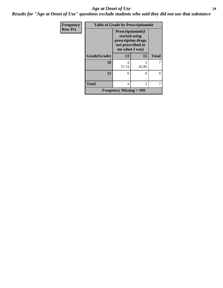#### *Age at Onset of Use* **29**

*Results for "Age at Onset of Use" questions exclude students who said they did not use that substance*

| Frequency      | <b>Table of Grade by Prescriptioninit</b> |                                                                                                          |            |              |
|----------------|-------------------------------------------|----------------------------------------------------------------------------------------------------------|------------|--------------|
| <b>Row Pct</b> |                                           | <b>Prescriptioninit(I)</b><br>started using<br>prescription drugs<br>not prescribed to<br>me when I was) |            |              |
|                | Grade(Grade)                              | 13                                                                                                       | 15         | <b>Total</b> |
|                | 10                                        | 4<br>57.14                                                                                               | 3<br>42.86 |              |
|                | 12                                        | 0                                                                                                        | 0          | 0            |
|                | <b>Total</b>                              | 4                                                                                                        | 3          | 7            |
|                |                                           | <b>Frequency Missing <math>= 109</math></b>                                                              |            |              |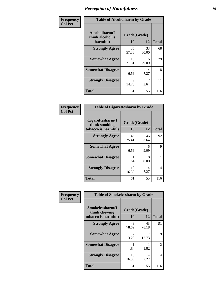| Frequency      | <b>Table of Alcoholharm by Grade</b>          |                    |                        |              |
|----------------|-----------------------------------------------|--------------------|------------------------|--------------|
| <b>Col Pct</b> | Alcoholharm(I<br>think alcohol is<br>harmful) | Grade(Grade)<br>10 | 12                     | <b>Total</b> |
|                | <b>Strongly Agree</b>                         | 35<br>57.38        | 33<br>60.00            | 68           |
|                | <b>Somewhat Agree</b>                         | 13<br>21.31        | 16<br>29.09            | 29           |
|                | <b>Somewhat Disagree</b>                      | 4<br>6.56          | 4<br>7.27              | 8            |
|                | <b>Strongly Disagree</b>                      | 9<br>14.75         | $\mathfrak{D}$<br>3.64 | 11           |
|                | <b>Total</b>                                  | 61                 | 55                     | 116          |

| <b>Table of Cigarettesharm by Grade</b>                  |                    |                           |              |  |
|----------------------------------------------------------|--------------------|---------------------------|--------------|--|
| Cigarettesharm(I<br>think smoking<br>tobacco is harmful) | Grade(Grade)<br>10 | 12                        | <b>Total</b> |  |
| <b>Strongly Agree</b>                                    | 46<br>75.41        | 46<br>83.64               | 92           |  |
| <b>Somewhat Agree</b>                                    | 4<br>6.56          | 5<br>9.09                 | 9            |  |
| <b>Somewhat Disagree</b>                                 | 1<br>1.64          | $\mathbf{\Omega}$<br>0.00 | 1            |  |
| <b>Strongly Disagree</b>                                 | 10<br>16.39        | 4<br>7.27                 | 14           |  |
| <b>Total</b>                                             | 61                 | 55                        | 116          |  |

| Frequency      | <b>Table of Smokelessharm by Grade</b>                  |                    |             |              |  |
|----------------|---------------------------------------------------------|--------------------|-------------|--------------|--|
| <b>Col Pct</b> | Smokelessharm(I<br>think chewing<br>tobacco is harmful) | Grade(Grade)<br>10 | 12          | <b>Total</b> |  |
|                | <b>Strongly Agree</b>                                   | 48<br>78.69        | 43<br>78.18 | 91           |  |
|                | <b>Somewhat Agree</b>                                   | 2<br>3.28          | 12.73       | 9            |  |
|                | <b>Somewhat Disagree</b>                                | 1.64               | 1.82        | 2            |  |
|                | <b>Strongly Disagree</b>                                | 10<br>16.39        | 4<br>7.27   | 14           |  |
|                | <b>Total</b>                                            | 61                 | 55          | 116          |  |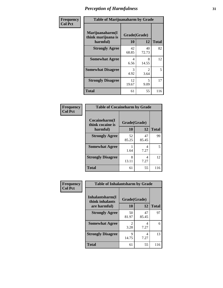| Frequency      | <b>Table of Marijuanaharm by Grade</b>            |                    |                        |              |
|----------------|---------------------------------------------------|--------------------|------------------------|--------------|
| <b>Col Pct</b> | Marijuanaharm(I<br>think marijuana is<br>harmful) | Grade(Grade)<br>10 | 12                     | <b>Total</b> |
|                | <b>Strongly Agree</b>                             | 42<br>68.85        | 40<br>72.73            | 82           |
|                | <b>Somewhat Agree</b>                             | 4<br>6.56          | 8<br>14.55             | 12           |
|                | <b>Somewhat Disagree</b>                          | 3<br>4.92          | $\mathfrak{D}$<br>3.64 | 5            |
|                | <b>Strongly Disagree</b>                          | 12<br>19.67        | 5<br>9.09              | 17           |
|                | <b>Total</b>                                      | 61                 | 55                     | 116          |

#### **Frequency Col Pct**

| <b>Table of Cocaineharm by Grade</b> |              |             |     |  |
|--------------------------------------|--------------|-------------|-----|--|
| Cocaineharm(I<br>think cocaine is    | Grade(Grade) |             |     |  |
| harmful)                             | <b>Total</b> |             |     |  |
| <b>Strongly Agree</b>                | 52<br>85.25  | 47<br>85.45 | 99  |  |
| <b>Somewhat Agree</b>                | 1.64         | 4<br>7.27   | 5   |  |
| <b>Strongly Disagree</b>             | 8<br>13.11   | 4<br>7.27   | 12  |  |
| <b>Total</b>                         | 61           | 55          | 116 |  |

| <b>Table of Inhalantsharm by Grade</b> |             |             |     |  |  |
|----------------------------------------|-------------|-------------|-----|--|--|
| Inhalantsharm(I<br>think inhalants     |             |             |     |  |  |
| are harmful)                           | 10          | 12          |     |  |  |
| <b>Strongly Agree</b>                  | 50<br>81.97 | 47<br>85.45 | 97  |  |  |
| <b>Somewhat Agree</b>                  | 2<br>3.28   | 4<br>7.27   | 6   |  |  |
| <b>Strongly Disagree</b>               | 9<br>14.75  | 7.27        | 13  |  |  |
| <b>Total</b>                           | 61          | 55          | 116 |  |  |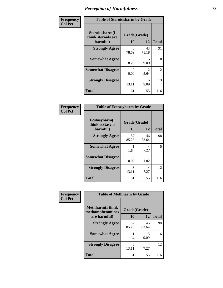| Frequency      | <b>Table of Steroidsharm by Grade</b>            |                    |                                  |              |
|----------------|--------------------------------------------------|--------------------|----------------------------------|--------------|
| <b>Col Pct</b> | Steroidsharm(I<br>think steroids are<br>harmful) | Grade(Grade)<br>10 | 12                               | <b>Total</b> |
|                | <b>Strongly Agree</b>                            | 48<br>78.69        | 43<br>78.18                      | 91           |
|                | <b>Somewhat Agree</b>                            | 5<br>8.20          | 5<br>9.09                        | 10           |
|                | <b>Somewhat Disagree</b>                         | $\Omega$<br>0.00   | $\mathfrak{D}$<br>3.64           | 2            |
|                | <b>Strongly Disagree</b>                         | 8<br>13.11         | $\overline{\phantom{0}}$<br>9.09 | 13           |
|                | <b>Total</b>                                     | 61                 | 55                               | 116          |

| <b>Table of Ecstasyharm by Grade</b>          |                    |              |     |  |
|-----------------------------------------------|--------------------|--------------|-----|--|
| Ecstasyharm(I<br>think ecstasy is<br>harmful) | Grade(Grade)<br>10 | <b>Total</b> |     |  |
| <b>Strongly Agree</b>                         | 52<br>85.25        | 46<br>83.64  | 98  |  |
| <b>Somewhat Agree</b>                         | 1<br>1.64          | 4<br>7.27    | 5   |  |
| <b>Somewhat Disagree</b>                      | 0<br>0.00          | 1.82         | 1   |  |
| <b>Strongly Disagree</b>                      | 8<br>13.11         | 4<br>7.27    | 12  |  |
| <b>Total</b>                                  | 61                 | 55           | 116 |  |

| Frequency      | <b>Table of Methharm by Grade</b>            |              |             |              |
|----------------|----------------------------------------------|--------------|-------------|--------------|
| <b>Col Pct</b> | <b>Methharm</b> (I think<br>methamphetamines | Grade(Grade) |             |              |
|                | are harmful)                                 | 10           | 12          | <b>Total</b> |
|                | <b>Strongly Agree</b>                        | 52<br>85.25  | 46<br>83.64 | 98           |
|                | <b>Somewhat Agree</b>                        | 1.64         | 5<br>9.09   | 6            |
|                | <b>Strongly Disagree</b>                     | 8<br>13.11   | 4<br>7.27   | 12           |
|                | <b>Total</b>                                 | 61           | 55          | 116          |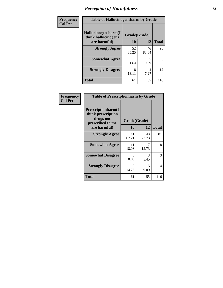| Frequency | <b>Table of Hallucinogensharm by Grade</b>                 |                    |             |              |
|-----------|------------------------------------------------------------|--------------------|-------------|--------------|
| Col Pct   | Hallucinogensharm(I<br>think hallucinogens<br>are harmful) | Grade(Grade)<br>10 | 12          | <b>Total</b> |
|           | <b>Strongly Agree</b>                                      | 52<br>85.25        | 46<br>83.64 | 98           |
|           | <b>Somewhat Agree</b>                                      | 1.64               | 5<br>9.09   | 6            |
|           | <b>Strongly Disagree</b>                                   | 8<br>13.11         | 4<br>7.27   | 12           |
|           | <b>Total</b>                                               | 61                 | 55          | 116          |

| Frequency      | <b>Table of Prescriptionharm by Grade</b>                                 |              |             |              |
|----------------|---------------------------------------------------------------------------|--------------|-------------|--------------|
| <b>Col Pct</b> | Prescriptionharm(I<br>think prescription<br>drugs not<br>prescribed to me | Grade(Grade) |             |              |
|                | are harmful)                                                              | 10           | 12          | <b>Total</b> |
|                | <b>Strongly Agree</b>                                                     | 41<br>67.21  | 40<br>72.73 | 81           |
|                | <b>Somewhat Agree</b>                                                     | 11<br>18.03  | 7<br>12.73  | 18           |
|                | <b>Somewhat Disagree</b>                                                  | 0<br>0.00    | 3<br>5.45   | 3            |
|                | <b>Strongly Disagree</b>                                                  | 9<br>14.75   | 5<br>9.09   | 14           |
|                | Total                                                                     | 61           | 55          | 116          |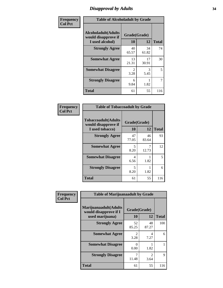# *Disapproval by Adults* **34**

| Frequency      | <b>Table of Alcoholadult by Grade</b>                                 |                        |                       |              |
|----------------|-----------------------------------------------------------------------|------------------------|-----------------------|--------------|
| <b>Col Pct</b> | <b>Alcoholadult</b> (Adults<br>would disapprove if<br>I used alcohol) | Grade(Grade)<br>10     | 12                    | <b>Total</b> |
|                | <b>Strongly Agree</b>                                                 | 40<br>65.57            | 34<br>61.82           | 74           |
|                | <b>Somewhat Agree</b>                                                 | 13<br>21.31            | 17<br>30.91           | 30           |
|                | <b>Somewhat Disagree</b>                                              | $\mathfrak{D}$<br>3.28 | $\mathcal{F}$<br>5.45 | 5            |
|                | <b>Strongly Disagree</b>                                              | 6<br>9.84              | 1.82                  | 7            |
|                | <b>Total</b>                                                          | 61                     | 55                    | 116          |

| <b>Table of Tobaccoadult by Grade</b>                                 |                    |             |              |  |  |
|-----------------------------------------------------------------------|--------------------|-------------|--------------|--|--|
| <b>Tobaccoadult</b> (Adults<br>would disapprove if<br>I used tobacco) | Grade(Grade)<br>10 | 12          | <b>Total</b> |  |  |
| <b>Strongly Agree</b>                                                 | 47<br>77.05        | 46<br>83.64 | 93           |  |  |
| <b>Somewhat Agree</b>                                                 | 5<br>8.20          | 12.73       | 12           |  |  |
| <b>Somewhat Disagree</b>                                              | 4<br>6.56          | 1.82        | 5            |  |  |
| <b>Strongly Disagree</b>                                              | 5<br>8.20          | 1.82        | 6            |  |  |
| <b>Total</b>                                                          | 61                 | 55          | 116          |  |  |

| Frequency<br><b>Col Pct</b> | <b>Table of Marijuanaadult by Grade</b>                           |                        |                        |              |
|-----------------------------|-------------------------------------------------------------------|------------------------|------------------------|--------------|
|                             | Marijuanaadult(Adults<br>would disapprove if I<br>used marijuana) | Grade(Grade)<br>10     | 12                     | <b>Total</b> |
|                             | <b>Strongly Agree</b>                                             | 52<br>85.25            | 48<br>87.27            | 100          |
|                             | <b>Somewhat Agree</b>                                             | $\mathfrak{D}$<br>3.28 | 4<br>7.27              | 6            |
|                             | <b>Somewhat Disagree</b>                                          | 0<br>0.00              | 1.82                   |              |
|                             | <b>Strongly Disagree</b>                                          | 11.48                  | $\mathfrak{D}$<br>3.64 | 9            |
|                             | <b>Total</b>                                                      | 61                     | 55                     | 116          |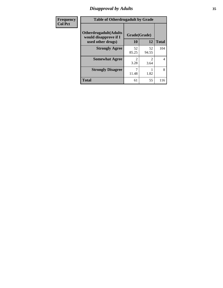# *Disapproval by Adults* **35**

| Frequency      | <b>Table of Otherdrugadult by Grade</b>                                     |                           |                        |              |
|----------------|-----------------------------------------------------------------------------|---------------------------|------------------------|--------------|
| <b>Col Pct</b> | <b>Otherdrugadult</b> (Adults<br>would disapprove if I<br>used other drugs) | Grade(Grade)<br><b>10</b> | 12                     | <b>Total</b> |
|                | <b>Strongly Agree</b>                                                       | 52<br>85.25               | 52<br>94.55            | 104          |
|                | <b>Somewhat Agree</b>                                                       | 2<br>3.28                 | $\mathfrak{D}$<br>3.64 | 4            |
|                | <b>Strongly Disagree</b>                                                    | 11.48                     | 1.82                   | 8            |
|                | <b>Total</b>                                                                | 61                        | 55                     | 116          |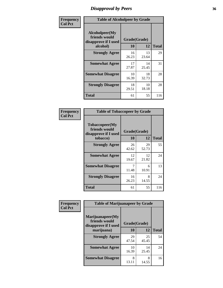# *Disapproval by Peers* **36**

| Frequency      | <b>Table of Alcoholpeer by Grade</b>                    |              |             |              |
|----------------|---------------------------------------------------------|--------------|-------------|--------------|
| <b>Col Pct</b> | Alcoholpeer(My<br>friends would<br>disapprove if I used | Grade(Grade) |             |              |
|                | alcohol)                                                | 10           | 12          | <b>Total</b> |
|                | <b>Strongly Agree</b>                                   | 16<br>26.23  | 13<br>23.64 | 29           |
|                | <b>Somewhat Agree</b>                                   | 17<br>27.87  | 14<br>25.45 | 31           |
|                | <b>Somewhat Disagree</b>                                | 10<br>16.39  | 18<br>32.73 | 28           |
|                | <b>Strongly Disagree</b>                                | 18<br>29.51  | 10<br>18.18 | 28           |
|                | Total                                                   | 61           | 55          | 116          |

| Frequency      | <b>Table of Tobaccopeer by Grade</b>                    |              |             |              |
|----------------|---------------------------------------------------------|--------------|-------------|--------------|
| <b>Col Pct</b> | Tobaccopeer(My<br>friends would<br>disapprove if I used | Grade(Grade) |             |              |
|                | tobacco)                                                | 10           | 12          | <b>Total</b> |
|                | <b>Strongly Agree</b>                                   | 26<br>42.62  | 29<br>52.73 | 55           |
|                | <b>Somewhat Agree</b>                                   | 12<br>19.67  | 12<br>21.82 | 24           |
|                | <b>Somewhat Disagree</b>                                | 7<br>11.48   | 6<br>10.91  | 13           |
|                | <b>Strongly Disagree</b>                                | 16<br>26.23  | 8<br>14.55  | 24           |
|                | Total                                                   | 61           | 55          | 116          |

| Frequency      | <b>Table of Marijuanapeer by Grade</b> |                    |             |              |
|----------------|----------------------------------------|--------------------|-------------|--------------|
| <b>Col Pct</b> | Marijuanapeer(My<br>friends would      |                    |             |              |
|                | disapprove if I used<br>marijuana)     | Grade(Grade)<br>10 | 12          | <b>Total</b> |
|                | <b>Strongly Agree</b>                  | 29<br>47.54        | 25<br>45.45 | 54           |
|                | <b>Somewhat Agree</b>                  | 10<br>16.39        | 14<br>25.45 | 24           |
|                | <b>Somewhat Disagree</b>               | 8<br>13.11         | 8<br>14.55  | 16           |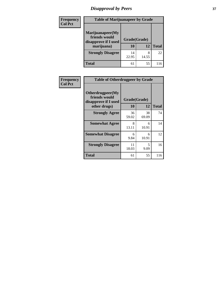# *Disapproval by Peers* **37**

| <b>Frequency</b> | <b>Table of Marijuanapeer by Grade</b>                                  |                    |            |              |
|------------------|-------------------------------------------------------------------------|--------------------|------------|--------------|
| <b>Col Pct</b>   | Marijuanapeer(My<br>friends would<br>disapprove if I used<br>marijuana) | Grade(Grade)<br>10 | 12         | <b>Total</b> |
|                  | <b>Strongly Disagree</b>                                                | 14<br>22.95        | 8<br>14.55 | 22           |
|                  | <b>Total</b>                                                            | 61                 | 55         | 116          |

| Frequency      | <b>Table of Otherdrugpeer by Grade</b>                                    |                    |             |              |
|----------------|---------------------------------------------------------------------------|--------------------|-------------|--------------|
| <b>Col Pct</b> | Otherdrugpeer(My<br>friends would<br>disapprove if I used<br>other drugs) | Grade(Grade)<br>10 | 12          | <b>Total</b> |
|                | <b>Strongly Agree</b>                                                     | 36<br>59.02        | 38<br>69.09 | 74           |
|                | <b>Somewhat Agree</b>                                                     | 8<br>13.11         | 6<br>10.91  | 14           |
|                | <b>Somewhat Disagree</b>                                                  | 6<br>9.84          | 6<br>10.91  | 12           |
|                | <b>Strongly Disagree</b>                                                  | 11<br>18.03        | 5<br>9.09   | 16           |
|                | <b>Total</b>                                                              | 61                 | 55          | 116          |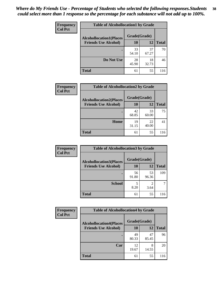| Frequency      | <b>Table of Alcohollocation1 by Grade</b> |              |             |              |
|----------------|-------------------------------------------|--------------|-------------|--------------|
| <b>Col Pct</b> | <b>Alcohollocation1(Places</b>            | Grade(Grade) |             |              |
|                | <b>Friends Use Alcohol)</b>               | 10           | 12          | <b>Total</b> |
|                |                                           | 33<br>54.10  | 37<br>67.27 | 70           |
|                | Do Not Use                                | 28<br>45.90  | 18<br>32.73 | 46           |
|                | <b>Total</b>                              | 61           | 55          | 116          |

| Frequency      | <b>Table of Alcohollocation2 by Grade</b>                     |                    |             |              |
|----------------|---------------------------------------------------------------|--------------------|-------------|--------------|
| <b>Col Pct</b> | <b>Alcohollocation2(Places</b><br><b>Friends Use Alcohol)</b> | Grade(Grade)<br>10 | <b>12</b>   | <b>Total</b> |
|                |                                                               | 42<br>68.85        | 33<br>60.00 | 75           |
|                | Home                                                          | 19<br>31.15        | 22<br>40.00 | 41           |
|                | <b>Total</b>                                                  | 61                 | 55          | 116          |

| Frequency<br><b>Col Pct</b> | <b>Table of Alcohollocation3 by Grade</b>                     |                    |                |              |
|-----------------------------|---------------------------------------------------------------|--------------------|----------------|--------------|
|                             | <b>Alcohollocation3(Places</b><br><b>Friends Use Alcohol)</b> | Grade(Grade)<br>10 | 12             | <b>Total</b> |
|                             |                                                               | 56                 | 53             | 109          |
|                             |                                                               | 91.80              | 96.36          |              |
|                             | <b>School</b>                                                 | 5                  | $\mathfrak{D}$ |              |
|                             |                                                               | 8.20               | 3.64           |              |
|                             | <b>Total</b>                                                  | 61                 | 55             | 116          |

| <b>Frequency</b> | <b>Table of Alcohollocation4 by Grade</b> |              |             |              |  |
|------------------|-------------------------------------------|--------------|-------------|--------------|--|
| <b>Col Pct</b>   | <b>Alcohollocation4(Places</b>            | Grade(Grade) |             |              |  |
|                  | <b>Friends Use Alcohol)</b>               | 10           | 12          | <b>Total</b> |  |
|                  |                                           | 49<br>80.33  | 47<br>85.45 | 96           |  |
|                  | Car                                       | 12<br>19.67  | 8<br>14.55  | 20           |  |
|                  | <b>Total</b>                              | 61           | 55          | 116          |  |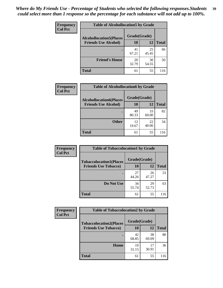| Frequency<br><b>Col Pct</b> | <b>Table of Alcohollocation5 by Grade</b> |              |             |              |  |
|-----------------------------|-------------------------------------------|--------------|-------------|--------------|--|
|                             | <b>Alcohollocation5(Places</b>            | Grade(Grade) |             |              |  |
|                             | <b>Friends Use Alcohol)</b>               | 10           | 12          | <b>Total</b> |  |
|                             |                                           | 41<br>67.21  | 25<br>45.45 | 66           |  |
|                             | <b>Friend's House</b>                     | 20<br>32.79  | 30<br>54.55 | 50           |  |
|                             | <b>Total</b>                              | 61           | 55          | 116          |  |

| Frequency      | <b>Table of Alcohollocation6 by Grade</b>                     |                    |             |              |  |
|----------------|---------------------------------------------------------------|--------------------|-------------|--------------|--|
| <b>Col Pct</b> | <b>Alcohollocation6(Places</b><br><b>Friends Use Alcohol)</b> | Grade(Grade)<br>10 | 12          | <b>Total</b> |  |
|                |                                                               |                    |             |              |  |
|                |                                                               | 49<br>80.33        | 33<br>60.00 | 82           |  |
|                | <b>Other</b>                                                  | 12<br>19.67        | 22<br>40.00 | 34           |  |
|                | Total                                                         | 61                 | 55          | 116          |  |

| Frequency      | <b>Table of Tobaccolocation1 by Grade</b> |              |             |              |
|----------------|-------------------------------------------|--------------|-------------|--------------|
| <b>Col Pct</b> | <b>Tobaccolocation1(Places</b>            | Grade(Grade) |             |              |
|                | <b>Friends Use Tobacco)</b>               | 10           | <b>12</b>   | <b>Total</b> |
|                |                                           | 27<br>44.26  | 26<br>47.27 | 53           |
|                | <b>Do Not Use</b>                         | 34<br>55.74  | 29<br>52.73 | 63           |
|                | <b>Total</b>                              | 61           | 55          | 116          |

| <b>Frequency</b> | <b>Table of Tobaccolocation2 by Grade</b> |              |             |              |  |
|------------------|-------------------------------------------|--------------|-------------|--------------|--|
| <b>Col Pct</b>   | <b>Tobaccolocation2(Places</b>            | Grade(Grade) |             |              |  |
|                  | <b>Friends Use Tobacco)</b>               | 10           | 12          | <b>Total</b> |  |
|                  |                                           | 42<br>68.85  | 38<br>69.09 | 80           |  |
|                  | Home                                      | 19<br>31.15  | 17<br>30.91 | 36           |  |
|                  | <b>Total</b>                              | 61           | 55          | 116          |  |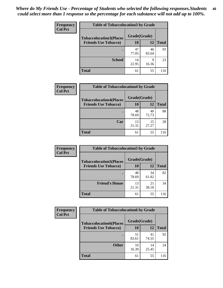| Frequency      | <b>Table of Tobaccolocation 3 by Grade</b> |              |             |              |
|----------------|--------------------------------------------|--------------|-------------|--------------|
| <b>Col Pct</b> | <b>Tobaccolocation3(Places</b>             | Grade(Grade) |             |              |
|                | <b>Friends Use Tobacco)</b>                | 10           | <b>12</b>   | <b>Total</b> |
|                | ٠                                          | 47<br>77.05  | 46<br>83.64 | 93           |
|                | <b>School</b>                              | 14<br>22.95  | 9<br>16.36  | 23           |
|                | <b>Total</b>                               | 61           | 55          | 116          |

| Frequency<br><b>Col Pct</b> | <b>Table of Tobaccolocation4 by Grade</b> |              |             |              |  |
|-----------------------------|-------------------------------------------|--------------|-------------|--------------|--|
|                             | <b>Tobaccolocation4(Places</b>            | Grade(Grade) |             |              |  |
|                             | <b>Friends Use Tobacco)</b>               | 10           | <b>12</b>   | <b>Total</b> |  |
|                             |                                           | 48<br>78.69  | 40<br>72.73 | 88           |  |
|                             | Car                                       | 13<br>21.31  | 15<br>27.27 | 28           |  |
|                             | <b>Total</b>                              | 61           | 55          | 116          |  |

| Frequency      | <b>Table of Tobaccolocation5 by Grade</b> |              |             |              |
|----------------|-------------------------------------------|--------------|-------------|--------------|
| <b>Col Pct</b> | <b>Tobaccolocation5(Places</b>            | Grade(Grade) |             |              |
|                | <b>Friends Use Tobacco)</b>               | 10           | <b>12</b>   | <b>Total</b> |
|                |                                           | 48<br>78.69  | 34<br>61.82 | 82           |
|                | <b>Friend's House</b>                     | 13<br>21.31  | 21<br>38.18 | 34           |
|                | <b>Total</b>                              | 61           | 55          | 116          |

| <b>Frequency</b> | <b>Table of Tobaccolocation6 by Grade</b> |              |             |              |  |
|------------------|-------------------------------------------|--------------|-------------|--------------|--|
| <b>Col Pct</b>   | <b>Tobaccolocation6(Places</b>            | Grade(Grade) |             |              |  |
|                  | <b>Friends Use Tobacco)</b>               | 10           | 12          | <b>Total</b> |  |
|                  |                                           | 51<br>83.61  | 41<br>74.55 | 92           |  |
|                  | <b>Other</b>                              | 10<br>16.39  | 14<br>25.45 | 24           |  |
|                  | <b>Total</b>                              | 61           | 55          | 116          |  |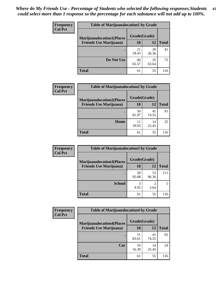| <b>Frequency</b> | <b>Table of Marijuanalocation1 by Grade</b> |              |             |              |
|------------------|---------------------------------------------|--------------|-------------|--------------|
| <b>Col Pct</b>   | <b>Marijuanalocation1(Places</b>            | Grade(Grade) |             |              |
|                  | <b>Friends Use Marijuana</b> )              | 10           | 12          | <b>Total</b> |
|                  |                                             | 21<br>34.43  | 20<br>36.36 | 41           |
|                  | Do Not Use                                  | 40<br>65.57  | 35<br>63.64 | 75           |
|                  | <b>Total</b>                                | 61           | 55          | 116          |

| <b>Frequency</b> | <b>Table of Marijuanalocation2 by Grade</b>                        |                    |             |              |
|------------------|--------------------------------------------------------------------|--------------------|-------------|--------------|
| <b>Col Pct</b>   | <b>Marijuanalocation2(Places</b><br><b>Friends Use Marijuana</b> ) | Grade(Grade)<br>10 | 12          | <b>Total</b> |
|                  |                                                                    | 50<br>81.97        | 41<br>74.55 | 91           |
|                  | Home                                                               | 11<br>18.03        | 14<br>25.45 | 25           |
|                  | <b>Total</b>                                                       | 61                 | 55          | 116          |

| Frequency<br><b>Col Pct</b>    | <b>Table of Marijuanalocation3 by Grade</b> |              |              |     |
|--------------------------------|---------------------------------------------|--------------|--------------|-----|
|                                | <b>Marijuanalocation3</b> (Places           | Grade(Grade) |              |     |
| <b>Friends Use Marijuana</b> ) | <b>10</b>                                   | 12           | <b>Total</b> |     |
|                                |                                             | 58<br>95.08  | 53<br>96.36  | 111 |
|                                | <b>School</b>                               | 4.92         | 3.64         |     |
|                                | <b>Total</b>                                | 61           | 55           | 116 |

| <b>Frequency</b> | <b>Table of Marijuanalocation4 by Grade</b> |              |             |              |
|------------------|---------------------------------------------|--------------|-------------|--------------|
| <b>Col Pct</b>   | <b>Marijuanalocation4(Places</b>            | Grade(Grade) |             |              |
|                  | <b>Friends Use Marijuana</b> )              | <b>10</b>    | 12          | <b>Total</b> |
|                  |                                             | 51<br>83.61  | 41<br>74.55 | 92           |
|                  | Car                                         | 10<br>16.39  | 14<br>25.45 | 24           |
|                  | <b>Total</b>                                | 61           | 55          | 116          |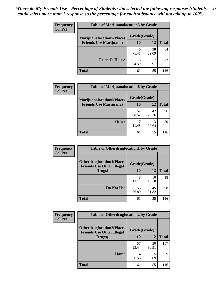| <b>Frequency</b> | <b>Table of Marijuanalocation5 by Grade</b>                         |              |             |              |
|------------------|---------------------------------------------------------------------|--------------|-------------|--------------|
| <b>Col Pct</b>   | <b>Marijuanalocation5(Places)</b><br><b>Friends Use Marijuana</b> ) | Grade(Grade) |             |              |
|                  |                                                                     | 10           | 12          | <b>Total</b> |
|                  |                                                                     | 46<br>75.41  | 38<br>69.09 | 84           |
|                  | <b>Friend's House</b>                                               | 15<br>24.59  | 17<br>30.91 | 32           |
|                  | <b>Total</b>                                                        | 61           | 55          | 116          |

| <b>Frequency</b> | <b>Table of Marijuanalocation6 by Grade</b>                        |                           |             |       |
|------------------|--------------------------------------------------------------------|---------------------------|-------------|-------|
| <b>Col Pct</b>   | <b>Marijuanalocation6(Places</b><br><b>Friends Use Marijuana</b> ) | Grade(Grade)<br><b>10</b> | 12          | Total |
|                  |                                                                    | 54<br>88.52               | 42<br>76.36 | 96    |
|                  | <b>Other</b>                                                       | 11.48                     | 13<br>23.64 | 20    |
|                  | <b>Total</b>                                                       | 61                        | 55          | 116   |

| <b>Frequency</b> | <b>Table of Otherdruglocation1 by Grade</b>                          |              |             |              |
|------------------|----------------------------------------------------------------------|--------------|-------------|--------------|
| <b>Col Pct</b>   | <b>Otherdruglocation1(Places</b><br><b>Friends Use Other Illegal</b> | Grade(Grade) |             |              |
|                  | Drugs)                                                               | 10           | 12          | <b>Total</b> |
|                  |                                                                      | 8<br>13.11   | 10<br>18.18 | 18           |
|                  | Do Not Use                                                           | 53<br>86.89  | 45<br>81.82 | 98           |
|                  | <b>Total</b>                                                         | 61           | 55          | 116          |

| <b>Frequency</b> | <b>Table of Otherdruglocation2 by Grade</b>                          |              |             |              |
|------------------|----------------------------------------------------------------------|--------------|-------------|--------------|
| <b>Col Pct</b>   | <b>Otherdruglocation2(Places</b><br><b>Friends Use Other Illegal</b> | Grade(Grade) |             |              |
|                  | Drugs)                                                               | 10           | 12          | <b>Total</b> |
|                  |                                                                      | 57<br>93.44  | 50<br>90.91 | 107          |
|                  | Home                                                                 | 4<br>6.56    | 5<br>9.09   | 9            |
|                  | <b>Total</b>                                                         | 61           | 55          | 116          |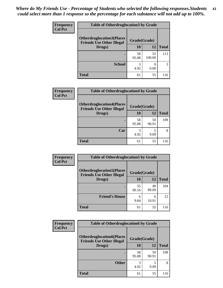| <b>Frequency</b> | <b>Table of Otherdruglocation3 by Grade</b>                           |              |              |              |
|------------------|-----------------------------------------------------------------------|--------------|--------------|--------------|
| <b>Col Pct</b>   | <b>Otherdruglocation3(Places)</b><br><b>Friends Use Other Illegal</b> | Grade(Grade) |              |              |
|                  | Drugs)                                                                | 10           | 12           | <b>Total</b> |
|                  |                                                                       | 58<br>95.08  | 55<br>100.00 | 113          |
|                  | <b>School</b>                                                         | 3<br>4.92    | 0.00         |              |
|                  | <b>Total</b>                                                          | 61           | 55           | 116          |

| Frequency      | <b>Table of Otherdruglocation4 by Grade</b>                          |              |             |              |
|----------------|----------------------------------------------------------------------|--------------|-------------|--------------|
| <b>Col Pct</b> | <b>Otherdruglocation4(Places</b><br><b>Friends Use Other Illegal</b> | Grade(Grade) |             |              |
|                | Drugs)                                                               | 10           | 12          | <b>Total</b> |
|                |                                                                      | 58<br>95.08  | 50<br>90.91 | 108          |
|                | Car                                                                  | 4.92         | 9.09        | 8            |
|                | <b>Total</b>                                                         | 61           | 55          | 116          |

| <b>Frequency</b> | <b>Table of Otherdruglocation5 by Grade</b>                          |              |             |              |
|------------------|----------------------------------------------------------------------|--------------|-------------|--------------|
| <b>Col Pct</b>   | <b>Otherdruglocation5(Places</b><br><b>Friends Use Other Illegal</b> | Grade(Grade) |             |              |
|                  | Drugs)                                                               | 10           | 12          | <b>Total</b> |
|                  |                                                                      | 55<br>90.16  | 49<br>89.09 | 104          |
|                  | <b>Friend's House</b>                                                | 6<br>9.84    | 6<br>10.91  | 12           |
|                  | <b>Total</b>                                                         | 61           | 55          | 116          |

| <b>Frequency</b> | <b>Table of Otherdruglocation6 by Grade</b>                          |              |             |              |
|------------------|----------------------------------------------------------------------|--------------|-------------|--------------|
| <b>Col Pct</b>   | <b>Otherdruglocation6(Places</b><br><b>Friends Use Other Illegal</b> | Grade(Grade) |             |              |
|                  | Drugs)                                                               | 10           | 12          | <b>Total</b> |
|                  |                                                                      | 58<br>95.08  | 50<br>90.91 | 108          |
|                  | <b>Other</b>                                                         | 3<br>4.92    | 9.09        | 8            |
|                  | <b>Total</b>                                                         | 61           | 55          | 116          |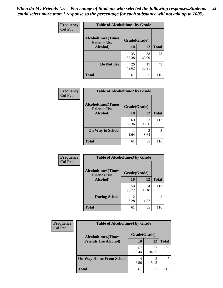| <b>Frequency</b> | <b>Table of Alcoholtime1 by Grade</b>           |              |             |              |  |
|------------------|-------------------------------------------------|--------------|-------------|--------------|--|
| <b>Col Pct</b>   | <b>Alcoholtime1(Times</b><br><b>Friends Use</b> | Grade(Grade) |             |              |  |
|                  | Alcohol)                                        | 10           | 12          | <b>Total</b> |  |
|                  |                                                 | 35<br>57.38  | 38<br>69.09 | 73           |  |
|                  | Do Not Use                                      | 26<br>42.62  | 17<br>30.91 | 43           |  |
|                  | <b>Total</b>                                    | 61           | 55          | 116          |  |

| Frequency      | <b>Table of Alcoholtime2 by Grade</b>           |              |             |              |
|----------------|-------------------------------------------------|--------------|-------------|--------------|
| <b>Col Pct</b> | <b>Alcoholtime2(Times</b><br><b>Friends Use</b> | Grade(Grade) |             |              |
|                | Alcohol)                                        | 10           | 12          | <b>Total</b> |
|                |                                                 | 60<br>98.36  | 53<br>96.36 | 113          |
|                | <b>On Way to School</b>                         | 1.64         | 2<br>3.64   | 3            |
|                | <b>Total</b>                                    | 61           | 55          | 116          |

| Frequency      | <b>Table of Alcoholtime3 by Grade</b>           |                        |             |              |
|----------------|-------------------------------------------------|------------------------|-------------|--------------|
| <b>Col Pct</b> | <b>Alcoholtime3(Times</b><br><b>Friends Use</b> | Grade(Grade)           |             |              |
|                | Alcohol)                                        | <b>10</b>              | <b>12</b>   | <b>Total</b> |
|                |                                                 | 59<br>96.72            | 54<br>98.18 | 113          |
|                | <b>During School</b>                            | $\mathfrak{D}$<br>3.28 | 1.82        | 3            |
|                | <b>Total</b>                                    | 61                     | 55          | 116          |

| <b>Frequency</b><br><b>Col Pct</b> | <b>Table of Alcoholtime4 by Grade</b> |              |             |              |
|------------------------------------|---------------------------------------|--------------|-------------|--------------|
|                                    | <b>Alcoholtime4(Times</b>             | Grade(Grade) |             |              |
|                                    | <b>Friends Use Alcohol)</b>           | 10           | 12          | <b>Total</b> |
|                                    |                                       | 57<br>93.44  | 52<br>94.55 | 109          |
|                                    | <b>On Way Home From School</b>        | 6.56         | 3<br>5.45   |              |
|                                    | <b>Total</b>                          | 61           | 55          | 116          |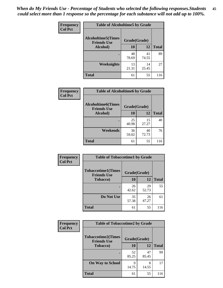*When do My Friends Use - Percentage of Students who selected the following responses.Students could select more than 1 response so the percentage for each substance will not add up to 100%.* **45**

| Frequency      | <b>Table of Alcoholtime5 by Grade</b> |              |             |              |
|----------------|---------------------------------------|--------------|-------------|--------------|
| <b>Col Pct</b> | <b>Alcoholtime5(Times</b>             | Grade(Grade) |             |              |
|                | <b>Friends Use</b><br>Alcohol)        | 10           | <b>12</b>   | <b>Total</b> |
|                |                                       | 48<br>78.69  | 41<br>74.55 | 89           |
|                | <b>Weeknights</b>                     | 13<br>21.31  | 14<br>25.45 | 27           |
|                | <b>Total</b>                          | 61           | 55          | 116          |

| Frequency      | <b>Table of Alcoholtime6 by Grade</b>           |              |             |              |
|----------------|-------------------------------------------------|--------------|-------------|--------------|
| <b>Col Pct</b> | <b>Alcoholtime6(Times</b><br><b>Friends Use</b> | Grade(Grade) |             |              |
|                | <b>Alcohol</b> )                                | 10           | 12          | <b>Total</b> |
|                |                                                 | 25<br>40.98  | 15<br>27.27 | 40           |
|                | Weekends                                        | 36<br>59.02  | 40<br>72.73 | 76           |
|                | <b>Total</b>                                    | 61           | 55          | 116          |

| <b>Frequency</b> | <b>Table of Tobaccotime1 by Grade</b>           |              |             |              |
|------------------|-------------------------------------------------|--------------|-------------|--------------|
| <b>Col Pct</b>   | <b>Tobaccotime1(Times</b><br><b>Friends Use</b> | Grade(Grade) |             |              |
|                  | <b>Tobacco</b> )                                | 10           | <b>12</b>   | <b>Total</b> |
|                  | ٠                                               | 26<br>42.62  | 29<br>52.73 | 55           |
|                  | Do Not Use                                      | 35<br>57.38  | 26<br>47.27 | 61           |
|                  | <b>Total</b>                                    | 61           | 55          | 116          |

| <b>Frequency</b> | <b>Table of Tobaccotime2 by Grade</b>           |              |             |              |
|------------------|-------------------------------------------------|--------------|-------------|--------------|
| <b>Col Pct</b>   | <b>Tobaccotime2(Times</b><br><b>Friends Use</b> | Grade(Grade) |             |              |
|                  | <b>Tobacco</b> )                                | 10           | 12          | <b>Total</b> |
|                  |                                                 | 52<br>85.25  | 47<br>85.45 | 99           |
|                  | <b>On Way to School</b>                         | Q<br>14.75   | 8<br>14.55  | 17           |
|                  | <b>Total</b>                                    | 61           | 55          | 116          |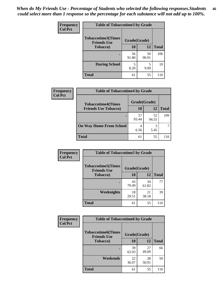| <b>Frequency</b> | <b>Table of Tobaccotime3 by Grade</b>           |              |             |              |  |
|------------------|-------------------------------------------------|--------------|-------------|--------------|--|
| <b>Col Pct</b>   | <b>Tobaccotime3(Times</b><br><b>Friends Use</b> | Grade(Grade) |             |              |  |
|                  | <b>Tobacco</b> )                                | 10           | 12          | <b>Total</b> |  |
|                  |                                                 | 56<br>91.80  | 50<br>90.91 | 106          |  |
|                  | <b>During School</b>                            | 8.20         | 5<br>9.09   | 10           |  |
|                  | <b>Total</b>                                    | 61           | 55          | 116          |  |

| Frequency<br><b>Col Pct</b> | <b>Table of Tobaccotime4 by Grade</b> |              |             |              |
|-----------------------------|---------------------------------------|--------------|-------------|--------------|
|                             | <b>Tobaccotime4(Times</b>             | Grade(Grade) |             |              |
|                             | <b>Friends Use Tobacco)</b>           | 10           | 12          | <b>Total</b> |
|                             |                                       | 57<br>93.44  | 52<br>94.55 | 109          |
|                             | <b>On Way Home From School</b>        | 6.56         | 3<br>5.45   |              |
|                             | <b>Total</b>                          | 61           | 55          | 116          |

| <b>Frequency</b> | <b>Table of Tobaccotime5 by Grade</b>           |              |             |              |
|------------------|-------------------------------------------------|--------------|-------------|--------------|
| <b>Col Pct</b>   | <b>Tobaccotime5(Times</b><br><b>Friends Use</b> | Grade(Grade) |             |              |
|                  | <b>Tobacco</b> )                                | 10           | 12          | <b>Total</b> |
|                  |                                                 | 43<br>70.49  | 34<br>61.82 | 77           |
|                  | Weeknights                                      | 18<br>29.51  | 21<br>38.18 | 39           |
|                  | <b>Total</b>                                    | 61           | 55          | 116          |

| Frequency      | <b>Table of Tobaccotime6 by Grade</b>           |              |             |              |
|----------------|-------------------------------------------------|--------------|-------------|--------------|
| <b>Col Pct</b> | <b>Tobaccotime6(Times</b><br><b>Friends Use</b> | Grade(Grade) |             |              |
|                | <b>Tobacco</b> )                                | 10           | 12          | <b>Total</b> |
|                |                                                 | 39<br>63.93  | 27<br>49.09 | 66           |
|                | Weekends                                        | 22<br>36.07  | 28<br>50.91 | 50           |
|                | <b>Total</b>                                    | 61           | 55          | 116          |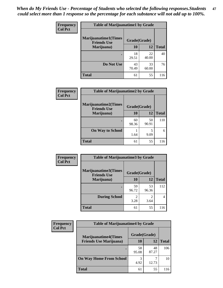| <b>Frequency</b><br><b>Col Pct</b> | <b>Table of Marijuanatime1 by Grade</b>           |              |             |              |
|------------------------------------|---------------------------------------------------|--------------|-------------|--------------|
|                                    | <b>Marijuanatime1(Times</b><br><b>Friends Use</b> | Grade(Grade) |             |              |
|                                    | Marijuana)                                        | 10           | 12          | <b>Total</b> |
|                                    |                                                   | 18<br>29.51  | 22<br>40.00 | 40           |
|                                    | Do Not Use                                        | 43<br>70.49  | 33<br>60.00 | 76           |
|                                    | <b>Total</b>                                      | 61           | 55          | 116          |

| Frequency      | <b>Table of Marijuanatime2 by Grade</b>           |              |             |              |
|----------------|---------------------------------------------------|--------------|-------------|--------------|
| <b>Col Pct</b> | <b>Marijuanatime2(Times</b><br><b>Friends Use</b> | Grade(Grade) |             |              |
|                | Marijuana)                                        | 10           | 12          | <b>Total</b> |
|                |                                                   | 60<br>98.36  | 50<br>90.91 | 110          |
|                | <b>On Way to School</b>                           | 1.64         | 9.09        | 6            |
|                | <b>Total</b>                                      | 61           | 55          | 116          |

| Frequency      | <b>Table of Marijuanatime3 by Grade</b>    |                                  |                        |              |
|----------------|--------------------------------------------|----------------------------------|------------------------|--------------|
| <b>Col Pct</b> | Marijuanatime3(Times<br><b>Friends Use</b> | Grade(Grade)                     |                        |              |
|                | Marijuana)                                 | 10                               | 12                     | <b>Total</b> |
|                |                                            | 59<br>96.72                      | 53<br>96.36            | 112          |
|                | <b>During School</b>                       | $\overline{\mathcal{L}}$<br>3.28 | $\mathfrak{D}$<br>3.64 | 4            |
|                | <b>Total</b>                               | 61                               | 55                     | 116          |

| <b>Frequency</b><br><b>Col Pct</b> | <b>Table of Marijuanatime4 by Grade</b> |              |             |              |
|------------------------------------|-----------------------------------------|--------------|-------------|--------------|
|                                    | <b>Marijuanatime4(Times</b>             | Grade(Grade) |             |              |
|                                    | <b>Friends Use Marijuana</b> )          | 10           | 12          | <b>Total</b> |
|                                    |                                         | 58<br>95.08  | 48<br>87.27 | 106          |
|                                    | <b>On Way Home From School</b>          | 3<br>4.92    | 12.73       | 10           |
|                                    | <b>Total</b>                            | 61           | 55          |              |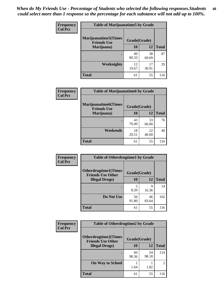| Frequency      | <b>Table of Marijuanatime5 by Grade</b>            |              |             |              |  |
|----------------|----------------------------------------------------|--------------|-------------|--------------|--|
| <b>Col Pct</b> | <b>Marijuanatime5</b> (Times<br><b>Friends Use</b> | Grade(Grade) |             |              |  |
|                | Marijuana)                                         | 10           | 12          | <b>Total</b> |  |
|                |                                                    | 49<br>80.33  | 38<br>69.09 | 87           |  |
|                | Weeknights                                         | 12<br>19.67  | 17<br>30.91 | 29           |  |
|                | <b>Total</b>                                       | 61           | 55          | 116          |  |

| Frequency      | <b>Table of Marijuanatime6 by Grade</b>            |              |             |              |  |
|----------------|----------------------------------------------------|--------------|-------------|--------------|--|
| <b>Col Pct</b> | <b>Marijuanatime6</b> (Times<br><b>Friends Use</b> | Grade(Grade) |             |              |  |
|                | Marijuana)                                         | 10           | 12          | <b>Total</b> |  |
|                |                                                    | 43<br>70.49  | 33<br>60.00 | 76           |  |
|                | Weekends                                           | 18<br>29.51  | 22<br>40.00 | 40           |  |
|                | <b>Total</b>                                       | 61           | 55          | 116          |  |

| <b>Frequency</b> | <b>Table of Otherdrugtime1 by Grade</b>                  |              |             |              |  |
|------------------|----------------------------------------------------------|--------------|-------------|--------------|--|
| <b>Col Pct</b>   | <b>Otherdrugtime1</b> (Times<br><b>Friends Use Other</b> | Grade(Grade) |             |              |  |
|                  | <b>Illegal Drugs</b> )                                   | 10           | 12          | <b>Total</b> |  |
|                  |                                                          | 5<br>8.20    | q<br>16.36  | 14           |  |
|                  | Do Not Use                                               | 56<br>91.80  | 46<br>83.64 | 102          |  |
|                  | <b>Total</b>                                             | 61           | 55          | 116          |  |

| <b>Frequency</b> | <b>Table of Otherdrugtime2 by Grade</b>                 |              |             |                |
|------------------|---------------------------------------------------------|--------------|-------------|----------------|
| <b>Col Pct</b>   | <b>Otherdrugtime2(Times</b><br><b>Friends Use Other</b> | Grade(Grade) |             |                |
|                  | <b>Illegal Drugs</b> )                                  | 10           | 12          | <b>Total</b>   |
|                  |                                                         | 60<br>98.36  | 54<br>98.18 | 114            |
|                  | <b>On Way to School</b>                                 | 1.64         | 1.82        | $\overline{c}$ |
|                  | Total                                                   | 61           | 55          | 116            |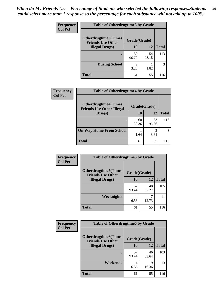| <b>Frequency</b> | <b>Table of Otherdrugtime3 by Grade</b>                          |                        |             |              |
|------------------|------------------------------------------------------------------|------------------------|-------------|--------------|
| <b>Col Pct</b>   | Otherdrugtime3(Times<br>Grade(Grade)<br><b>Friends Use Other</b> |                        |             |              |
|                  | <b>Illegal Drugs</b> )                                           | 10                     | 12          | <b>Total</b> |
|                  |                                                                  | 59<br>96.72            | 54<br>98.18 | 113          |
|                  | <b>During School</b>                                             | $\mathfrak{D}$<br>3.28 | 1.82        | 3            |
|                  | Total                                                            | 61                     | 55          | 116          |

| Frequency      | <b>Table of Otherdrugtime4 by Grade</b>                         |              |             |              |
|----------------|-----------------------------------------------------------------|--------------|-------------|--------------|
| <b>Col Pct</b> | <b>Otherdrugtime4(Times</b><br><b>Friends Use Other Illegal</b> | Grade(Grade) |             |              |
|                | Drugs)                                                          | 10           | 12          | <b>Total</b> |
|                | $\bullet$                                                       | 60<br>98.36  | 53<br>96.36 | 113          |
|                | <b>On Way Home From School</b>                                  | 1.64         | 3.64        | 3            |
|                | Total                                                           | 61           | 55          | 116          |

| <b>Frequency</b> | <b>Table of Otherdrugtime5 by Grade</b>                  |              |             |              |
|------------------|----------------------------------------------------------|--------------|-------------|--------------|
| <b>Col Pct</b>   | <b>Otherdrugtime5</b> (Times<br><b>Friends Use Other</b> | Grade(Grade) |             |              |
|                  | <b>Illegal Drugs</b> )                                   | 10           | 12          | <b>Total</b> |
|                  |                                                          | 57<br>93.44  | 48<br>87.27 | 105          |
|                  | Weeknights                                               | 4<br>6.56    | 12.73       | 11           |
|                  | <b>Total</b>                                             | 61           | 55          | 116          |

| <b>Frequency</b> | <b>Table of Otherdrugtime6 by Grade</b>                  |              |             |              |
|------------------|----------------------------------------------------------|--------------|-------------|--------------|
| <b>Col Pct</b>   | <b>Otherdrugtime6</b> (Times<br><b>Friends Use Other</b> | Grade(Grade) |             |              |
|                  | <b>Illegal Drugs</b> )                                   | 10           | 12          | <b>Total</b> |
|                  |                                                          | 57<br>93.44  | 46<br>83.64 | 103          |
|                  | Weekends                                                 | 4<br>6.56    | Q<br>16.36  | 13           |
|                  | <b>Total</b>                                             | 61           | 55          | 116          |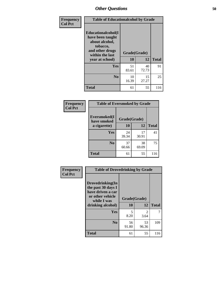| Frequency      | <b>Table of Educationalcohol by Grade</b>                                                                  |              |             |              |
|----------------|------------------------------------------------------------------------------------------------------------|--------------|-------------|--------------|
| <b>Col Pct</b> | Educationalcohol(I<br>have been taught<br>about alcohol,<br>tobacco,<br>and other drugs<br>within the last | Grade(Grade) |             |              |
|                | year at school)                                                                                            | 10           | 12          | <b>Total</b> |
|                | Yes                                                                                                        | 51<br>83.61  | 40<br>72.73 | 91           |
|                | N <sub>0</sub>                                                                                             | 10<br>16.39  | 15<br>27.27 | 25           |
|                | <b>Total</b>                                                                                               | 61           | 55          | 116          |

| Frequency      | <b>Table of Eversmoked by Grade</b> |              |             |              |  |
|----------------|-------------------------------------|--------------|-------------|--------------|--|
| <b>Col Pct</b> | Eversmoked(I<br>have smoked         | Grade(Grade) |             |              |  |
|                | a cigarette)                        | 10           | 12          | <b>Total</b> |  |
|                | <b>Yes</b>                          | 24<br>39.34  | 17<br>30.91 | 41           |  |
|                | N <sub>0</sub>                      | 37<br>60.66  | 38<br>69.09 | 75           |  |
|                | <b>Total</b>                        | 61           | 55          | 116          |  |

| Frequency      | <b>Table of Drovedrinking by Grade</b>                                                                              |                    |                        |              |  |
|----------------|---------------------------------------------------------------------------------------------------------------------|--------------------|------------------------|--------------|--|
| <b>Col Pct</b> | Drovedrinking(In<br>the past 30 days I<br>have driven a car<br>or other vehicle<br>while I was<br>drinking alcohol) | Grade(Grade)<br>10 | 12                     | <b>Total</b> |  |
|                | <b>Yes</b>                                                                                                          | 5<br>8.20          | $\mathfrak{D}$<br>3.64 | 7            |  |
|                | N <sub>0</sub>                                                                                                      | 56<br>91.80        | 53<br>96.36            | 109          |  |
|                | <b>Total</b>                                                                                                        | 61                 | 55                     | 116          |  |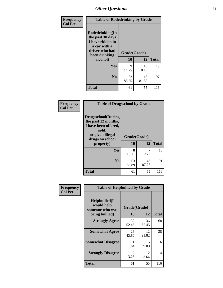| Frequency      | <b>Table of Rodedrinking by Grade</b>                                                                                  |                    |             |              |  |
|----------------|------------------------------------------------------------------------------------------------------------------------|--------------------|-------------|--------------|--|
| <b>Col Pct</b> | Rodedrinking(In<br>the past 30 days<br>I have ridden in<br>a car with a<br>driver who had<br>been drinking<br>alcohol) | Grade(Grade)<br>10 | 12          | <b>Total</b> |  |
|                | <b>Yes</b>                                                                                                             | 9<br>14.75         | 10<br>18.18 | 19           |  |
|                | N <sub>0</sub>                                                                                                         | 52<br>85.25        | 45<br>81.82 | 97           |  |
|                | <b>Total</b>                                                                                                           | 61                 | 55          | 116          |  |

#### **Frequency Col Pct**

| <b>Table of Drugsschool by Grade</b>                                                                                      |              |       |              |  |  |
|---------------------------------------------------------------------------------------------------------------------------|--------------|-------|--------------|--|--|
| <b>Drugsschool</b> (During<br>the past 12 months,<br>I have been offered,<br>sold,<br>or given illegal<br>drugs on school | Grade(Grade) |       |              |  |  |
|                                                                                                                           |              |       |              |  |  |
| property)                                                                                                                 | 10           | 12    | <b>Total</b> |  |  |
| Yes                                                                                                                       | 8            |       | 15           |  |  |
|                                                                                                                           | 13.11        | 12.73 |              |  |  |
| N <sub>0</sub>                                                                                                            | 53           | 48    | 101          |  |  |
|                                                                                                                           | 86.89        | 87.27 |              |  |  |

| Frequency      | <b>Table of Helpbullied by Grade</b>            |                        |                        |                |  |  |  |
|----------------|-------------------------------------------------|------------------------|------------------------|----------------|--|--|--|
| <b>Col Pct</b> | Helpbullied(I)<br>would help<br>someone who was | 10                     | Grade(Grade)<br>12     | <b>Total</b>   |  |  |  |
|                | being bullied)                                  |                        |                        |                |  |  |  |
|                | <b>Strongly Agree</b>                           | 32<br>52.46            | 36<br>65.45            | 68             |  |  |  |
|                | <b>Somewhat Agree</b>                           | 26<br>42.62            | 12<br>21.82            | 38             |  |  |  |
|                | <b>Somewhat Disagree</b>                        | 1.64                   | 5<br>9.09              | 6              |  |  |  |
|                | <b>Strongly Disagree</b>                        | $\mathfrak{D}$<br>3.28 | $\mathfrak{D}$<br>3.64 | $\overline{4}$ |  |  |  |
|                | <b>Total</b>                                    | 61                     | 55                     | 116            |  |  |  |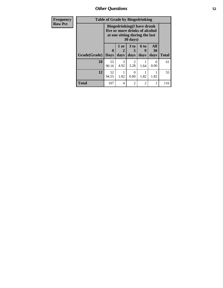*Other Questions* **52**

| Frequency      | <b>Table of Grade by Bingedrinking</b> |                                                                                                                   |                   |                              |                              |                   |              |
|----------------|----------------------------------------|-------------------------------------------------------------------------------------------------------------------|-------------------|------------------------------|------------------------------|-------------------|--------------|
| <b>Row Pct</b> |                                        | <b>Bingedrinking(I have drunk</b><br>five or more drinks of alcohol<br>at one sitting during the last<br>30 days) |                   |                              |                              |                   |              |
|                | Grade(Grade)                           | $\bf{0}$<br><b>Days</b>                                                                                           | 1 or<br>2<br>days | 3 <sub>to</sub><br>5<br>days | 6 <sub>to</sub><br>9<br>days | All<br>30<br>days | <b>Total</b> |
|                |                                        |                                                                                                                   |                   |                              |                              |                   |              |
|                | 10                                     | 55<br>90.16                                                                                                       | 3<br>4.92         | $\mathfrak{D}$<br>3.28       | 1.64                         | $\Omega$<br>0.00  | 61           |
|                | 12                                     | 52<br>94.55                                                                                                       | 1.82              | 0<br>0.00                    | 1.82                         | 1.82              | 55           |
|                | <b>Total</b>                           | 107                                                                                                               | 4                 | $\overline{c}$               | $\overline{2}$               |                   | 116          |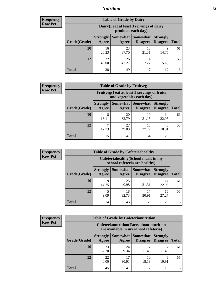## *Nutrition* **53**

| <b>Frequency</b> |
|------------------|
| Row Pct          |

| <b>Table of Grade by Dairy</b> |                          |                                                                 |                             |                                    |              |  |
|--------------------------------|--------------------------|-----------------------------------------------------------------|-----------------------------|------------------------------------|--------------|--|
|                                |                          | Dairy (I eat at least 3 servings of dairy<br>products each day) |                             |                                    |              |  |
| Grade(Grade)                   | <b>Strongly</b><br>Agree | Somewhat  <br>Agree                                             | <b>Somewhat</b><br>Disagree | <b>Strongly</b><br><b>Disagree</b> | <b>Total</b> |  |
| 10                             | 16<br>26.23              | 23<br>37.70                                                     | 13<br>21.31                 | 9<br>14.75                         | 61           |  |
| 12                             | 22<br>40.00              | 26<br>47.27                                                     | 4<br>7.27                   | 3<br>5.45                          | 55           |  |
| <b>Total</b>                   | 38                       | 49                                                              | 17                          | 12                                 | 116          |  |

| <b>Frequency</b> |  |
|------------------|--|
| <b>Row Pct</b>   |  |

| $\mathbf{y}$ | <b>Table of Grade by Fruitveg</b>                                        |                          |                   |                             |                                    |              |  |
|--------------|--------------------------------------------------------------------------|--------------------------|-------------------|-----------------------------|------------------------------------|--------------|--|
|              | Fruitveg(I eat at least 5 servings of fruits<br>and vegetables each day) |                          |                   |                             |                                    |              |  |
|              | Grade(Grade)                                                             | <b>Strongly</b><br>Agree | Somewhat<br>Agree | <b>Somewhat</b><br>Disagree | <b>Strongly</b><br><b>Disagree</b> | <b>Total</b> |  |
|              | 10                                                                       | 8<br>13.11               | 20<br>32.79       | 19<br>31.15                 | 14<br>22.95                        | 61           |  |
|              | 12                                                                       | ┑<br>12.73               | 27<br>49.09       | 15<br>27.27                 | 6<br>10.91                         | 55           |  |
|              | <b>Total</b>                                                             | 15                       | 47                | 34                          | 20                                 | 116          |  |

| <b>Frequency</b> |
|------------------|
| <b>Row Pct</b>   |

| <b>Table of Grade by Cafeteriahealthy</b> |                                                                       |             |                                 |                                    |              |  |  |
|-------------------------------------------|-----------------------------------------------------------------------|-------------|---------------------------------|------------------------------------|--------------|--|--|
|                                           | Cafeteriahealthy (School meals in my<br>school cafeteria are healthy) |             |                                 |                                    |              |  |  |
| Grade(Grade)                              | <b>Strongly</b><br>Agree                                              | Agree       | Somewhat   Somewhat<br>Disagree | <b>Strongly</b><br><b>Disagree</b> | <b>Total</b> |  |  |
| 10                                        | 9<br>14.75                                                            | 25<br>40.98 | 13<br>21.31                     | 14<br>22.95                        | 61           |  |  |
| 12                                        | 5<br>9.09                                                             | 18<br>32.73 | 17<br>30.91                     | 15<br>27.27                        | 55           |  |  |
| <b>Total</b>                              | 14                                                                    | 43          | 30                              | 29                                 | 116          |  |  |

| <b>Frequency</b> |
|------------------|
| <b>Row Pct</b>   |

| <b>Table of Grade by Cafeterianutrition</b>                                               |                          |                     |                             |                                    |              |  |
|-------------------------------------------------------------------------------------------|--------------------------|---------------------|-----------------------------|------------------------------------|--------------|--|
| <b>Cafeterianutrition</b> (Facts about nutrition<br>are available in my school cafeteria) |                          |                     |                             |                                    |              |  |
| Grade(Grade)                                                                              | <b>Strongly</b><br>Agree | Somewhat  <br>Agree | <b>Somewhat</b><br>Disagree | <b>Strongly</b><br><b>Disagree</b> | <b>Total</b> |  |
| 10                                                                                        | 23<br>37.70              | 24<br>39.34         | 11.48                       | 11.48                              | 61           |  |
| 12                                                                                        | 22<br>40.00              | 17<br>30.91         | 10<br>18.18                 | 6<br>10.91                         | 55           |  |
| <b>Total</b>                                                                              | 45                       | 41                  | 17                          | 13                                 | 116          |  |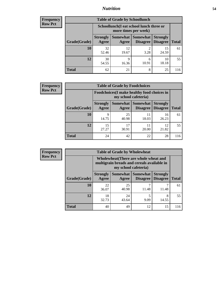## *Nutrition* **54**

| <b>Frequency</b> |
|------------------|
| Row Pct          |

| <b>Table of Grade by Schoollunch</b> |                          |                                                                 |                             |                                    |              |  |  |
|--------------------------------------|--------------------------|-----------------------------------------------------------------|-----------------------------|------------------------------------|--------------|--|--|
|                                      |                          | Schoollunch(I eat school lunch three or<br>more times per week) |                             |                                    |              |  |  |
| Grade(Grade)                         | <b>Strongly</b><br>Agree | Somewhat  <br>Agree                                             | <b>Somewhat</b><br>Disagree | <b>Strongly</b><br><b>Disagree</b> | <b>Total</b> |  |  |
| 10                                   | 32<br>52.46              | 12<br>19.67                                                     | 2<br>3.28                   | 15<br>24.59                        | 61           |  |  |
| 12                                   | 30<br>54.55              | Q<br>16.36                                                      | 6<br>10.91                  | 10<br>18.18                        | 55           |  |  |
| <b>Total</b>                         | 62                       | 21                                                              | 8                           | 25                                 | 116          |  |  |

| <b>Frequency</b> |  |
|------------------|--|
| <b>Row Pct</b>   |  |

| <b>Table of Grade by Foodchoices</b>                                       |                          |             |                               |                                    |              |  |
|----------------------------------------------------------------------------|--------------------------|-------------|-------------------------------|------------------------------------|--------------|--|
| <b>Foodchoices</b> (I make healthy food choices in<br>my school cafeteria) |                          |             |                               |                                    |              |  |
| Grade(Grade)                                                               | <b>Strongly</b><br>Agree | Agree       | Somewhat Somewhat<br>Disagree | <b>Strongly</b><br><b>Disagree</b> | <b>Total</b> |  |
| 10                                                                         | Q<br>14.75               | 25<br>40.98 | 11<br>18.03                   | 16<br>26.23                        | 61           |  |
| 12                                                                         | 15<br>27.27              | 17<br>30.91 | 11<br>20.00                   | 12<br>21.82                        | 55           |  |
| <b>Total</b>                                                               | 24                       | 42          | 22                            | 28                                 | 116          |  |

| <b>Frequency</b> |  |
|------------------|--|
| Row Pct          |  |

| <b>Table of Grade by Wholewheat</b>                                                                         |                          |                     |                                    |                                    |              |  |
|-------------------------------------------------------------------------------------------------------------|--------------------------|---------------------|------------------------------------|------------------------------------|--------------|--|
| Wholewheat (There are whole wheat and<br>multigrain breads and cereals available in<br>my school cafeteria) |                          |                     |                                    |                                    |              |  |
| Grade(Grade)                                                                                                | <b>Strongly</b><br>Agree | Somewhat  <br>Agree | <b>Somewhat</b><br><b>Disagree</b> | <b>Strongly</b><br><b>Disagree</b> | <b>Total</b> |  |
| 10                                                                                                          | 22<br>36.07              | 25<br>40.98         | 11.48                              | 11.48                              | 61           |  |
| 12                                                                                                          | 18<br>32.73              | 24<br>43.64         | 5<br>9.09                          | 8<br>14.55                         | 55           |  |
| <b>Total</b>                                                                                                | 40                       | 49                  | 12                                 | 15                                 | 116          |  |

ı,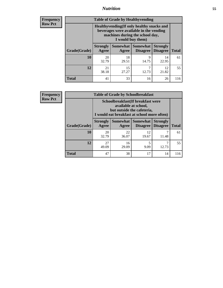## *Nutrition* **55**

**Frequency Row Pct**

| <b>Table of Grade by Healthyvending</b> |                                                                                                                                               |                          |                                    |                                    |              |  |  |
|-----------------------------------------|-----------------------------------------------------------------------------------------------------------------------------------------------|--------------------------|------------------------------------|------------------------------------|--------------|--|--|
|                                         | Healthyvending (If only healthy snacks and<br>beverages were available in the vending<br>machines during the school day,<br>I would buy them) |                          |                                    |                                    |              |  |  |
| Grade(Grade)                            | <b>Strongly</b><br>Agree                                                                                                                      | <b>Somewhat</b><br>Agree | <b>Somewhat</b><br><b>Disagree</b> | <b>Strongly</b><br><b>Disagree</b> | <b>Total</b> |  |  |
| 10                                      | 20<br>32.79                                                                                                                                   | 18<br>29.51              | 9<br>14.75                         | 14<br>22.95                        | 61           |  |  |
| 12                                      | 21<br>38.18                                                                                                                                   | 15<br>27.27              | 7<br>12.73                         | 12<br>21.82                        | 55           |  |  |
| <b>Total</b>                            | 41                                                                                                                                            | 33                       | 16                                 | 26                                 | 116          |  |  |

**Frequency Row Pct**

| <b>Table of Grade by Schoolbreakfast</b> |                                                                                                                                         |             |                                      |                             |              |
|------------------------------------------|-----------------------------------------------------------------------------------------------------------------------------------------|-------------|--------------------------------------|-----------------------------|--------------|
|                                          | Schoolbreakfast (If breakfast were<br>available at school,<br>but outside the cafeteria,<br>I would eat breakfast at school more often) |             |                                      |                             |              |
| Grade(Grade)                             | <b>Strongly</b><br>Agree                                                                                                                | Agree       | Somewhat Somewhat<br><b>Disagree</b> | <b>Strongly</b><br>Disagree | <b>Total</b> |
| 10                                       | 20<br>32.79                                                                                                                             | 22<br>36.07 | 12<br>19.67                          | 11.48                       | 61           |
| 12                                       | 27<br>49.09                                                                                                                             | 16<br>29.09 | 5<br>9.09                            | 12.73                       | 55           |
| <b>Total</b>                             | 47                                                                                                                                      | 38          | 17                                   | 14                          | 116          |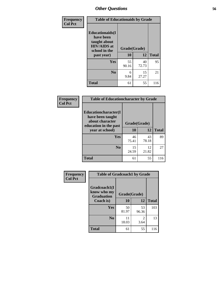| Frequency<br><b>Col Pct</b> | <b>Table of Educationaids by Grade</b>                                                                    |                    |             |              |
|-----------------------------|-----------------------------------------------------------------------------------------------------------|--------------------|-------------|--------------|
|                             | <b>Educationaids</b> (I<br>have been<br>taught about<br><b>HIV/AIDS</b> at<br>school in the<br>past year) | Grade(Grade)<br>10 | 12          | <b>Total</b> |
|                             | Yes                                                                                                       | 55<br>90.16        | 40<br>72.73 | 95           |
|                             | N <sub>0</sub>                                                                                            | 6<br>9.84          | 15<br>27.27 | 21           |
|                             | <b>Total</b>                                                                                              | 61                 | 55          | 116          |

| Frequency      | <b>Table of Educationcharacter by Grade</b>                         |              |             |              |  |
|----------------|---------------------------------------------------------------------|--------------|-------------|--------------|--|
| <b>Col Pct</b> | <b>Educationcharacter(I)</b><br>have been taught<br>about character |              |             |              |  |
|                | education in the past<br>year at school)                            | Grade(Grade) |             |              |  |
|                |                                                                     | 10           | <b>12</b>   | <b>Total</b> |  |
|                | Yes                                                                 | 46<br>75.41  | 43<br>78.18 | 89           |  |
|                | N <sub>0</sub>                                                      | 15<br>24.59  | 12<br>21.82 | 27           |  |
|                | <b>Total</b>                                                        | 61           | 55          | 116          |  |

| Frequency      | <b>Table of Gradcoach1 by Grade</b>              |              |                        |              |
|----------------|--------------------------------------------------|--------------|------------------------|--------------|
| <b>Col Pct</b> | Gradcoach1(I<br>know who my<br><b>Graduation</b> | Grade(Grade) |                        |              |
|                | Coach is)                                        | 10           | 12                     | <b>Total</b> |
|                | Yes                                              | 50<br>81.97  | 53<br>96.36            | 103          |
|                | N <sub>0</sub>                                   | 11<br>18.03  | $\overline{2}$<br>3.64 | 13           |
|                | <b>Total</b>                                     | 61           | 55                     | 116          |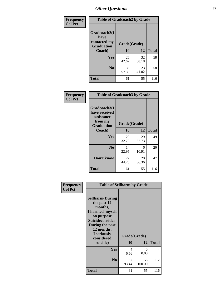| Frequency      | <b>Table of Gradcoach2 by Grade</b>  |              |             |              |
|----------------|--------------------------------------|--------------|-------------|--------------|
| <b>Col Pct</b> | Gradcoach2(I<br>have<br>contacted my |              |             |              |
|                | <b>Graduation</b>                    | Grade(Grade) |             |              |
|                | Coach)                               | 10           | 12          | <b>Total</b> |
|                | Yes                                  | 26<br>42.62  | 32<br>58.18 | 58           |
|                | N <sub>0</sub>                       | 35<br>57.38  | 23<br>41.82 | 58           |
|                | <b>Total</b>                         | 61           | 55          | 116          |

| Frequency<br><b>Col Pct</b> | <b>Table of Gradcoach3 by Grade</b>                                         |              |             |              |
|-----------------------------|-----------------------------------------------------------------------------|--------------|-------------|--------------|
|                             | Gradcoach3(I<br>have received<br>assistance<br>from my<br><b>Graduation</b> | Grade(Grade) |             |              |
|                             | Coach)                                                                      | 10           | 12          | <b>Total</b> |
|                             | Yes                                                                         | 20<br>32.79  | 29<br>52.73 | 49           |
|                             | N <sub>0</sub>                                                              | 14<br>22.95  | 6<br>10.91  | 20           |
|                             | Don't know                                                                  | 27<br>44.26  | 20<br>36.36 | 47           |
|                             | <b>Total</b>                                                                | 61           | 55          | 116          |

| Frequency      | <b>Table of Selfharm by Grade</b>                                                                                                                                                      |                           |              |              |
|----------------|----------------------------------------------------------------------------------------------------------------------------------------------------------------------------------------|---------------------------|--------------|--------------|
| <b>Col Pct</b> | <b>Selfharm</b> (During<br>the past 12<br>months,<br>I harmed myself<br>on purpose<br><b>Suicideconsider</b><br>During the past<br>12 months,<br>I seriously<br>considered<br>suicide) | Grade(Grade)<br><b>10</b> | 12           | <b>Total</b> |
|                | Yes                                                                                                                                                                                    | 4<br>6.56                 | 0<br>0.00    | 4            |
|                | N <sub>0</sub>                                                                                                                                                                         | 57<br>93.44               | 55<br>100.00 | 112          |
|                | <b>Total</b>                                                                                                                                                                           | 61                        | 55           | 116          |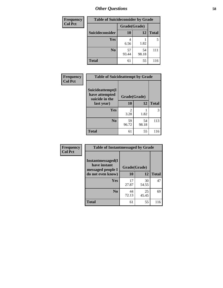| <b>Frequency</b> | <b>Table of Suicideconsider by Grade</b> |              |             |              |
|------------------|------------------------------------------|--------------|-------------|--------------|
| <b>Col Pct</b>   |                                          | Grade(Grade) |             |              |
|                  | Suicideconsider                          | <b>10</b>    | 12          | <b>Total</b> |
|                  | <b>Yes</b>                               | 4<br>6.56    | 1.82        | 5            |
|                  | N <sub>0</sub>                           | 57<br>93.44  | 54<br>98.18 | 111          |
|                  | <b>Total</b>                             | 61           | 55          | 116          |

| Frequency      | <b>Table of Suicideattempt by Grade</b>                            |                                     |             |              |
|----------------|--------------------------------------------------------------------|-------------------------------------|-------------|--------------|
| <b>Col Pct</b> | Suicideattempt(I<br>have attempted<br>suicide in the<br>last year) | Grade(Grade)                        |             |              |
|                |                                                                    | 10                                  | 12          | <b>Total</b> |
|                | Yes                                                                | $\mathcal{D}_{\mathcal{L}}$<br>3.28 | 1.82        | 3            |
|                | N <sub>0</sub>                                                     | 59<br>96.72                         | 54<br>98.18 | 113          |
|                | <b>Total</b>                                                       | 61                                  | 55          | 116          |

| Frequency      | <b>Table of Instantmessaged by Grade</b>                                            |              |             |              |
|----------------|-------------------------------------------------------------------------------------|--------------|-------------|--------------|
| <b>Col Pct</b> | <b>Instantmessaged</b> (I<br>have instant<br>messaged people I<br>do not even know) | Grade(Grade) |             |              |
|                |                                                                                     | 10           | 12          | <b>Total</b> |
|                | Yes                                                                                 | 17<br>27.87  | 30<br>54.55 | 47           |
|                | N <sub>0</sub>                                                                      | 44<br>72.13  | 25<br>45.45 | 69           |
|                | <b>Total</b>                                                                        | 61           | 55          | 116          |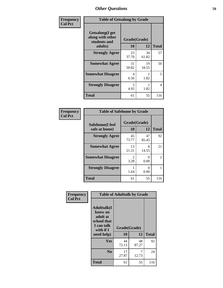| Frequency      | <b>Table of Getsalong by Grade</b>                                     |                    |             |              |
|----------------|------------------------------------------------------------------------|--------------------|-------------|--------------|
| <b>Col Pct</b> | <b>Getsalong</b> (I get<br>along with other<br>students and<br>adults) | Grade(Grade)<br>10 | 12          | <b>Total</b> |
|                | <b>Strongly Agree</b>                                                  | 23<br>37.70        | 34<br>61.82 | 57           |
|                | <b>Somewhat Agree</b>                                                  | 31<br>50.82        | 19<br>34.55 | 50           |
|                | <b>Somewhat Disagree</b>                                               | 4<br>6.56          | 1.82        | 5            |
|                | <b>Strongly Disagree</b>                                               | 3<br>4.92          | 1.82        | 4            |
|                | <b>Total</b>                                                           | 61                 | 55          | 116          |

| Frequency      | <b>Table of Safehome by Grade</b> |              |             |              |
|----------------|-----------------------------------|--------------|-------------|--------------|
| <b>Col Pct</b> | Safehome(I feel                   | Grade(Grade) |             |              |
|                | safe at home)                     | 10           | 12          | <b>Total</b> |
|                | <b>Strongly Agree</b>             | 45<br>73.77  | 47<br>85.45 | 92           |
|                | <b>Somewhat Agree</b>             | 13<br>21.31  | 8<br>14.55  | 21           |
|                | <b>Somewhat Disagree</b>          | 2<br>3.28    | 0<br>0.00   | 2            |
|                | <b>Strongly Disagree</b>          | 1.64         | 0<br>0.00   |              |
|                | <b>Total</b>                      | 61           | 55          | 116          |

| Frequency      |                                                                                                   |                    | <b>Table of Adulttalk by Grade</b> |              |
|----------------|---------------------------------------------------------------------------------------------------|--------------------|------------------------------------|--------------|
| <b>Col Pct</b> | <b>Adulttalk(I</b><br>know an<br>adult at<br>school that<br>I can talk<br>with if I<br>need help) | Grade(Grade)<br>10 | 12                                 | <b>Total</b> |
|                |                                                                                                   |                    |                                    |              |
|                | <b>Yes</b>                                                                                        | 44<br>72.13        | 48<br>87.27                        | 92           |
|                | N <sub>0</sub>                                                                                    | 17<br>27.87        | 7<br>12.73                         | 24           |
|                | <b>Total</b>                                                                                      | 61                 | 55                                 | 116          |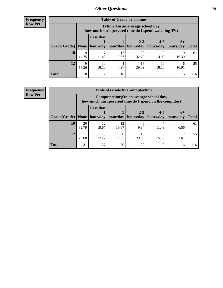**Frequency Row Pct**

| <b>Table of Grade by Tvtime</b> |                      |                                                                                        |             |             |             |             |              |  |  |  |
|---------------------------------|----------------------|----------------------------------------------------------------------------------------|-------------|-------------|-------------|-------------|--------------|--|--|--|
|                                 |                      | Tvtime(On an average school day,<br>how much unsupervised time do I spend watching TV) |             |             |             |             |              |  |  |  |
|                                 |                      | <b>Less that</b><br>$2 - 3$<br>$4 - 5$<br>$6+$                                         |             |             |             |             |              |  |  |  |
| Grade(Grade)   None             |                      | hour/day                                                                               | hour/day    | hours/day   | hours/day   | hours/day   | <b>Total</b> |  |  |  |
| 10                              | 9<br>14.75           | 11.48                                                                                  | 12<br>19.67 | 20<br>32.79 | 4.92        | 10<br>16.39 | 61           |  |  |  |
| 12                              | $\mathbf Q$<br>16.36 | 10<br>18.18                                                                            | 7.27        | 16<br>29.09 | 10<br>18.18 | h<br>10.91  | 55           |  |  |  |
| <b>Total</b>                    | 18                   | 17                                                                                     | 16          | 36          | 13          | 16          | 116          |  |  |  |

**Frequency Row Pct**

| <b>Table of Grade by Computertime</b> |             |                                                                                                                               |             |             |           |           |     |  |  |  |
|---------------------------------------|-------------|-------------------------------------------------------------------------------------------------------------------------------|-------------|-------------|-----------|-----------|-----|--|--|--|
|                                       |             | Computertime (On an average school day,<br>how much unsupervised time do I spend on the computer)                             |             |             |           |           |     |  |  |  |
| Grade(Grade)                          | None        | <b>Less that</b><br>$2 - 3$<br>$4 - 5$<br>$6+$<br>hours/day<br>hour/day<br>hour/day<br>hours/day<br>hours/day<br><b>Total</b> |             |             |           |           |     |  |  |  |
| 10                                    | 20<br>32.79 | 12<br>19.67                                                                                                                   | 12<br>19.67 | 6<br>9.84   | 11.48     | 4<br>6.56 | 61  |  |  |  |
| 12                                    | 11<br>20.00 | 15<br>27.27                                                                                                                   | 14.55       | 16<br>29.09 | 3<br>5.45 | ◠<br>3.64 | 55  |  |  |  |
| <b>Total</b>                          | 31          | 27                                                                                                                            | 20          | 22          | 10        | 6         | 116 |  |  |  |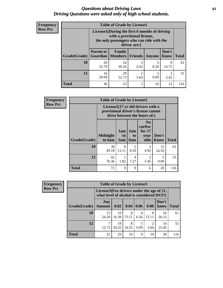### *Questions about Driving Laws* **61** *Driving Questions were asked only of high school students.*

| <b>Frequency</b> |
|------------------|
| <b>Row Pct</b>   |

| <b>Table of Grade by License1</b> |                  |                                                                                                                                           |                        |           |                      |              |  |  |  |
|-----------------------------------|------------------|-------------------------------------------------------------------------------------------------------------------------------------------|------------------------|-----------|----------------------|--------------|--|--|--|
|                                   |                  | License1(During the first 6 months of driving<br>with a provisional license,<br>the only passengers who can ride with the<br>driver are:) |                        |           |                      |              |  |  |  |
| Grade(Grade)                      | <b>Parent or</b> | <b>Family</b><br><b>Guardian</b>   Members                                                                                                | Friends                | Anyone    | Don't<br><b>Know</b> | <b>Total</b> |  |  |  |
| 10                                | 20<br>32.79      | 24<br>39.34                                                                                                                               | 3<br>4.92              | 5<br>8.20 | 9<br>14.75           | 61           |  |  |  |
| 12                                | 16<br>29.09      | 29<br>52.73                                                                                                                               | $\mathfrak{D}$<br>3.64 | 5<br>9.09 | 3<br>5.45            | 55           |  |  |  |
| <b>Total</b>                      | 36               | 53                                                                                                                                        | 5                      | 10        | 12                   | 116          |  |  |  |

| <b>Frequency</b> | <b>Table of Grade by License2</b>                                                                        |                           |                  |                         |                                                      |                      |              |  |
|------------------|----------------------------------------------------------------------------------------------------------|---------------------------|------------------|-------------------------|------------------------------------------------------|----------------------|--------------|--|
| <b>Row Pct</b>   | License2(17 yr old drivers with a<br>provisional driver's license cannot<br>drive between the hours of:) |                           |                  |                         |                                                      |                      |              |  |
|                  | Grade(Grade)                                                                                             | <b>Midnight</b><br>to 6am | 1am<br>to<br>5am | 1am<br>to<br><b>6am</b> | N <sub>0</sub><br>curfew<br>for $17$<br>year<br>olds | Don't<br><b>Know</b> | <b>Total</b> |  |
|                  | 10                                                                                                       | 30<br>49.18               | 8<br>13.11       | 5<br>8.20               | 3<br>4.92                                            | 15<br>24.59          | 61           |  |
|                  | 12                                                                                                       | 42<br>76.36               | 1.82             | 4<br>7.27               | 3<br>5.45                                            | 5<br>9.09            | 55           |  |
|                  | <b>Total</b>                                                                                             | 72                        | 9                | 9                       | 6                                                    | 20                   | 116          |  |

| Frequency      |              | <b>Table of Grade by License3</b>                                                      |             |            |           |            |               |              |  |
|----------------|--------------|----------------------------------------------------------------------------------------|-------------|------------|-----------|------------|---------------|--------------|--|
| <b>Row Pct</b> |              | License3(For drivers under the age of 21,<br>what level of alcohol is considered DUI?) |             |            |           |            |               |              |  |
|                | Grade(Grade) | Any<br><b>Amount</b>                                                                   | 0.02        | 0.04       | 0.06      | 0.08       | Don't<br>know | <b>Total</b> |  |
|                | 10           | 15<br>24.59                                                                            | 10<br>16.39 | 8<br>13.11 | 4<br>6.56 | 8<br>13.11 | 16<br>26.23   | 61           |  |
|                | 12           | 12.73                                                                                  | 19<br>34.55 | 8<br>14.55 | 9.09      | 3.64       | 14<br>25.45   | 55           |  |
|                | <b>Total</b> | 22                                                                                     | 29          | 16         | 9         | 10         | 30            | 116          |  |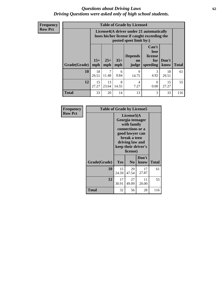### *Questions about Driving Laws* **62** *Driving Questions were asked only of high school students.*

**Frequency Row Pct**

| <b>Table of Grade by License4</b> |                                                                                                                                               |                                                                                                                      |            |            |                  |             |              |  |  |  |
|-----------------------------------|-----------------------------------------------------------------------------------------------------------------------------------------------|----------------------------------------------------------------------------------------------------------------------|------------|------------|------------------|-------------|--------------|--|--|--|
|                                   |                                                                                                                                               | License4(A driver under 21 automatically<br>loses his/her license if caught exceeding the<br>posted speet limit by:) |            |            |                  |             |              |  |  |  |
| Grade(Grade)                      | Can't<br>lose<br><b>Depends</b><br>license<br>$15+$<br>$25+$<br>$35+$<br>Don't<br>for<br>on<br>mph<br>mph<br>mph<br>speeding<br>know<br>judge |                                                                                                                      |            |            |                  |             | <b>Total</b> |  |  |  |
| 10                                | 18<br>29.51                                                                                                                                   | 11.48                                                                                                                | 6<br>9.84  | 9<br>14.75 | 3<br>4.92        | 18<br>29.51 | 61           |  |  |  |
| 12                                | 15<br>27.27                                                                                                                                   | 13<br>23.64                                                                                                          | 8<br>14.55 | 4<br>7.27  | $\Omega$<br>0.00 | 15<br>27.27 | 55           |  |  |  |
| <b>Total</b>                      | 33                                                                                                                                            | 20                                                                                                                   | 14         | 13         | 3                | 33          | 116          |  |  |  |

| Frequency<br><b>Row Pct</b> |              | <b>Table of Grade by License5</b> |                                                                                                                                                             |               |              |  |  |  |
|-----------------------------|--------------|-----------------------------------|-------------------------------------------------------------------------------------------------------------------------------------------------------------|---------------|--------------|--|--|--|
|                             |              |                                   | License5(A)<br>Georgia teenager<br>with family<br>connections or a<br>good lawyer can<br>break a teen<br>driving law and<br>keep their driver's<br>license) |               |              |  |  |  |
|                             | Grade(Grade) | <b>Yes</b>                        | N <sub>0</sub>                                                                                                                                              | Don't<br>know | <b>Total</b> |  |  |  |
|                             | 10           | 15<br>24.59                       | 29<br>47.54                                                                                                                                                 | 17<br>27.87   | 61           |  |  |  |
|                             | 12           | 17<br>30.91                       | 27<br>49.09                                                                                                                                                 | 11<br>20.00   | 55           |  |  |  |
|                             | Total        | 32                                | 56                                                                                                                                                          | 28            | 116          |  |  |  |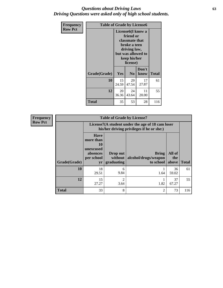### *Questions about Driving Laws* **63** *Driving Questions were asked only of high school students.*

| <b>Frequency</b> | <b>Table of Grade by License6</b> |             |                                                                                                                                                 |               |              |  |  |
|------------------|-----------------------------------|-------------|-------------------------------------------------------------------------------------------------------------------------------------------------|---------------|--------------|--|--|
| <b>Row Pct</b>   |                                   |             | License <sub>6</sub> (I know a<br>friend or<br>classmate that<br>broke a teen<br>driving law,<br>but was allowed to<br>keep his/her<br>license) |               |              |  |  |
|                  | Grade(Grade)                      | Yes         | N <sub>0</sub>                                                                                                                                  | Don't<br>know | <b>Total</b> |  |  |
|                  | 10                                | 15<br>24.59 | 29<br>47.54                                                                                                                                     | 17<br>27.87   | 61           |  |  |
|                  | 12                                | 20<br>36.36 | 24<br>43.64                                                                                                                                     | 11<br>20.00   | 55           |  |  |
|                  | <b>Total</b>                      | 35          | 53                                                                                                                                              | 28            | 116          |  |  |

| <b>Frequency</b> | <b>Table of Grade by License7</b> |                                                                             |                                   |                                                                                               |                        |              |  |  |  |
|------------------|-----------------------------------|-----------------------------------------------------------------------------|-----------------------------------|-----------------------------------------------------------------------------------------------|------------------------|--------------|--|--|--|
| <b>Row Pct</b>   |                                   |                                                                             |                                   | License7(A student under the age of 18 cam loser<br>his/her driving privileges if he or she:) |                        |              |  |  |  |
|                  | Grade(Grade)                      | <b>Have</b><br>more than<br>10<br>unexcused<br>absences<br>per school<br>yr | Drop out<br>without<br>graduating | Bring<br>alcohol/drugs/weapon<br>to school                                                    | All of<br>the<br>above | <b>Total</b> |  |  |  |
|                  | 10                                | 18<br>29.51                                                                 | 6<br>9.84                         | 1.64                                                                                          | 36<br>59.02            | 61           |  |  |  |
|                  | 12                                | 15<br>27.27                                                                 | $\mathfrak{D}$<br>3.64            | 1.82                                                                                          | 37<br>67.27            | 55           |  |  |  |
|                  | <b>Total</b>                      | 33                                                                          | 8                                 | $\overline{2}$                                                                                | 73                     | 116          |  |  |  |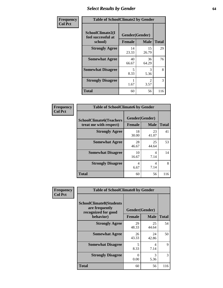# *Select Results by Gender* **64**

| Frequency      |                                                   | <b>Table of SchoolClimate2 by Gender</b> |                        |              |  |  |  |  |
|----------------|---------------------------------------------------|------------------------------------------|------------------------|--------------|--|--|--|--|
| <b>Col Pct</b> | SchoolClimate2(I<br>feel successful at<br>school) | Gender(Gender)<br><b>Female</b>          | <b>Male</b>            | <b>Total</b> |  |  |  |  |
|                | <b>Strongly Agree</b>                             | 14<br>23.33                              | 15<br>26.79            | 29           |  |  |  |  |
|                | <b>Somewhat Agree</b>                             | 40<br>66.67                              | 36<br>64.29            | 76           |  |  |  |  |
|                | <b>Somewhat Disagree</b>                          | 5<br>8.33                                | 3<br>5.36              | 8            |  |  |  |  |
|                | <b>Strongly Disagree</b>                          | 1.67                                     | $\mathfrak{D}$<br>3.57 | 3            |  |  |  |  |
|                | <b>Total</b>                                      | 60                                       | 56                     | 116          |  |  |  |  |

| <b>Frequency</b> | <b>Table of SchoolClimate6 by Gender</b>                 |               |                               |              |  |  |
|------------------|----------------------------------------------------------|---------------|-------------------------------|--------------|--|--|
| <b>Col Pct</b>   | <b>SchoolClimate6(Teachers</b><br>treat me with respect) | <b>Female</b> | Gender(Gender)<br><b>Male</b> | <b>Total</b> |  |  |
|                  | <b>Strongly Agree</b>                                    | 18<br>30.00   | 23<br>41.07                   | 41           |  |  |
|                  | <b>Somewhat Agree</b>                                    | 28<br>46.67   | 25<br>44.64                   | 53           |  |  |
|                  | <b>Somewhat Disagree</b>                                 | 10<br>16.67   | 4<br>7.14                     | 14           |  |  |
|                  | <b>Strongly Disagree</b>                                 | 4<br>6.67     | 4<br>7.14                     | 8            |  |  |
|                  | <b>Total</b>                                             | 60            | 56                            | 116          |  |  |

| <b>Frequency</b> | <b>Table of SchoolClimate8 by Gender</b>                                             |                                                |             |              |
|------------------|--------------------------------------------------------------------------------------|------------------------------------------------|-------------|--------------|
| <b>Col Pct</b>   | <b>SchoolClimate8(Students</b><br>are frequently<br>recognized for good<br>behavior) | Gender(Gender)<br><b>Male</b><br><b>Female</b> |             | <b>Total</b> |
|                  | <b>Strongly Agree</b>                                                                | 29<br>48.33                                    | 25<br>44.64 | 54           |
|                  | <b>Somewhat Agree</b>                                                                | 26<br>43.33                                    | 24<br>42.86 | 50           |
|                  | <b>Somewhat Disagree</b>                                                             | 5<br>8.33                                      | 4<br>7.14   | 9            |
|                  | <b>Strongly Disagree</b>                                                             | 0<br>0.00                                      | 3<br>5.36   | 3            |
|                  | Total                                                                                | 60                                             | 56          | 116          |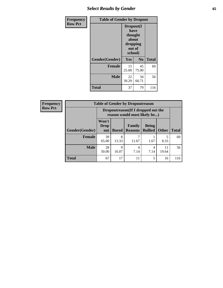# *Select Results by Gender* **65**

| Frequency      | <b>Table of Gender by Dropout</b> |                                                                        |                |              |
|----------------|-----------------------------------|------------------------------------------------------------------------|----------------|--------------|
| <b>Row Pct</b> |                                   | Dropout(I<br>have<br>thought<br>about<br>dropping<br>out of<br>school) |                |              |
|                | Gender(Gender)                    | Yes                                                                    | N <sub>0</sub> | <b>Total</b> |
|                | <b>Female</b>                     | 15<br>25.00                                                            | 45<br>75.00    | 60           |
|                | <b>Male</b>                       | 22<br>39.29                                                            | 34<br>60.71    | 56           |
|                | <b>Total</b>                      | 37                                                                     | 79             | 116          |

| <b>Frequency</b> |                       | <b>Table of Gender by Dropoutreason</b>                             |              |                          |                                |              |              |
|------------------|-----------------------|---------------------------------------------------------------------|--------------|--------------------------|--------------------------------|--------------|--------------|
| <b>Row Pct</b>   |                       | Dropoutreason (If I dropped out the<br>reason would most likely be) |              |                          |                                |              |              |
|                  | <b>Gender(Gender)</b> | Won't<br><b>Drop</b><br>out                                         | <b>Bored</b> | Family<br><b>Reasons</b> | <b>Being</b><br><b>Bullied</b> | <b>Other</b> | <b>Total</b> |
|                  | <b>Female</b>         | 39<br>65.00                                                         | 8<br>13.33   | 11.67                    | 1.67                           | 5<br>8.33    | 60           |
|                  | <b>Male</b>           | 28<br>50.00                                                         | 9<br>16.07   | 4<br>7.14                | 4<br>7.14                      | 11<br>19.64  | 56           |
|                  | <b>Total</b>          | 67                                                                  | 17           | 11                       | 5                              | 16           | 116          |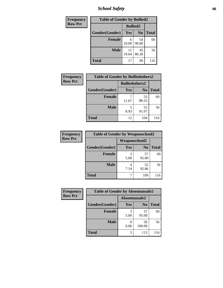*School Safety* **66**

| Frequency      | <b>Table of Gender by Bullied2</b> |                 |                |              |
|----------------|------------------------------------|-----------------|----------------|--------------|
| <b>Row Pct</b> |                                    | <b>Bullied2</b> |                |              |
|                | Gender(Gender)                     | Yes             | N <sub>0</sub> | <b>Total</b> |
|                | <b>Female</b>                      | 6<br>10.00      | 54<br>90.00    | 60           |
|                | <b>Male</b>                        | 11<br>19.64     | 45<br>80.36    | 56           |
|                | <b>Total</b>                       | 17              | 99             | 116          |

| Frequency      | <b>Table of Gender by Bulliedothers2</b> |                       |                |              |
|----------------|------------------------------------------|-----------------------|----------------|--------------|
| <b>Row Pct</b> |                                          | <b>Bulliedothers2</b> |                |              |
|                | Gender(Gender)                           | <b>Yes</b>            | N <sub>0</sub> | <b>Total</b> |
|                | <b>Female</b>                            | 11.67                 | 53<br>88.33    | 60           |
|                | <b>Male</b>                              | 5<br>8.93             | 51<br>91.07    | 56           |
|                | Total                                    | 12                    | 104            | 116          |

| Frequency      | <b>Table of Gender by Weaponschool2</b> |                      |                |              |
|----------------|-----------------------------------------|----------------------|----------------|--------------|
| <b>Row Pct</b> |                                         | <b>Weaponschool2</b> |                |              |
|                | Gender(Gender)                          | Yes                  | N <sub>0</sub> | <b>Total</b> |
|                | <b>Female</b>                           | 5.00                 | 57<br>95.00    | 60           |
|                | <b>Male</b>                             | 7.14                 | 52<br>92.86    | 56           |
|                | <b>Total</b>                            |                      | 109            | 116          |

| Frequency      | <b>Table of Gender by Absentunsafe2</b> |               |                |              |  |
|----------------|-----------------------------------------|---------------|----------------|--------------|--|
| <b>Row Pct</b> |                                         | Absentunsafe2 |                |              |  |
|                | Gender(Gender)                          | Yes           | N <sub>0</sub> | <b>Total</b> |  |
|                | <b>Female</b>                           | 5.00          | 57<br>95.00    | 60           |  |
|                | <b>Male</b>                             | 0.00          | 56<br>100.00   | 56           |  |
|                | <b>Total</b>                            | 3             | 113            | 116          |  |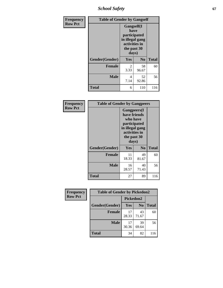*School Safety* **67**

| Frequency      | <b>Table of Gender by Gangself</b> |                                                                                                        |                |              |
|----------------|------------------------------------|--------------------------------------------------------------------------------------------------------|----------------|--------------|
| <b>Row Pct</b> |                                    | <b>Gangself</b> (I<br>have<br>participated<br>in illegal gang<br>activities in<br>the past 30<br>days) |                |              |
|                | Gender(Gender)                     | Yes                                                                                                    | N <sub>0</sub> | <b>Total</b> |
|                | <b>Female</b>                      | 2<br>3.33                                                                                              | 58<br>96.67    | 60           |
|                | <b>Male</b>                        | 4<br>7.14                                                                                              | 52<br>92.86    | 56           |
|                | <b>Total</b>                       | 6                                                                                                      | 110            | 116          |

| Frequency      | <b>Table of Gender by Gangpeers</b> |                                                                                                                             |                |              |
|----------------|-------------------------------------|-----------------------------------------------------------------------------------------------------------------------------|----------------|--------------|
| <b>Row Pct</b> |                                     | <b>Gangpeers</b> (I<br>have friends<br>who have<br>participated<br>in illegal gang<br>activities in<br>the past 30<br>days) |                |              |
|                | Gender(Gender)                      | Yes                                                                                                                         | N <sub>0</sub> | <b>Total</b> |
|                | <b>Female</b>                       | 11<br>18.33                                                                                                                 | 49<br>81.67    | 60           |
|                | <b>Male</b>                         | 16<br>28.57                                                                                                                 | 40<br>71.43    | 56           |
|                | Total                               | 27                                                                                                                          | 89             | 116          |

| Frequency      | <b>Table of Gender by Pickedon2</b> |             |                |              |  |
|----------------|-------------------------------------|-------------|----------------|--------------|--|
| <b>Row Pct</b> |                                     | Pickedon2   |                |              |  |
|                | Gender(Gender)                      | <b>Yes</b>  | N <sub>0</sub> | <b>Total</b> |  |
|                | <b>Female</b>                       | 17<br>28.33 | 43<br>71.67    | 60           |  |
|                | <b>Male</b>                         | 17<br>30.36 | 39<br>69.64    | 56           |  |
|                | <b>Total</b>                        | 34          | 82             | 116          |  |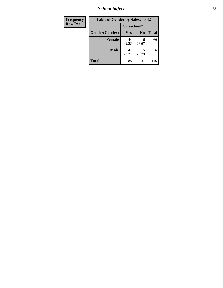*School Safety* **68**

| Frequency      | <b>Table of Gender by Safeschool2</b> |             |                |              |  |
|----------------|---------------------------------------|-------------|----------------|--------------|--|
| <b>Row Pct</b> |                                       | Safeschool2 |                |              |  |
|                | Gender(Gender)                        | Yes         | N <sub>0</sub> | <b>Total</b> |  |
|                | <b>Female</b>                         | 44<br>73.33 | 16<br>26.67    | 60           |  |
|                | <b>Male</b>                           | 41<br>73.21 | 15<br>26.79    | 56           |  |
|                | <b>Total</b>                          | 85          | 31             | 116          |  |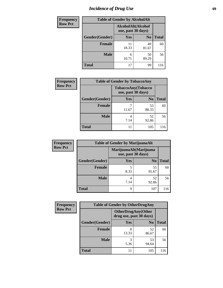# *Incidence of Drug Use* 69

| <b>Frequency</b> | <b>Table of Gender by AlcoholAlt</b> |                                          |                |              |
|------------------|--------------------------------------|------------------------------------------|----------------|--------------|
| <b>Row Pct</b>   |                                      | AlcoholAlt(Alcohol<br>use, past 30 days) |                |              |
|                  | Gender(Gender)                       | Yes                                      | N <sub>0</sub> | <b>Total</b> |
|                  | <b>Female</b>                        | 11<br>18.33                              | 49<br>81.67    | 60           |
|                  | <b>Male</b>                          | 6<br>10.71                               | 50<br>89.29    | 56           |
|                  | <b>Total</b>                         | 17                                       | 99             | 116          |

| <b>Frequency</b> | <b>Table of Gender by TobaccoAny</b> |            |                                          |              |
|------------------|--------------------------------------|------------|------------------------------------------|--------------|
| <b>Row Pct</b>   |                                      |            | TobaccoAny(Tobacco<br>use, past 30 days) |              |
|                  | Gender(Gender)                       | <b>Yes</b> | N <sub>0</sub>                           | <b>Total</b> |
|                  | <b>Female</b>                        | 11.67      | 53<br>88.33                              | 60           |
|                  | <b>Male</b>                          | 4<br>7.14  | 52<br>92.86                              | 56           |
|                  | <b>Total</b>                         | 11         | 105                                      | 116          |

| <b>Frequency</b> | <b>Table of Gender by MarijuanaAlt</b> |            |                                              |              |  |
|------------------|----------------------------------------|------------|----------------------------------------------|--------------|--|
| <b>Row Pct</b>   |                                        |            | MarijuanaAlt(Marijuana<br>use, past 30 days) |              |  |
|                  | Gender(Gender)                         | <b>Yes</b> | N <sub>0</sub>                               | <b>Total</b> |  |
|                  | <b>Female</b>                          | 5<br>8.33  | 55<br>91.67                                  | 60           |  |
|                  | <b>Male</b>                            | 4<br>7.14  | 52<br>92.86                                  | 56           |  |
|                  | <b>Total</b>                           | 9          | 107                                          | 116          |  |

| <b>Frequency</b> | <b>Table of Gender by OtherDrugAny</b> |                                                      |                |              |
|------------------|----------------------------------------|------------------------------------------------------|----------------|--------------|
| <b>Row Pct</b>   |                                        | <b>OtherDrugAny(Other</b><br>drug use, past 30 days) |                |              |
|                  | Gender(Gender)                         | Yes                                                  | N <sub>0</sub> | <b>Total</b> |
|                  | <b>Female</b>                          | 8<br>13.33                                           | 52<br>86.67    | 60           |
|                  | <b>Male</b>                            | 3<br>5.36                                            | 53<br>94.64    | 56           |
|                  | <b>Total</b>                           | 11                                                   | 105            | 116          |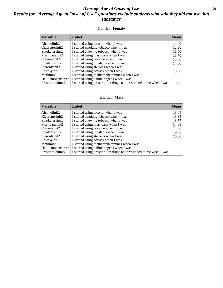### *Average Age at Onset of Use* 70 *Results for "Average Age at Onset of Use" questions exclude students who said they did not use that substance*

#### **Gender=Female**

| <b>Variable</b>    | <b>Label</b>                                                       | <b>Mean</b> |
|--------------------|--------------------------------------------------------------------|-------------|
| Alcoholinit2       | I started using alcohol when I was                                 | 14.00       |
| Cigarettesinit2    | I started smoking tobacco when I was                               | 12.20       |
| Smokelessinit2     | I started chewing tobacco when I was                               | 11.50       |
| Marijuanainit2     | I started using marijuana when I was                               | 13.70       |
| Cocaineinit2       | I started using cocaine when I was                                 | 15.00       |
| Inhalantsinit2     | I started using inhalants when I was                               | 14.00       |
| Steroidsinit2      | I started using steroids when I was                                |             |
| Ecstasyinit2       | I started using ecstasy when I was                                 | 15.50       |
| Methinit2          | I started using methamphetamines when I was                        |             |
| Hallucinogensinit2 | I started using hallucinogens when I was                           |             |
| Prescription in t2 | I started using prescription drugs not prescribed to me when I was | 13.86       |

#### **Gender=Male**

| <b>Variable</b>                 | Label                                                              | <b>Mean</b> |
|---------------------------------|--------------------------------------------------------------------|-------------|
| Alcoholinit2                    | I started using alcohol when I was                                 | 13.04       |
| Cigarettesinit2                 | I started smoking tobacco when I was                               | 13.83       |
| Smokelessinit2                  | I started chewing tobacco when I was                               | 13.57       |
| Marijuanainit2                  | I started using marijuana when I was                               | 14.33       |
| Cocaineinit2                    | I started using cocaine when I was                                 | 14.00       |
| Inhalantsinit2                  | I started using inhalants when I was                               | 9.00        |
| Steroidsinit2                   | I started using steroids when I was                                | 16.00       |
| Ecstasyinit2                    | I started using ecstasy when I was                                 |             |
| Methinit2                       | I started using methamphetamines when I was                        | $\bullet$   |
| Hallucinogensinit2              | I started using hallucinogens when I was                           |             |
| Prescription in it <sub>2</sub> | I started using prescription drugs not prescribed to me when I was |             |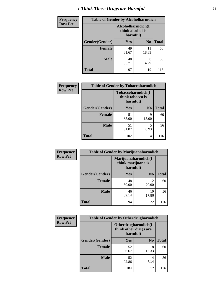# *I Think These Drugs are Harmful* **71**

| Frequency      | <b>Table of Gender by Alcoholharmdich</b> |                                                   |                |              |
|----------------|-------------------------------------------|---------------------------------------------------|----------------|--------------|
| <b>Row Pct</b> |                                           | Alcoholharmdich(I<br>think alcohol is<br>harmful) |                |              |
|                | Gender(Gender)                            | Yes                                               | N <sub>0</sub> | <b>Total</b> |
|                | <b>Female</b>                             | 49<br>81.67                                       | 11<br>18.33    | 60           |
|                | <b>Male</b>                               | 48<br>85.71                                       | 8<br>14.29     | 56           |
|                | <b>Total</b>                              | 97                                                | 19             | 116          |

| Frequency      | <b>Table of Gender by Tobaccoharmdich</b> |                  |                               |              |
|----------------|-------------------------------------------|------------------|-------------------------------|--------------|
| <b>Row Pct</b> |                                           | think tobacco is | Tobaccoharmdich(I<br>harmful) |              |
|                | Gender(Gender)                            | <b>Yes</b>       | N <sub>0</sub>                | <b>Total</b> |
|                | <b>Female</b>                             | 51<br>85.00      | 9<br>15.00                    | 60           |
|                | <b>Male</b>                               | 51<br>91.07      | 5<br>8.93                     | 56           |
|                | <b>Total</b>                              | 102              | 14                            | 116          |

| Frequency      | <b>Table of Gender by Marijuanaharmdich</b> |                                |                     |              |  |
|----------------|---------------------------------------------|--------------------------------|---------------------|--------------|--|
| <b>Row Pct</b> |                                             | think marijuana is<br>harmful) | Marijuanaharmdich(I |              |  |
|                | Gender(Gender)                              | <b>Yes</b>                     | N <sub>0</sub>      | <b>Total</b> |  |
|                | <b>Female</b>                               | 48<br>80.00                    | 12<br>20.00         | 60           |  |
|                | <b>Male</b>                                 | 46<br>82.14                    | 10<br>17.86         | 56           |  |
|                | <b>Total</b>                                | 94                             | 22                  | 116          |  |

| <b>Frequency</b> | <b>Table of Gender by Otherdrugharmdich</b> |                                                          |                |              |
|------------------|---------------------------------------------|----------------------------------------------------------|----------------|--------------|
| <b>Row Pct</b>   |                                             | Otherdrugharmdich(I<br>think other drugs are<br>harmful) |                |              |
|                  | Gender(Gender)                              | <b>Yes</b>                                               | N <sub>0</sub> | <b>Total</b> |
|                  | <b>Female</b>                               | 52<br>86.67                                              | 8<br>13.33     | 60           |
|                  | <b>Male</b>                                 | 52<br>92.86                                              | 4<br>7.14      | 56           |
|                  | <b>Total</b>                                | 104                                                      | 12             | 116          |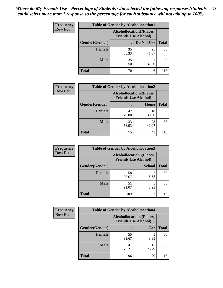| <b>Frequency</b> | <b>Table of Gender by Alcohollocation1</b> |                                                               |             |              |
|------------------|--------------------------------------------|---------------------------------------------------------------|-------------|--------------|
| <b>Row Pct</b>   |                                            | <b>Alcohollocation1(Places</b><br><b>Friends Use Alcohol)</b> |             |              |
|                  | Gender(Gender)                             |                                                               | Do Not Use  | <b>Total</b> |
|                  | <b>Female</b>                              | 35<br>58.33                                                   | 25<br>41.67 | 60           |
|                  | <b>Male</b>                                | 35<br>62.50                                                   | 21<br>37.50 | 56           |
|                  | <b>Total</b>                               | 70                                                            | 46          | 116          |

| <b>Frequency</b> |                | <b>Table of Gender by Alcohollocation2</b>                    |             |              |
|------------------|----------------|---------------------------------------------------------------|-------------|--------------|
| <b>Row Pct</b>   |                | <b>Alcohollocation2(Places</b><br><b>Friends Use Alcohol)</b> |             |              |
|                  | Gender(Gender) |                                                               | Home        | <b>Total</b> |
|                  | <b>Female</b>  | 42<br>70.00                                                   | 18<br>30.00 | 60           |
|                  | <b>Male</b>    | 33<br>58.93                                                   | 23<br>41.07 | 56           |
|                  | <b>Total</b>   | 75                                                            | 41          | 116          |

| Frequency      | <b>Table of Gender by Alcohollocation3</b> |                                                               |               |              |
|----------------|--------------------------------------------|---------------------------------------------------------------|---------------|--------------|
| <b>Row Pct</b> |                                            | <b>Alcohollocation3(Places</b><br><b>Friends Use Alcohol)</b> |               |              |
|                | Gender(Gender)                             |                                                               | <b>School</b> | <b>Total</b> |
|                | <b>Female</b>                              | 58<br>96.67                                                   | 2<br>3.33     | 60           |
|                | <b>Male</b>                                | 51<br>91.07                                                   | 8.93          | 56           |
|                | <b>Total</b>                               | 109                                                           |               | 116          |

| Frequency      | <b>Table of Gender by Alcohollocation4</b> |                                                               |             |              |  |
|----------------|--------------------------------------------|---------------------------------------------------------------|-------------|--------------|--|
| <b>Row Pct</b> |                                            | <b>Alcohollocation4(Places</b><br><b>Friends Use Alcohol)</b> |             |              |  |
|                | Gender(Gender)                             |                                                               | Car         | <b>Total</b> |  |
|                | <b>Female</b>                              | 55<br>91.67                                                   | 8.33        | 60           |  |
|                | <b>Male</b>                                | 41<br>73.21                                                   | 15<br>26.79 | 56           |  |
|                | <b>Total</b>                               | 96                                                            | 20          |              |  |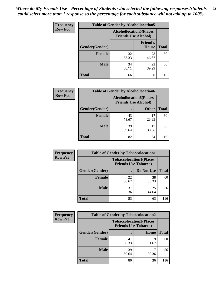| <b>Frequency</b> | <b>Table of Gender by Alcohollocation5</b> |             |                                                                |              |
|------------------|--------------------------------------------|-------------|----------------------------------------------------------------|--------------|
| <b>Row Pct</b>   |                                            |             | <b>Alcohollocation5</b> (Places<br><b>Friends Use Alcohol)</b> |              |
|                  | Gender(Gender)                             | $\bullet$   | <b>Friend's</b><br>House                                       | <b>Total</b> |
|                  | <b>Female</b>                              | 32<br>53.33 | 28<br>46.67                                                    | 60           |
|                  | <b>Male</b>                                | 34<br>60.71 | 22<br>39.29                                                    | 56           |
|                  | <b>Total</b>                               | 66          | 50                                                             | 116          |

| <b>Frequency</b> | <b>Table of Gender by Alcohollocation6</b> |                                                               |              |              |
|------------------|--------------------------------------------|---------------------------------------------------------------|--------------|--------------|
| <b>Row Pct</b>   |                                            | <b>Alcohollocation6(Places</b><br><b>Friends Use Alcohol)</b> |              |              |
|                  | Gender(Gender)                             |                                                               | <b>Other</b> | <b>Total</b> |
|                  | <b>Female</b>                              | 43<br>71.67                                                   | 17<br>28.33  | 60           |
|                  | <b>Male</b>                                | 39<br>69.64                                                   | 17<br>30.36  | 56           |
|                  | <b>Total</b>                               | 82                                                            | 34           | 116          |

| Frequency      | <b>Table of Gender by Tobaccolocation1</b> |                                                               |             |              |
|----------------|--------------------------------------------|---------------------------------------------------------------|-------------|--------------|
| <b>Row Pct</b> |                                            | <b>Tobaccolocation1(Places</b><br><b>Friends Use Tobacco)</b> |             |              |
|                | Gender(Gender)                             |                                                               | Do Not Use  | <b>Total</b> |
|                | Female                                     | 22<br>36.67                                                   | 38<br>63.33 | 60           |
|                | <b>Male</b>                                | 31<br>55.36                                                   | 25<br>44.64 | 56           |
|                | <b>Total</b>                               | 53                                                            | 63          | 116          |

| <b>Frequency</b> | <b>Table of Gender by Tobaccolocation2</b> |                             |                                |              |  |
|------------------|--------------------------------------------|-----------------------------|--------------------------------|--------------|--|
| <b>Row Pct</b>   |                                            | <b>Friends Use Tobacco)</b> | <b>Tobaccolocation2(Places</b> |              |  |
|                  | Gender(Gender)                             |                             | Home                           | <b>Total</b> |  |
|                  | Female                                     | 41<br>68.33                 | 19<br>31.67                    | 60           |  |
|                  | <b>Male</b>                                | 39<br>69.64                 | 17<br>30.36                    | 56           |  |
|                  | <b>Total</b>                               | 80                          | 36                             | 116          |  |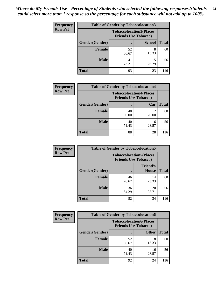| <b>Frequency</b> | <b>Table of Gender by Tobaccolocation3</b> |                             |                                |              |
|------------------|--------------------------------------------|-----------------------------|--------------------------------|--------------|
| <b>Row Pct</b>   |                                            | <b>Friends Use Tobacco)</b> | <b>Tobaccolocation3(Places</b> |              |
|                  | Gender(Gender)                             |                             | <b>School</b>                  | <b>Total</b> |
|                  | <b>Female</b>                              | 52<br>86.67                 | 8<br>13.33                     | 60           |
|                  | <b>Male</b>                                | 41<br>73.21                 | 15<br>26.79                    | 56           |
|                  | <b>Total</b>                               | 93                          | 23                             |              |

| <b>Frequency</b> | <b>Table of Gender by Tobaccolocation4</b> |                                                               |             |              |
|------------------|--------------------------------------------|---------------------------------------------------------------|-------------|--------------|
| <b>Row Pct</b>   |                                            | <b>Tobaccolocation4(Places</b><br><b>Friends Use Tobacco)</b> |             |              |
|                  | Gender(Gender)                             |                                                               | Car         | <b>Total</b> |
|                  | <b>Female</b>                              | 48<br>80.00                                                   | 12<br>20.00 | 60           |
|                  | <b>Male</b>                                | 40<br>71.43                                                   | 16<br>28.57 | 56           |
|                  | <b>Total</b>                               | 88                                                            | 28          | 116          |

| <b>Frequency</b> | <b>Table of Gender by Tobaccolocation5</b> |                                                               |                                 |              |
|------------------|--------------------------------------------|---------------------------------------------------------------|---------------------------------|--------------|
| <b>Row Pct</b>   |                                            | <b>Tobaccolocation5(Places</b><br><b>Friends Use Tobacco)</b> |                                 |              |
|                  | Gender(Gender)                             |                                                               | <b>Friend's</b><br><b>House</b> | <b>Total</b> |
|                  | <b>Female</b>                              | 46<br>76.67                                                   | 14<br>23.33                     | 60           |
|                  | <b>Male</b>                                | 36<br>64.29                                                   | 20<br>35.71                     | 56           |
|                  | <b>Total</b>                               | 82                                                            | 34                              | 116          |

| Frequency      | <b>Table of Gender by Tobaccolocation6</b> |             |                                                               |              |
|----------------|--------------------------------------------|-------------|---------------------------------------------------------------|--------------|
| <b>Row Pct</b> |                                            |             | <b>Tobaccolocation6(Places</b><br><b>Friends Use Tobacco)</b> |              |
|                | Gender(Gender)                             |             | <b>Other</b>                                                  | <b>Total</b> |
|                | Female                                     | 52<br>86.67 | 8<br>13.33                                                    | 60           |
|                | <b>Male</b>                                | 40<br>71.43 | 16<br>28.57                                                   | 56           |
|                | <b>Total</b>                               | 92          | 24                                                            | 116          |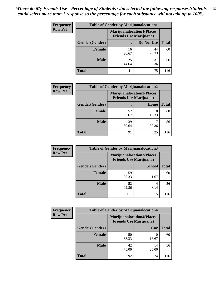| <b>Frequency</b> | <b>Table of Gender by Marijuanalocation1</b> |                                                                    |             |              |
|------------------|----------------------------------------------|--------------------------------------------------------------------|-------------|--------------|
| <b>Row Pct</b>   |                                              | <b>Marijuanalocation1(Places</b><br><b>Friends Use Marijuana</b> ) |             |              |
|                  | Gender(Gender)                               |                                                                    | Do Not Use  | <b>Total</b> |
|                  | <b>Female</b>                                | 16<br>26.67                                                        | 44<br>73.33 | 60           |
|                  | <b>Male</b>                                  | 25<br>44.64                                                        | 31<br>55.36 | 56           |
|                  | <b>Total</b>                                 | 41                                                                 | 75          | 116          |

| <b>Frequency</b> | <b>Table of Gender by Marijuanalocation2</b> |                                                                    |            |              |
|------------------|----------------------------------------------|--------------------------------------------------------------------|------------|--------------|
| <b>Row Pct</b>   |                                              | <b>Marijuanalocation2(Places</b><br><b>Friends Use Marijuana</b> ) |            |              |
|                  | Gender(Gender)                               |                                                                    | Home       | <b>Total</b> |
|                  | Female                                       | 52<br>86.67                                                        | 8<br>13.33 | 60           |
|                  | <b>Male</b>                                  | 39<br>69.64                                                        | 30.36      | 56           |
|                  | <b>Total</b>                                 | 91                                                                 | 25         | 116          |

| Frequency      | <b>Table of Gender by Marijuanalocation3</b> |                                                                    |               |              |
|----------------|----------------------------------------------|--------------------------------------------------------------------|---------------|--------------|
| <b>Row Pct</b> |                                              | <b>Marijuanalocation3(Places</b><br><b>Friends Use Marijuana</b> ) |               |              |
|                | Gender(Gender)                               |                                                                    | <b>School</b> | <b>Total</b> |
|                | Female                                       | 59<br>98.33                                                        | 1.67          | 60           |
|                | <b>Male</b>                                  | 52<br>92.86                                                        | 4<br>7.14     | 56           |
|                | <b>Total</b>                                 | 111                                                                | 5             | 116          |

| <b>Frequency</b> |                | <b>Table of Gender by Marijuanalocation4</b> |                                  |              |
|------------------|----------------|----------------------------------------------|----------------------------------|--------------|
| <b>Row Pct</b>   |                | <b>Friends Use Marijuana</b> )               | <b>Marijuanalocation4(Places</b> |              |
|                  | Gender(Gender) |                                              | Car                              | <b>Total</b> |
|                  | <b>Female</b>  | 50<br>83.33                                  | 10<br>16.67                      | 60           |
|                  | <b>Male</b>    | 42<br>75.00                                  | 14<br>25.00                      | 56           |
|                  | <b>Total</b>   | 92                                           | 24                               | 116          |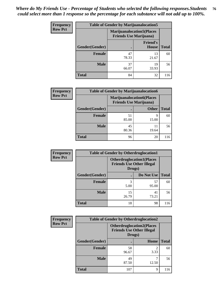| Frequency      | <b>Table of Gender by Marijuanalocation5</b> |                                                                     |                          |              |
|----------------|----------------------------------------------|---------------------------------------------------------------------|--------------------------|--------------|
| <b>Row Pct</b> |                                              | <b>Marijuanalocation5</b> (Places<br><b>Friends Use Marijuana</b> ) |                          |              |
|                | Gender(Gender)                               |                                                                     | <b>Friend's</b><br>House | <b>Total</b> |
|                | <b>Female</b>                                | 47<br>78.33                                                         | 13<br>21.67              | 60           |
|                | <b>Male</b>                                  | 37<br>66.07                                                         | 19<br>33.93              | 56           |
|                | <b>Total</b>                                 | 84                                                                  | 32                       | 116          |

| <b>Frequency</b> | <b>Table of Gender by Marijuanalocation6</b> |                                                                    |              |              |  |
|------------------|----------------------------------------------|--------------------------------------------------------------------|--------------|--------------|--|
| <b>Row Pct</b>   |                                              | <b>Marijuanalocation6(Places</b><br><b>Friends Use Marijuana</b> ) |              |              |  |
|                  | <b>Gender</b> (Gender)                       |                                                                    | <b>Other</b> | <b>Total</b> |  |
|                  | <b>Female</b>                                | 51<br>85.00                                                        | 9<br>15.00   | 60           |  |
|                  | <b>Male</b>                                  | 45<br>80.36                                                        | 19.64        | 56           |  |
|                  | <b>Total</b>                                 | 96                                                                 | 20           | 116          |  |

| <b>Frequency</b> | <b>Table of Gender by Otherdruglocation1</b> |                                                                                |             |              |
|------------------|----------------------------------------------|--------------------------------------------------------------------------------|-------------|--------------|
| <b>Row Pct</b>   |                                              | <b>Otherdruglocation1(Places</b><br><b>Friends Use Other Illegal</b><br>Drugs) |             |              |
|                  | Gender(Gender)                               |                                                                                | Do Not Use  | <b>Total</b> |
|                  | Female                                       | 3<br>5.00                                                                      | 57<br>95.00 | 60           |
|                  | <b>Male</b>                                  | 15<br>26.79                                                                    | 41<br>73.21 | 56           |
|                  | <b>Total</b>                                 | 18                                                                             | 98          | 116          |

| <b>Frequency</b> | <b>Table of Gender by Otherdruglocation2</b> |                                                                                |           |              |
|------------------|----------------------------------------------|--------------------------------------------------------------------------------|-----------|--------------|
| <b>Row Pct</b>   |                                              | <b>Otherdruglocation2(Places</b><br><b>Friends Use Other Illegal</b><br>Drugs) |           |              |
|                  | Gender(Gender)                               |                                                                                | Home      | <b>Total</b> |
|                  | Female                                       | 58<br>96.67                                                                    | 2<br>3.33 | 60           |
|                  | <b>Male</b>                                  | 49<br>87.50                                                                    | 12.50     | 56           |
|                  | <b>Total</b>                                 | 107                                                                            | 9         | 116          |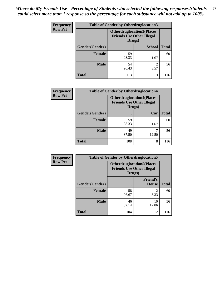| Frequency      | <b>Table of Gender by Otherdruglocation3</b> |                                                                                |               |              |
|----------------|----------------------------------------------|--------------------------------------------------------------------------------|---------------|--------------|
| <b>Row Pct</b> |                                              | <b>Otherdruglocation3(Places</b><br><b>Friends Use Other Illegal</b><br>Drugs) |               |              |
|                | Gender(Gender)                               |                                                                                | <b>School</b> | <b>Total</b> |
|                | Female                                       | 59<br>98.33                                                                    | 1.67          | 60           |
|                | <b>Male</b>                                  | 54<br>96.43                                                                    | 3.57          | 56           |
|                | <b>Total</b>                                 | 113                                                                            | 3             | 116          |

| Frequency      | <b>Table of Gender by Otherdruglocation4</b> |                                            |                                  |              |
|----------------|----------------------------------------------|--------------------------------------------|----------------------------------|--------------|
| <b>Row Pct</b> |                                              | <b>Friends Use Other Illegal</b><br>Drugs) | <b>Otherdruglocation4(Places</b> |              |
|                | Gender(Gender)                               |                                            | Car                              | <b>Total</b> |
|                | Female                                       | 59<br>98.33                                | 1.67                             | 60           |
|                | <b>Male</b>                                  | 49<br>87.50                                | 12.50                            | 56           |
|                | <b>Total</b>                                 | 108                                        | 8                                | 116          |

| <b>Frequency</b> | <b>Table of Gender by Otherdruglocation5</b> |             |                                                                      |              |
|------------------|----------------------------------------------|-------------|----------------------------------------------------------------------|--------------|
| <b>Row Pct</b>   |                                              | Drugs)      | <b>Otherdruglocation5(Places</b><br><b>Friends Use Other Illegal</b> |              |
|                  | Gender(Gender)                               |             | <b>Friend's</b><br><b>House</b>                                      | <b>Total</b> |
|                  | <b>Female</b>                                | 58<br>96.67 | 2<br>3.33                                                            | 60           |
|                  | <b>Male</b>                                  | 46<br>82.14 | 10<br>17.86                                                          | 56           |
|                  | <b>Total</b>                                 | 104         | 12                                                                   | 116          |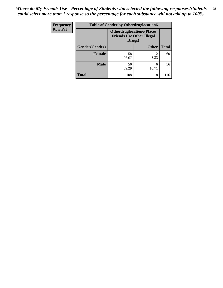| <b>Frequency</b> | <b>Table of Gender by Otherdruglocation6</b> |                                            |                                  |              |
|------------------|----------------------------------------------|--------------------------------------------|----------------------------------|--------------|
| <b>Row Pct</b>   |                                              | <b>Friends Use Other Illegal</b><br>Drugs) | <b>Otherdruglocation6(Places</b> |              |
|                  | Gender(Gender)                               |                                            | <b>Other</b>                     | <b>Total</b> |
|                  | <b>Female</b>                                | 58<br>96.67                                | 3.33                             | 60           |
|                  | <b>Male</b>                                  | 50<br>89.29                                | 6<br>10.71                       | 56           |
|                  | <b>Total</b>                                 | 108                                        | 8                                | 116          |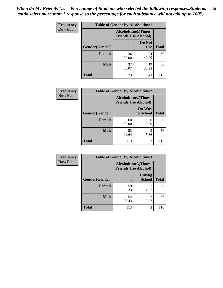| Frequency      | <b>Table of Gender by Alcoholtime1</b> |                                                          |                      |              |
|----------------|----------------------------------------|----------------------------------------------------------|----------------------|--------------|
| <b>Row Pct</b> |                                        | <b>Alcoholtime1(Times</b><br><b>Friends Use Alcohol)</b> |                      |              |
|                | Gender(Gender)                         | $\bullet$                                                | Do Not<br><b>Use</b> | <b>Total</b> |
|                | <b>Female</b>                          | 36<br>60.00                                              | 24<br>40.00          | 60           |
|                | <b>Male</b>                            | 37<br>66.07                                              | 19<br>33.93          | 56           |
|                | <b>Total</b>                           | 73                                                       | 43                   | 116          |

| Frequency      | <b>Table of Gender by Alcoholtime2</b> |                                                          |                            |              |
|----------------|----------------------------------------|----------------------------------------------------------|----------------------------|--------------|
| <b>Row Pct</b> |                                        | <b>Alcoholtime2(Times</b><br><b>Friends Use Alcohol)</b> |                            |              |
|                | Gender(Gender)                         |                                                          | <b>On Way</b><br>to School | <b>Total</b> |
|                | <b>Female</b>                          | 60<br>100.00                                             | 0<br>0.00                  | 60           |
|                | <b>Male</b>                            | 53<br>94.64                                              | 3<br>5.36                  | 56           |
|                | <b>Total</b>                           | 113                                                      | 3                          | 116          |

| Frequency      | <b>Table of Gender by Alcoholtime3</b> |                                                          |                                  |              |
|----------------|----------------------------------------|----------------------------------------------------------|----------------------------------|--------------|
| <b>Row Pct</b> |                                        | <b>Alcoholtime3(Times</b><br><b>Friends Use Alcohol)</b> |                                  |              |
|                | Gender(Gender)                         |                                                          | <b>During</b><br><b>School</b>   | <b>Total</b> |
|                | Female                                 | 59<br>98.33                                              | 1.67                             | 60           |
|                | <b>Male</b>                            | 54<br>96.43                                              | $\overline{\mathcal{L}}$<br>3.57 | 56           |
|                | <b>Total</b>                           | 113                                                      | 3                                | 116          |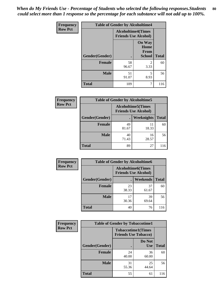*When do My Friends Use - Percentage of Students who selected the following responses.Students could select more than 1 response so the percentage for each substance will not add up to 100%.* **80**

| <b>Frequency</b> | <b>Table of Gender by Alcoholtime4</b> |                                                          |                                                |              |
|------------------|----------------------------------------|----------------------------------------------------------|------------------------------------------------|--------------|
| <b>Row Pct</b>   |                                        | <b>Alcoholtime4(Times</b><br><b>Friends Use Alcohol)</b> |                                                |              |
|                  | Gender(Gender)                         |                                                          | <b>On Way</b><br>Home<br>From<br><b>School</b> | <b>Total</b> |
|                  | <b>Female</b>                          | 58<br>96.67                                              | 2<br>3.33                                      | 60           |
|                  | <b>Male</b>                            | 51<br>91.07                                              | 5<br>8.93                                      | 56           |
|                  | <b>Total</b>                           | 109                                                      | 7                                              | 116          |

| <b>Frequency</b> | <b>Table of Gender by Alcoholtime5</b> |                                                          |             |              |
|------------------|----------------------------------------|----------------------------------------------------------|-------------|--------------|
| <b>Row Pct</b>   |                                        | <b>Alcoholtime5(Times</b><br><b>Friends Use Alcohol)</b> |             |              |
|                  | Gender(Gender)                         |                                                          | Weeknights  | <b>Total</b> |
|                  | <b>Female</b>                          | 49<br>81.67                                              | 11<br>18.33 | 60           |
|                  | <b>Male</b>                            | 40<br>71.43                                              | 16<br>28.57 | 56           |
|                  | Total                                  | 89                                                       | 27          | 116          |

| <b>Frequency</b> | <b>Table of Gender by Alcoholtime6</b> |             |                                                          |              |  |
|------------------|----------------------------------------|-------------|----------------------------------------------------------|--------------|--|
| <b>Row Pct</b>   |                                        |             | <b>Alcoholtime6(Times</b><br><b>Friends Use Alcohol)</b> |              |  |
|                  | Gender(Gender)                         |             | Weekends                                                 | <b>Total</b> |  |
|                  | Female                                 | 23<br>38.33 | 37<br>61.67                                              | 60           |  |
|                  | <b>Male</b>                            | 17<br>30.36 | 39<br>69.64                                              | 56           |  |
|                  | <b>Total</b>                           | 40          | 76                                                       | 116          |  |

| Frequency      | <b>Table of Gender by Tobaccotime1</b> |                                                          |                      |              |
|----------------|----------------------------------------|----------------------------------------------------------|----------------------|--------------|
| <b>Row Pct</b> |                                        | <b>Tobaccotime1(Times</b><br><b>Friends Use Tobacco)</b> |                      |              |
|                | Gender(Gender)                         |                                                          | Do Not<br><b>Use</b> | <b>Total</b> |
|                | <b>Female</b>                          | 24<br>40.00                                              | 36<br>60.00          | 60           |
|                | <b>Male</b>                            | 31<br>55.36                                              | 25<br>44.64          | 56           |
|                | <b>Total</b>                           | 55                                                       | 61                   | 116          |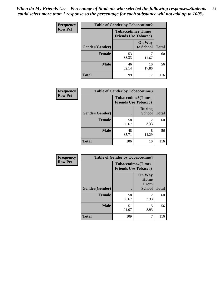| <b>Frequency</b> | <b>Table of Gender by Tobaccotime2</b> |                                                          |                            |              |
|------------------|----------------------------------------|----------------------------------------------------------|----------------------------|--------------|
| <b>Row Pct</b>   |                                        | <b>Tobaccotime2(Times</b><br><b>Friends Use Tobacco)</b> |                            |              |
|                  | Gender(Gender)                         |                                                          | <b>On Way</b><br>to School | <b>Total</b> |
|                  | <b>Female</b>                          | 53<br>88.33                                              | 11.67                      | 60           |
|                  | <b>Male</b>                            | 46<br>82.14                                              | 10<br>17.86                | 56           |
|                  | <b>Total</b>                           | 99                                                       | 17                         | 116          |

| <b>Frequency</b> | <b>Table of Gender by Tobaccotime3</b> |                                                          |                                |              |
|------------------|----------------------------------------|----------------------------------------------------------|--------------------------------|--------------|
| <b>Row Pct</b>   |                                        | <b>Tobaccotime3(Times</b><br><b>Friends Use Tobacco)</b> |                                |              |
|                  | Gender(Gender)                         | г                                                        | <b>During</b><br><b>School</b> | <b>Total</b> |
|                  | Female                                 | 58<br>96.67                                              | 2<br>3.33                      | 60           |
|                  | <b>Male</b>                            | 48<br>85.71                                              | 8<br>14.29                     | 56           |
|                  | <b>Total</b>                           | 106                                                      | 10                             | 116          |

| <b>Frequency</b> | <b>Table of Gender by Tobaccotime4</b> |                                                          |                                                |              |
|------------------|----------------------------------------|----------------------------------------------------------|------------------------------------------------|--------------|
| <b>Row Pct</b>   |                                        | <b>Tobaccotime4(Times</b><br><b>Friends Use Tobacco)</b> |                                                |              |
|                  | Gender(Gender)                         |                                                          | <b>On Way</b><br>Home<br>From<br><b>School</b> | <b>Total</b> |
|                  | <b>Female</b>                          | 58<br>96.67                                              | $\mathfrak{D}$<br>3.33                         | 60           |
|                  | <b>Male</b>                            | 51<br>91.07                                              | 5<br>8.93                                      | 56           |
|                  | <b>Total</b>                           | 109                                                      | 7                                              | 116          |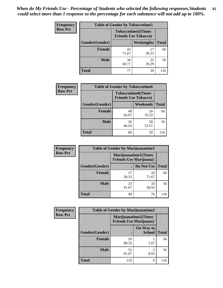| <b>Frequency</b> | <b>Table of Gender by Tobaccotime5</b> |                                                           |                   |              |  |
|------------------|----------------------------------------|-----------------------------------------------------------|-------------------|--------------|--|
| <b>Row Pct</b>   |                                        | <b>Tobaccotime5</b> (Times<br><b>Friends Use Tobacco)</b> |                   |              |  |
|                  | <b>Gender</b> (Gender)                 |                                                           | <b>Weeknights</b> | <b>Total</b> |  |
|                  | <b>Female</b>                          | 43<br>71.67                                               | 17<br>28.33       | 60           |  |
|                  | <b>Male</b>                            | 34<br>60.71                                               | 22<br>39.29       | 56           |  |
|                  | Total                                  | 77                                                        | 39                | 116          |  |

| <b>Frequency</b> | <b>Table of Gender by Tobaccotime6</b> |                                                          |                 |              |
|------------------|----------------------------------------|----------------------------------------------------------|-----------------|--------------|
| <b>Row Pct</b>   |                                        | <b>Tobaccotime6(Times</b><br><b>Friends Use Tobacco)</b> |                 |              |
|                  | Gender(Gender)                         |                                                          | <b>Weekends</b> | <b>Total</b> |
|                  | Female                                 | 40<br>66.67                                              | 20<br>33.33     | 60           |
|                  | <b>Male</b>                            | 26<br>46.43                                              | 30<br>53.57     | 56           |
|                  | <b>Total</b>                           | 66                                                       | 50              | 116          |

| <b>Frequency</b> | <b>Table of Gender by Marijuanatime1</b> |                                                               |             |              |
|------------------|------------------------------------------|---------------------------------------------------------------|-------------|--------------|
| <b>Row Pct</b>   |                                          | <b>Marijuanatime1(Times</b><br><b>Friends Use Marijuana</b> ) |             |              |
|                  | Gender(Gender)                           |                                                               | Do Not Use  | <b>Total</b> |
|                  | <b>Female</b>                            | 17<br>28.33                                                   | 43<br>71.67 | 60           |
|                  | <b>Male</b>                              | 23<br>41.07                                                   | 33<br>58.93 | 56           |
|                  | <b>Total</b>                             | 40                                                            | 76          | 116          |

| <b>Frequency</b> | <b>Table of Gender by Marijuanatime2</b> |                                                               |                            |              |
|------------------|------------------------------------------|---------------------------------------------------------------|----------------------------|--------------|
| <b>Row Pct</b>   |                                          | <b>Marijuanatime2(Times</b><br><b>Friends Use Marijuana</b> ) |                            |              |
|                  | Gender(Gender)                           |                                                               | On Way to<br><b>School</b> | <b>Total</b> |
|                  | Female                                   | 59<br>98.33                                                   | 1.67                       | 60           |
|                  | <b>Male</b>                              | 51<br>91.07                                                   | 5<br>8.93                  | 56           |
|                  | <b>Total</b>                             | 110                                                           | 6                          | 116          |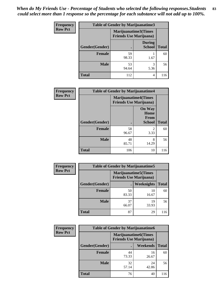| <b>Frequency</b> | Table of Gender by Marijuanatime3 |                                                        |                                |              |
|------------------|-----------------------------------|--------------------------------------------------------|--------------------------------|--------------|
| <b>Row Pct</b>   |                                   | Marijuanatime3(Times<br><b>Friends Use Marijuana</b> ) |                                |              |
|                  | Gender(Gender)                    |                                                        | <b>During</b><br><b>School</b> | <b>Total</b> |
|                  | <b>Female</b>                     | 59<br>98.33                                            | 1.67                           | 60           |
|                  | <b>Male</b>                       | 53<br>94.64                                            | 5.36                           | 56           |
|                  | <b>Total</b>                      | 112                                                    | 4                              | 116          |

| Frequency      | <b>Table of Gender by Marijuanatime4</b> |                                                                |                                                       |              |
|----------------|------------------------------------------|----------------------------------------------------------------|-------------------------------------------------------|--------------|
| <b>Row Pct</b> |                                          | <b>Marijuanatime4</b> (Times<br><b>Friends Use Marijuana</b> ) |                                                       |              |
|                |                                          |                                                                | <b>On Way</b><br>Home<br><b>From</b><br><b>School</b> | <b>Total</b> |
|                | Gender(Gender)                           |                                                                |                                                       |              |
|                | <b>Female</b>                            | 58<br>96.67                                                    | $\mathfrak{D}$<br>3.33                                | 60           |
|                | <b>Male</b>                              | 48<br>85.71                                                    | 8<br>14.29                                            | 56           |
|                | <b>Total</b>                             | 106                                                            | 10                                                    | 116          |

| Frequency      | <b>Table of Gender by Marijuanatime5</b> |                                                                |             |              |  |
|----------------|------------------------------------------|----------------------------------------------------------------|-------------|--------------|--|
| <b>Row Pct</b> |                                          | <b>Marijuanatime5</b> (Times<br><b>Friends Use Marijuana</b> ) |             |              |  |
|                | Gender(Gender)                           |                                                                | Weeknights  | <b>Total</b> |  |
|                | <b>Female</b>                            | 50<br>83.33                                                    | 10<br>16.67 | 60           |  |
|                | <b>Male</b>                              | 37<br>66.07                                                    | 19<br>33.93 | 56           |  |
|                | <b>Total</b>                             | 87                                                             | 29          | 116          |  |

| Frequency      | <b>Table of Gender by Marijuanatime6</b> |                                                                |             |              |  |
|----------------|------------------------------------------|----------------------------------------------------------------|-------------|--------------|--|
| <b>Row Pct</b> |                                          | <b>Marijuanatime6</b> (Times<br><b>Friends Use Marijuana</b> ) |             |              |  |
|                | Gender(Gender)                           |                                                                | Weekends    | <b>Total</b> |  |
|                | Female                                   | 44<br>73.33                                                    | 16<br>26.67 | 60           |  |
|                | <b>Male</b>                              | 32<br>57.14                                                    | 24<br>42.86 | 56           |  |
|                | <b>Total</b>                             | 76                                                             | 40          | 116          |  |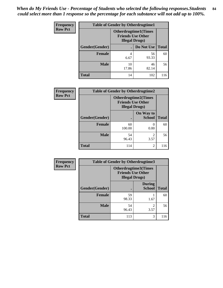| <b>Frequency</b> | <b>Table of Gender by Otherdrugtime1</b> |                                                                                    |             |              |  |
|------------------|------------------------------------------|------------------------------------------------------------------------------------|-------------|--------------|--|
| <b>Row Pct</b>   |                                          | <b>Otherdrugtime1</b> (Times<br><b>Friends Use Other</b><br><b>Illegal Drugs</b> ) |             |              |  |
|                  | Gender(Gender)                           |                                                                                    | Do Not Use  | <b>Total</b> |  |
|                  | <b>Female</b>                            | 4<br>6.67                                                                          | 56<br>93.33 | 60           |  |
|                  | <b>Male</b>                              | 10<br>17.86                                                                        | 46<br>82.14 | 56           |  |
|                  | <b>Total</b>                             | 14                                                                                 | 102         | 116          |  |

| Frequency      | <b>Table of Gender by Otherdrugtime2</b> |                                                                                   |                            |              |  |
|----------------|------------------------------------------|-----------------------------------------------------------------------------------|----------------------------|--------------|--|
| <b>Row Pct</b> |                                          | <b>Otherdrugtime2(Times</b><br><b>Friends Use Other</b><br><b>Illegal Drugs</b> ) |                            |              |  |
|                | Gender(Gender)                           |                                                                                   | On Way to<br><b>School</b> | <b>Total</b> |  |
|                | <b>Female</b>                            | 60<br>100.00                                                                      | 0.00                       | 60           |  |
|                | <b>Male</b>                              | 54<br>96.43                                                                       | 3.57                       | 56           |  |
|                | <b>Total</b>                             | 114                                                                               | $\mathfrak{D}$             | 116          |  |

| Frequency      | <b>Table of Gender by Otherdrugtime3</b> |                        |                                                  |              |  |
|----------------|------------------------------------------|------------------------|--------------------------------------------------|--------------|--|
| <b>Row Pct</b> |                                          | <b>Illegal Drugs</b> ) | Otherdrugtime3(Times<br><b>Friends Use Other</b> |              |  |
|                | Gender(Gender)                           |                        | <b>During</b><br><b>School</b>                   | <b>Total</b> |  |
|                | <b>Female</b>                            | 59<br>98.33            | 1.67                                             | 60           |  |
|                | <b>Male</b>                              | 54<br>96.43            | 2<br>3.57                                        | 56           |  |
|                | <b>Total</b>                             | 113                    | 3                                                | 116          |  |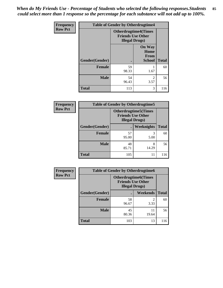*When do My Friends Use - Percentage of Students who selected the following responses.Students could select more than 1 response so the percentage for each substance will not add up to 100%.* **85**

| Frequency      | <b>Table of Gender by Otherdrugtime4</b> |                                                                                   |                                                |              |  |
|----------------|------------------------------------------|-----------------------------------------------------------------------------------|------------------------------------------------|--------------|--|
| <b>Row Pct</b> |                                          | <b>Otherdrugtime4(Times</b><br><b>Friends Use Other</b><br><b>Illegal Drugs</b> ) |                                                |              |  |
|                | Gender(Gender)                           |                                                                                   | <b>On Way</b><br>Home<br>From<br><b>School</b> | <b>Total</b> |  |
|                | <b>Female</b>                            | 59<br>98.33                                                                       | 1.67                                           | 60           |  |
|                | <b>Male</b>                              | 54<br>96.43                                                                       | 2<br>3.57                                      | 56           |  |
|                | <b>Total</b>                             | 113                                                                               | 3                                              | 116          |  |

| <b>Frequency</b> | <b>Table of Gender by Otherdrugtime5</b> |                                                                                    |                   |              |  |
|------------------|------------------------------------------|------------------------------------------------------------------------------------|-------------------|--------------|--|
| <b>Row Pct</b>   |                                          | <b>Otherdrugtime5</b> (Times<br><b>Friends Use Other</b><br><b>Illegal Drugs</b> ) |                   |              |  |
|                  | Gender(Gender)                           |                                                                                    | <b>Weeknights</b> | <b>Total</b> |  |
|                  | <b>Female</b>                            | 57<br>95.00                                                                        | 3<br>5.00         | 60           |  |
|                  | <b>Male</b>                              | 48<br>85.71                                                                        | 8<br>14.29        | 56           |  |
|                  | <b>Total</b>                             | 105                                                                                | 11                | 116          |  |

| <b>Frequency</b> | <b>Table of Gender by Otherdrugtime6</b> |                                                                                   |                        |              |  |
|------------------|------------------------------------------|-----------------------------------------------------------------------------------|------------------------|--------------|--|
| <b>Row Pct</b>   |                                          | <b>Otherdrugtime6(Times</b><br><b>Friends Use Other</b><br><b>Illegal Drugs</b> ) |                        |              |  |
|                  | Gender(Gender)                           |                                                                                   | Weekends               | <b>Total</b> |  |
|                  | <b>Female</b>                            | 58<br>96.67                                                                       | $\overline{2}$<br>3.33 | 60           |  |
|                  | <b>Male</b>                              | 45<br>80.36                                                                       | 11<br>19.64            | 56           |  |
|                  | <b>Total</b>                             | 103                                                                               | 13                     | 116          |  |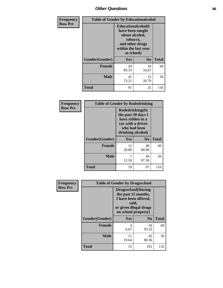# *Other Questions* **86**

| Frequency      |                | <b>Table of Gender by Educationalcohol</b>                                                                                    |                |              |  |
|----------------|----------------|-------------------------------------------------------------------------------------------------------------------------------|----------------|--------------|--|
| <b>Row Pct</b> |                | Educationalcohol(I<br>have been taught<br>about alcohol,<br>tobacco,<br>and other drugs<br>within the last year<br>at school) |                |              |  |
|                | Gender(Gender) | <b>Yes</b>                                                                                                                    | N <sub>0</sub> | <b>Total</b> |  |
|                | <b>Female</b>  | 50<br>83.33                                                                                                                   | 10<br>16.67    | 60           |  |
|                | <b>Male</b>    | 41<br>73.21                                                                                                                   | 15<br>26.79    | 56           |  |
|                | <b>Total</b>   | 91                                                                                                                            | 25             | 116          |  |

| Frequency      | <b>Table of Gender by Rodedrinking</b> |                                                                                                                     |             |              |  |
|----------------|----------------------------------------|---------------------------------------------------------------------------------------------------------------------|-------------|--------------|--|
| <b>Row Pct</b> |                                        | Rodedrinking(In<br>the past 30 days I<br>have ridden in a<br>car with a driver<br>who had been<br>drinking alcohol) |             |              |  |
|                | Gender(Gender)                         | Yes                                                                                                                 | $\bf N_0$   | <b>Total</b> |  |
|                | <b>Female</b>                          | 12<br>20.00                                                                                                         | 48<br>80.00 | 60           |  |
|                | <b>Male</b>                            | 12.50                                                                                                               | 49<br>87.50 | 56           |  |
|                | <b>Total</b>                           | 19                                                                                                                  | 97          | 116          |  |

| Frequency      |                | <b>Table of Gender by Drugsschool</b>                                                                                               |                |              |  |
|----------------|----------------|-------------------------------------------------------------------------------------------------------------------------------------|----------------|--------------|--|
| <b>Row Pct</b> |                | <b>Drugsschool</b> (During<br>the past 12 months,<br>I have been offered,<br>sold,<br>or given illegal drugs<br>on school property) |                |              |  |
|                | Gender(Gender) | <b>Yes</b>                                                                                                                          | N <sub>0</sub> | <b>Total</b> |  |
|                | <b>Female</b>  | 4<br>6.67                                                                                                                           | 56<br>93.33    | 60           |  |
|                | <b>Male</b>    | 11<br>19.64                                                                                                                         | 45<br>80.36    | 56           |  |
|                | <b>Total</b>   | 15                                                                                                                                  | 101            | 116          |  |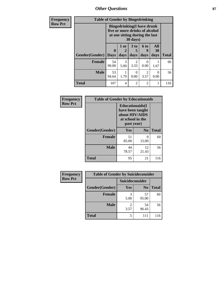*Other Questions* **87**

| <b>Frequency</b> | <b>Table of Gender by Bingedrinking</b>                                                                           |                             |                   |                              |                          |                   |              |
|------------------|-------------------------------------------------------------------------------------------------------------------|-----------------------------|-------------------|------------------------------|--------------------------|-------------------|--------------|
| <b>Row Pct</b>   | <b>Bingedrinking(I have drunk</b><br>five or more drinks of alcohol<br>at one sitting during the last<br>30 days) |                             |                   |                              |                          |                   |              |
|                  | <b>Gender</b> (Gender)                                                                                            | $\mathbf{0}$<br><b>Days</b> | 1 or<br>2<br>days | 3 <sub>to</sub><br>5<br>days | <b>6 to</b><br>9<br>days | All<br>30<br>days | <b>Total</b> |
|                  | Female                                                                                                            | 54<br>90.00                 | 3<br>5.00         | $\overline{2}$<br>3.33       | $\theta$<br>0.00         | 1.67              | 60           |
|                  | <b>Male</b>                                                                                                       | 53<br>94.64                 | 1.79              | $\Omega$<br>0.00             | $\mathfrak{D}$<br>3.57   | 0<br>0.00         | 56           |
|                  | <b>Total</b>                                                                                                      | 107                         | $\overline{4}$    | $\overline{2}$               | $\mathfrak{D}$           |                   | 116          |

| Frequency      | <b>Table of Gender by Educationaids</b> |                                                                                                 |             |              |
|----------------|-----------------------------------------|-------------------------------------------------------------------------------------------------|-------------|--------------|
| <b>Row Pct</b> |                                         | <b>Educationaids</b> (I<br>have been taught<br>about HIV/AIDS<br>at school in the<br>past year) |             |              |
|                | Gender(Gender)                          | Yes                                                                                             | No          | <b>Total</b> |
|                | <b>Female</b>                           | 51<br>85.00                                                                                     | 9<br>15.00  | 60           |
|                | <b>Male</b>                             | 44<br>78.57                                                                                     | 12<br>21.43 | 56           |
|                | <b>Total</b>                            | 95                                                                                              | 21          | 116          |

| <b>Frequency</b> | <b>Table of Gender by Suicideconsider</b> |                        |                |              |
|------------------|-------------------------------------------|------------------------|----------------|--------------|
| <b>Row Pct</b>   |                                           | Suicideconsider        |                |              |
|                  | Gender(Gender)                            | Yes                    | N <sub>0</sub> | <b>Total</b> |
|                  | <b>Female</b>                             | 3<br>5.00              | 57<br>95.00    | 60           |
|                  | <b>Male</b>                               | $\overline{2}$<br>3.57 | 54<br>96.43    | 56           |
|                  | <b>Total</b>                              | 5                      | 111            | 116          |